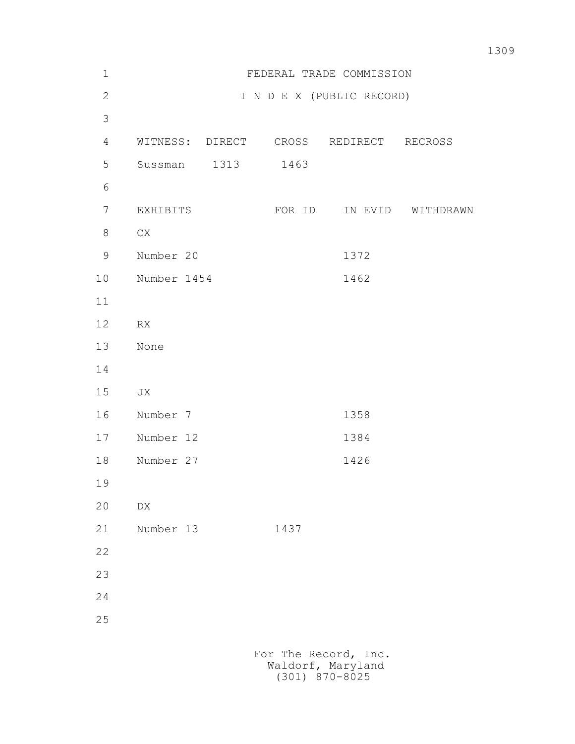| $\mathbf 1$    | FEDERAL TRADE COMMISSION |      |        |                           |           |
|----------------|--------------------------|------|--------|---------------------------|-----------|
| $\overline{2}$ |                          |      |        | I N D E X (PUBLIC RECORD) |           |
| 3              |                          |      |        |                           |           |
| $\overline{4}$ | WITNESS: DIRECT CROSS    |      |        | REDIRECT RECROSS          |           |
| 5              | Sussman                  | 1313 | 1463   |                           |           |
| 6              |                          |      |        |                           |           |
| $\overline{7}$ | EXHIBITS                 |      | FOR ID | IN EVID                   | WITHDRAWN |
| 8              | ${\rm CX}$               |      |        |                           |           |
| 9              | Number 20                |      |        | 1372                      |           |
| 10             | Number 1454              |      |        | 1462                      |           |
| 11             |                          |      |        |                           |           |
| 12             | ${\sf RX}$               |      |        |                           |           |
| 13             | None                     |      |        |                           |           |
| 14             |                          |      |        |                           |           |
| 15             | JX                       |      |        |                           |           |
| 16             | Number 7                 |      |        | 1358                      |           |
| 17             | Number 12                |      |        | 1384                      |           |
| 18             | Number 27                |      |        | 1426                      |           |
| 19             |                          |      |        |                           |           |
| 20             | ${\rm D}{\rm X}$         |      |        |                           |           |
| 21             | Number 13                |      | 1437   |                           |           |
| 22             |                          |      |        |                           |           |
| 23             |                          |      |        |                           |           |
| 24             |                          |      |        |                           |           |
| 25             |                          |      |        |                           |           |
|                |                          |      |        |                           |           |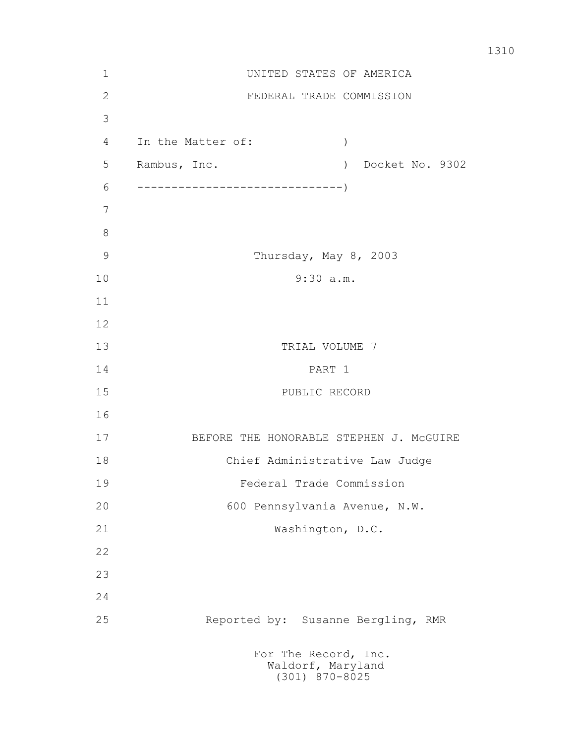| $\mathbf 1$   | UNITED STATES OF AMERICA                                      |  |  |  |  |
|---------------|---------------------------------------------------------------|--|--|--|--|
| $\mathbf{2}$  | FEDERAL TRADE COMMISSION                                      |  |  |  |  |
| 3             |                                                               |  |  |  |  |
| 4             | In the Matter of:<br>$\left( \right)$                         |  |  |  |  |
| 5             | Rambus, Inc.<br>) Docket No. 9302                             |  |  |  |  |
| 6             |                                                               |  |  |  |  |
| 7             |                                                               |  |  |  |  |
| $8\,$         |                                                               |  |  |  |  |
| $\mathcal{G}$ | Thursday, May 8, 2003                                         |  |  |  |  |
| 10            | 9:30 a.m.                                                     |  |  |  |  |
| 11            |                                                               |  |  |  |  |
| 12            |                                                               |  |  |  |  |
| 13            | TRIAL VOLUME 7                                                |  |  |  |  |
| 14            | PART 1                                                        |  |  |  |  |
| 15            | PUBLIC RECORD                                                 |  |  |  |  |
| 16            |                                                               |  |  |  |  |
| 17            | BEFORE THE HONORABLE STEPHEN J. MCGUIRE                       |  |  |  |  |
| 18            | Chief Administrative Law Judge                                |  |  |  |  |
| 19            | Federal Trade Commission                                      |  |  |  |  |
| 20            | 600 Pennsylvania Avenue, N.W.                                 |  |  |  |  |
| 21            | Washington, D.C.                                              |  |  |  |  |
| 22            |                                                               |  |  |  |  |
| 23            |                                                               |  |  |  |  |
| 24            |                                                               |  |  |  |  |
| 25            | Reported by: Susanne Bergling, RMR                            |  |  |  |  |
|               | For The Record, Inc.<br>Waldorf, Maryland<br>$(301)$ 870-8025 |  |  |  |  |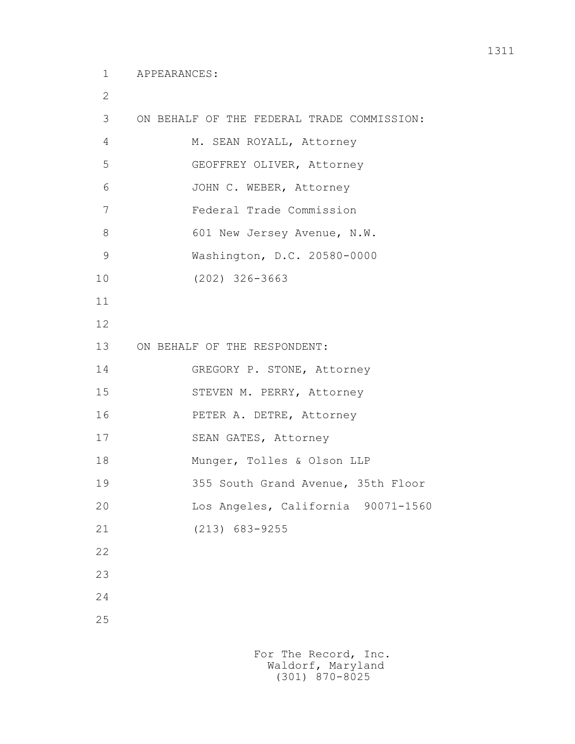2

| 3  | ON BEHALF OF THE FEDERAL TRADE COMMISSION: |
|----|--------------------------------------------|
| 4  | M. SEAN ROYALL, Attorney                   |
| 5  | GEOFFREY OLIVER, Attorney                  |
| 6  | JOHN C. WEBER, Attorney                    |
| 7  | Federal Trade Commission                   |
| 8  | 601 New Jersey Avenue, N.W.                |
|    |                                            |
| 9  | Washington, D.C. 20580-0000                |
| 10 | $(202)$ 326-3663                           |
| 11 |                                            |
| 12 |                                            |
| 13 | ON BEHALF OF THE RESPONDENT:               |
| 14 | GREGORY P. STONE, Attorney                 |
| 15 | STEVEN M. PERRY, Attorney                  |
| 16 | PETER A. DETRE, Attorney                   |
| 17 | SEAN GATES, Attorney                       |
| 18 | Munger, Tolles & Olson LLP                 |
| 19 | 355 South Grand Avenue, 35th Floor         |
| 20 | Los Angeles, California 90071-1560         |
| 21 | $(213)$ 683-9255                           |
| 22 |                                            |
| 23 |                                            |
| 24 |                                            |
| 25 |                                            |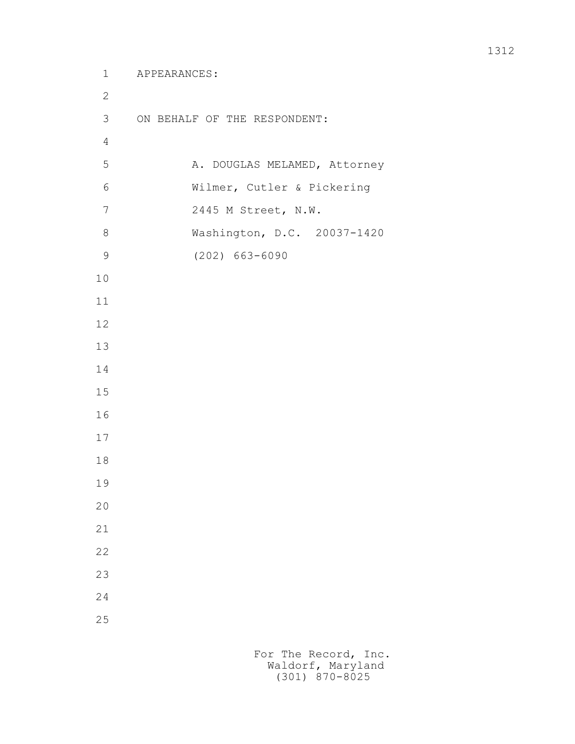```
 1 APPEARANCES:
2
        3 ON BEHALF OF THE RESPONDENT:
4
       5 A. DOUGLAS MELAMED, Attorney
        6 Wilmer, Cutler & Pickering
        7 2445 M Street, N.W.
        8 Washington, D.C. 20037-1420
        9 (202) 663-6090
       10
       11
       12
       13
       14
       15
       16
       17
       18
       19
       20
       21
       22
       23
       24
       25
```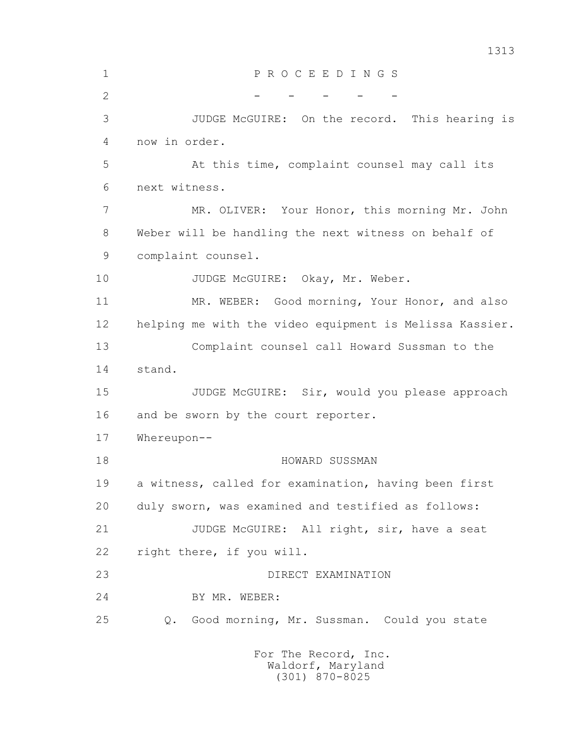1313 1 P R O C E E D I N G S 2 - - - - - - - 3 JUDGE McGUIRE: On the record. This hearing is 4 now in order. 5 At this time, complaint counsel may call its 6 next witness. 7 MR. OLIVER: Your Honor, this morning Mr. John 8 Weber will be handling the next witness on behalf of 9 complaint counsel. 10 JUDGE McGUIRE: Okay, Mr. Weber. 11 MR. WEBER: Good morning, Your Honor, and also 12 helping me with the video equipment is Melissa Kassier. 13 Complaint counsel call Howard Sussman to the 14 stand. 15 JUDGE McGUIRE: Sir, would you please approach 16 and be sworn by the court reporter. 17 Whereupon-- 18 HOWARD SUSSMAN 19 a witness, called for examination, having been first 20 duly sworn, was examined and testified as follows: 21 JUDGE McGUIRE: All right, sir, have a seat 22 right there, if you will. 23 DIRECT EXAMINATION 24 BY MR. WEBER: 25 Q. Good morning, Mr. Sussman. Could you state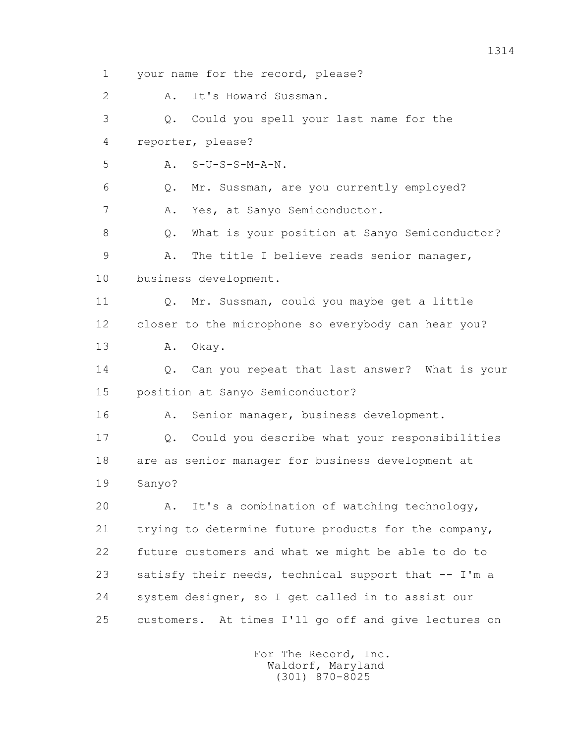1 your name for the record, please? 2 A. It's Howard Sussman. 3 Q. Could you spell your last name for the 4 reporter, please?  $5 \qquad A. \qquad S-U-S-S-M-A-N.$  6 Q. Mr. Sussman, are you currently employed? 7 A. Yes, at Sanyo Semiconductor. 8 Q. What is your position at Sanyo Semiconductor? 9 A. The title I believe reads senior manager, 10 business development. 11 Q. Mr. Sussman, could you maybe get a little 12 closer to the microphone so everybody can hear you? 13 A. Okay. 14 Q. Can you repeat that last answer? What is your 15 position at Sanyo Semiconductor? 16 A. Senior manager, business development. 17 Q. Could you describe what your responsibilities 18 are as senior manager for business development at 19 Sanyo? 20 A. It's a combination of watching technology, 21 trying to determine future products for the company, 22 future customers and what we might be able to do to 23 satisfy their needs, technical support that -- I'm a 24 system designer, so I get called in to assist our 25 customers. At times I'll go off and give lectures on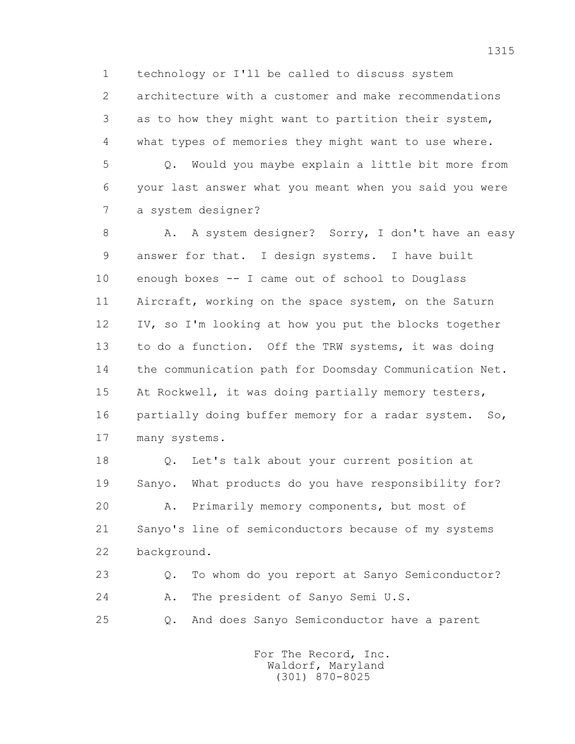1 technology or I'll be called to discuss system 2 architecture with a customer and make recommendations 3 as to how they might want to partition their system, 4 what types of memories they might want to use where.

 5 Q. Would you maybe explain a little bit more from 6 your last answer what you meant when you said you were 7 a system designer?

8 A. A system designer? Sorry, I don't have an easy 9 answer for that. I design systems. I have built 10 enough boxes -- I came out of school to Douglass 11 Aircraft, working on the space system, on the Saturn 12 IV, so I'm looking at how you put the blocks together 13 to do a function. Off the TRW systems, it was doing 14 the communication path for Doomsday Communication Net. 15 At Rockwell, it was doing partially memory testers, 16 partially doing buffer memory for a radar system. So, 17 many systems.

 18 Q. Let's talk about your current position at 19 Sanyo. What products do you have responsibility for? 20 A. Primarily memory components, but most of 21 Sanyo's line of semiconductors because of my systems 22 background.

 23 Q. To whom do you report at Sanyo Semiconductor? 24 A. The president of Sanyo Semi U.S.

25 Q. And does Sanyo Semiconductor have a parent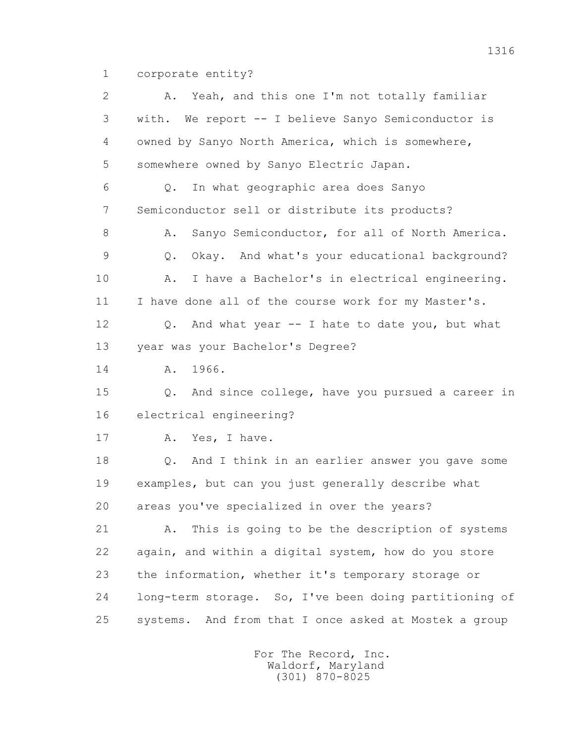1 corporate entity?

| 2  | A. Yeah, and this one I'm not totally familiar                  |
|----|-----------------------------------------------------------------|
| 3  | with. We report -- I believe Sanyo Semiconductor is             |
| 4  | owned by Sanyo North America, which is somewhere,               |
| 5  | somewhere owned by Sanyo Electric Japan.                        |
| 6  | In what geographic area does Sanyo<br>$Q$ .                     |
| 7  | Semiconductor sell or distribute its products?                  |
| 8  | Sanyo Semiconductor, for all of North America.<br>Α.            |
| 9  | Okay. And what's your educational background?<br>Q.             |
| 10 | I have a Bachelor's in electrical engineering.<br>Α.            |
| 11 | I have done all of the course work for my Master's.             |
| 12 | And what year -- I hate to date you, but what<br>Q.             |
| 13 | year was your Bachelor's Degree?                                |
| 14 | 1966.<br>Α.                                                     |
| 15 | And since college, have you pursued a career in<br>Q.           |
| 16 | electrical engineering?                                         |
| 17 | Yes, I have.<br>Α.                                              |
| 18 | And I think in an earlier answer you gave some<br>$Q_{\bullet}$ |
| 19 | examples, but can you just generally describe what              |
| 20 | areas you've specialized in over the years?                     |
| 21 | This is going to be the description of systems<br>Α.            |
| 22 | again, and within a digital system, how do you store            |
| 23 | the information, whether it's temporary storage or              |
| 24 | long-term storage. So, I've been doing partitioning of          |
| 25 | And from that I once asked at Mostek a group<br>systems.        |
|    |                                                                 |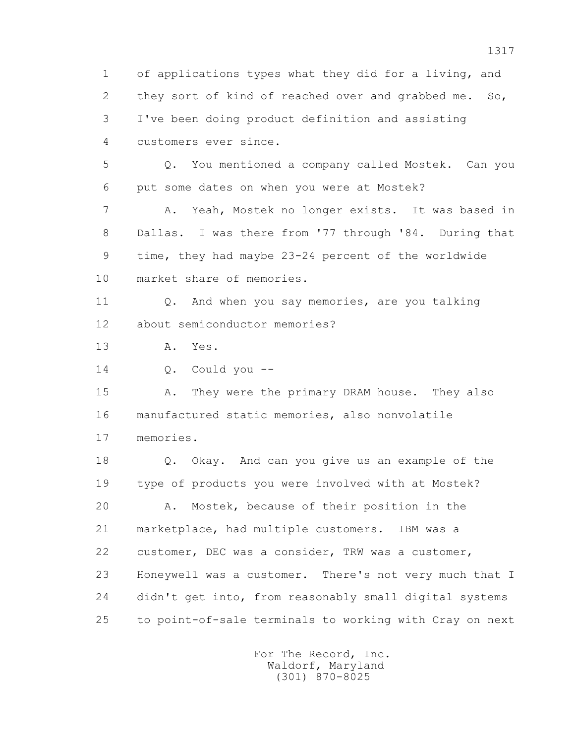1 of applications types what they did for a living, and 2 they sort of kind of reached over and grabbed me. So, 3 I've been doing product definition and assisting 4 customers ever since. 5 Q. You mentioned a company called Mostek. Can you 6 put some dates on when you were at Mostek? 7 A. Yeah, Mostek no longer exists. It was based in 8 Dallas. I was there from '77 through '84. During that 9 time, they had maybe 23-24 percent of the worldwide 10 market share of memories. 11 0. And when you say memories, are you talking 12 about semiconductor memories? 13 A. Yes. 14 Q. Could you -- 15 A. They were the primary DRAM house. They also 16 manufactured static memories, also nonvolatile 17 memories. 18 Q. Okay. And can you give us an example of the 19 type of products you were involved with at Mostek? 20 A. Mostek, because of their position in the 21 marketplace, had multiple customers. IBM was a 22 customer, DEC was a consider, TRW was a customer, 23 Honeywell was a customer. There's not very much that I 24 didn't get into, from reasonably small digital systems 25 to point-of-sale terminals to working with Cray on next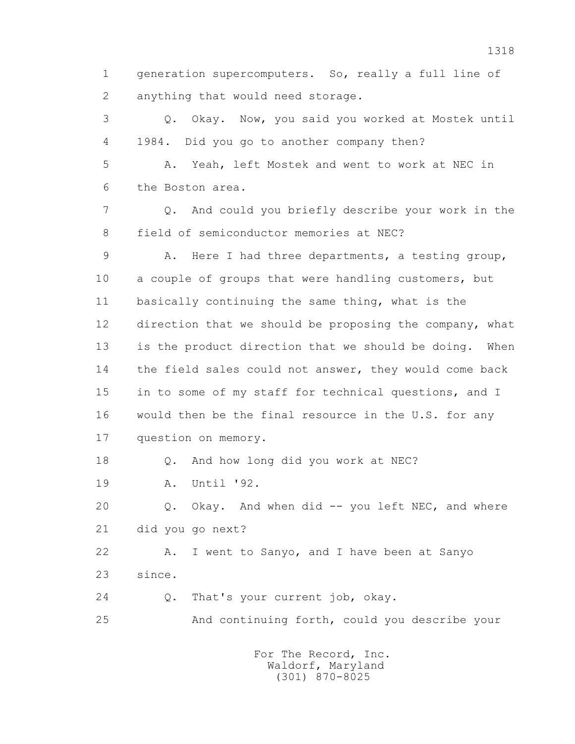1 generation supercomputers. So, really a full line of 2 anything that would need storage.

 3 Q. Okay. Now, you said you worked at Mostek until 4 1984. Did you go to another company then? 5 A. Yeah, left Mostek and went to work at NEC in 6 the Boston area. 7 Q. And could you briefly describe your work in the 8 field of semiconductor memories at NEC? 9 A. Here I had three departments, a testing group, 10 a couple of groups that were handling customers, but 11 basically continuing the same thing, what is the 12 direction that we should be proposing the company, what 13 is the product direction that we should be doing. When 14 the field sales could not answer, they would come back 15 in to some of my staff for technical questions, and I 16 would then be the final resource in the U.S. for any 17 question on memory. 18 Q. And how long did you work at NEC?

19 A. Until '92.

 20 Q. Okay. And when did -- you left NEC, and where 21 did you go next?

 22 A. I went to Sanyo, and I have been at Sanyo 23 since.

24 0. That's your current job, okay.

25 And continuing forth, could you describe your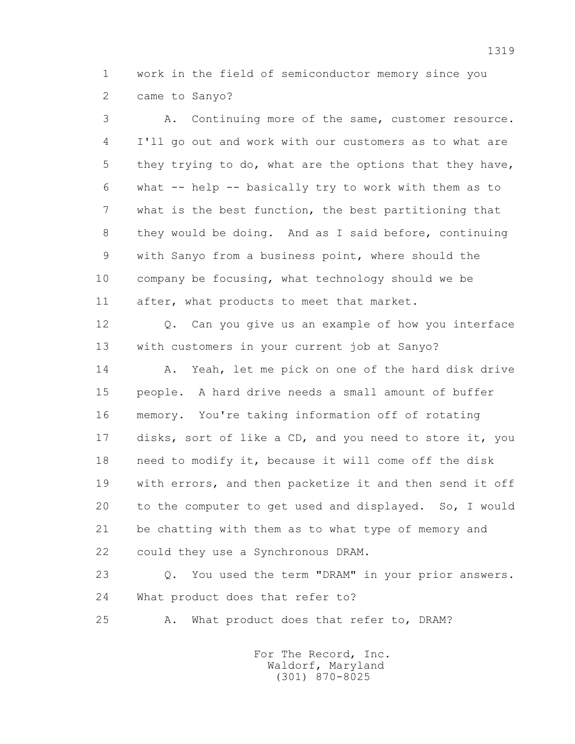1 work in the field of semiconductor memory since you 2 came to Sanyo?

 3 A. Continuing more of the same, customer resource. 4 I'll go out and work with our customers as to what are 5 they trying to do, what are the options that they have, 6 what -- help -- basically try to work with them as to 7 what is the best function, the best partitioning that 8 they would be doing. And as I said before, continuing 9 with Sanyo from a business point, where should the 10 company be focusing, what technology should we be 11 after, what products to meet that market. 12 Q. Can you give us an example of how you interface 13 with customers in your current job at Sanyo? 14 A. Yeah, let me pick on one of the hard disk drive

 15 people. A hard drive needs a small amount of buffer 16 memory. You're taking information off of rotating 17 disks, sort of like a CD, and you need to store it, you 18 need to modify it, because it will come off the disk 19 with errors, and then packetize it and then send it off 20 to the computer to get used and displayed. So, I would 21 be chatting with them as to what type of memory and 22 could they use a Synchronous DRAM.

 23 Q. You used the term "DRAM" in your prior answers. 24 What product does that refer to?

25 A. What product does that refer to, DRAM?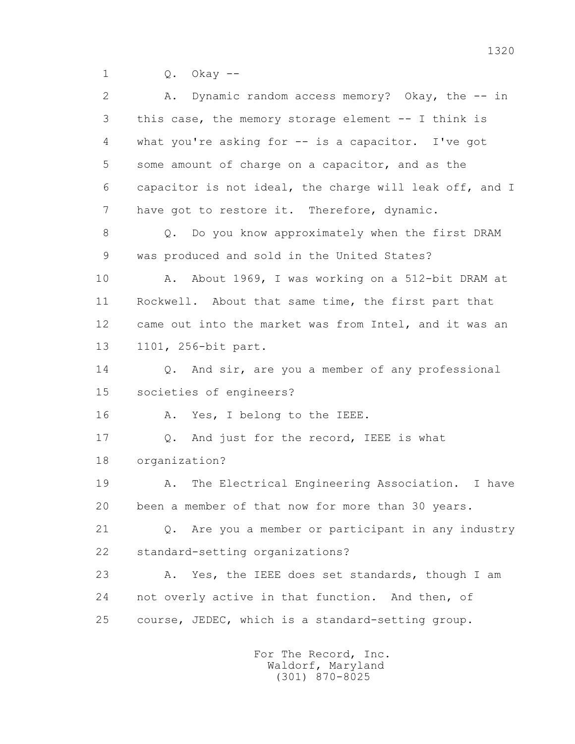1 Q. Okay --

 2 A. Dynamic random access memory? Okay, the -- in 3 this case, the memory storage element -- I think is 4 what you're asking for -- is a capacitor. I've got 5 some amount of charge on a capacitor, and as the 6 capacitor is not ideal, the charge will leak off, and I 7 have got to restore it. Therefore, dynamic. 8 Q. Do you know approximately when the first DRAM 9 was produced and sold in the United States? 10 A. About 1969, I was working on a 512-bit DRAM at 11 Rockwell. About that same time, the first part that 12 came out into the market was from Intel, and it was an 13 1101, 256-bit part. 14 Q. And sir, are you a member of any professional 15 societies of engineers? 16 A. Yes, I belong to the IEEE. 17 Q. And just for the record, IEEE is what 18 organization? 19 A. The Electrical Engineering Association. I have 20 been a member of that now for more than 30 years. 21 Q. Are you a member or participant in any industry 22 standard-setting organizations? 23 A. Yes, the IEEE does set standards, though I am 24 not overly active in that function. And then, of 25 course, JEDEC, which is a standard-setting group.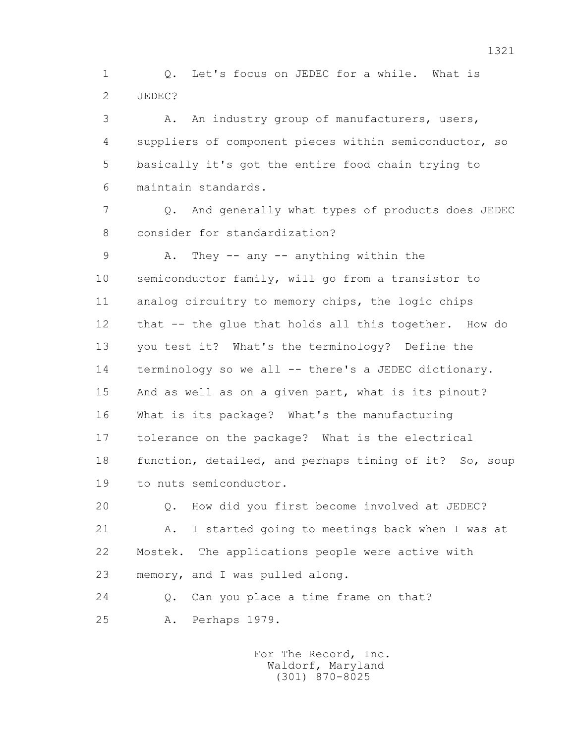1 Q. Let's focus on JEDEC for a while. What is 2 JEDEC?

 3 A. An industry group of manufacturers, users, 4 suppliers of component pieces within semiconductor, so 5 basically it's got the entire food chain trying to 6 maintain standards.

 7 Q. And generally what types of products does JEDEC 8 consider for standardization?

 9 A. They -- any -- anything within the 10 semiconductor family, will go from a transistor to 11 analog circuitry to memory chips, the logic chips 12 that -- the glue that holds all this together. How do 13 you test it? What's the terminology? Define the 14 terminology so we all -- there's a JEDEC dictionary. 15 And as well as on a given part, what is its pinout? 16 What is its package? What's the manufacturing 17 tolerance on the package? What is the electrical 18 function, detailed, and perhaps timing of it? So, soup 19 to nuts semiconductor.

 20 Q. How did you first become involved at JEDEC? 21 A. I started going to meetings back when I was at 22 Mostek. The applications people were active with 23 memory, and I was pulled along.

24 O. Can you place a time frame on that? 25 A. Perhaps 1979.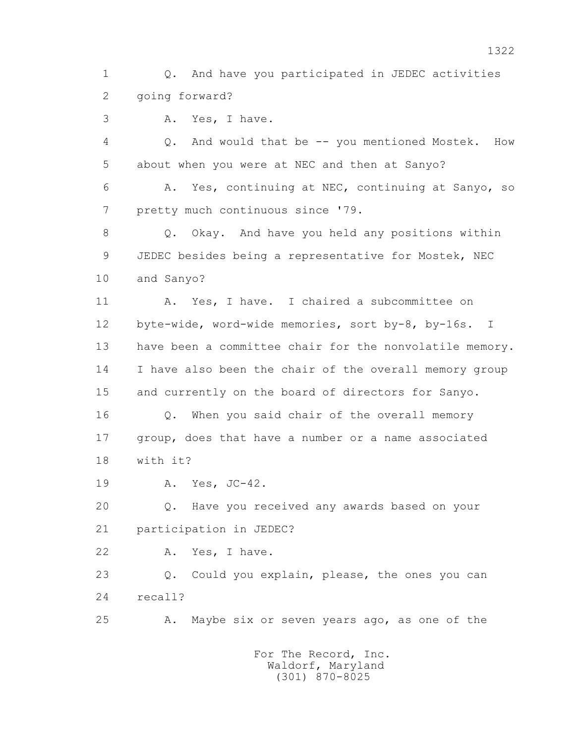1 Q. And have you participated in JEDEC activities 2 going forward?

3 A. Yes, I have.

 4 Q. And would that be -- you mentioned Mostek. How 5 about when you were at NEC and then at Sanyo?

 6 A. Yes, continuing at NEC, continuing at Sanyo, so 7 pretty much continuous since '79.

 8 Q. Okay. And have you held any positions within 9 JEDEC besides being a representative for Mostek, NEC 10 and Sanyo?

 11 A. Yes, I have. I chaired a subcommittee on 12 byte-wide, word-wide memories, sort by-8, by-16s. I 13 have been a committee chair for the nonvolatile memory. 14 I have also been the chair of the overall memory group 15 and currently on the board of directors for Sanyo.

 16 Q. When you said chair of the overall memory 17 group, does that have a number or a name associated 18 with it?

19 A. Yes, JC-42.

 20 Q. Have you received any awards based on your 21 participation in JEDEC?

22 A. Yes, I have.

 23 Q. Could you explain, please, the ones you can 24 recall?

25 A. Maybe six or seven years ago, as one of the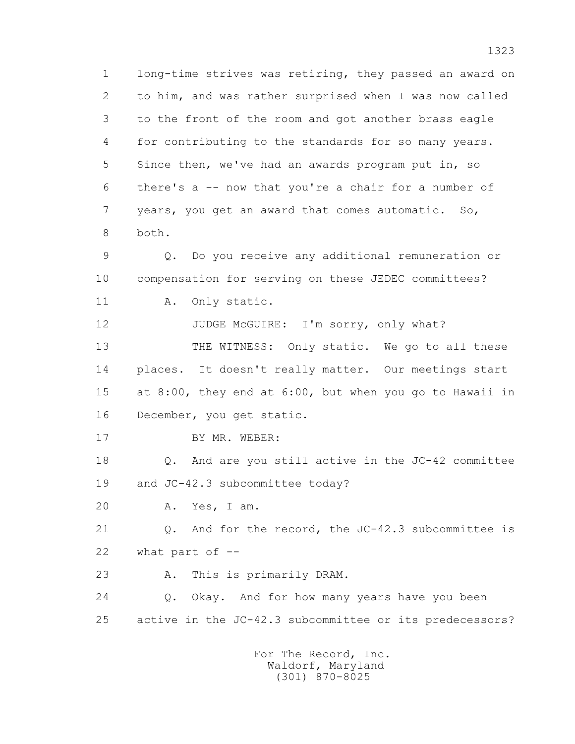1 long-time strives was retiring, they passed an award on 2 to him, and was rather surprised when I was now called 3 to the front of the room and got another brass eagle 4 for contributing to the standards for so many years. 5 Since then, we've had an awards program put in, so 6 there's a -- now that you're a chair for a number of 7 years, you get an award that comes automatic. So, 8 both.

 9 Q. Do you receive any additional remuneration or 10 compensation for serving on these JEDEC committees?

11 A. Only static.

12 JUDGE McGUIRE: I'm sorry, only what? 13 THE WITNESS: Only static. We go to all these 14 places. It doesn't really matter. Our meetings start 15 at 8:00, they end at 6:00, but when you go to Hawaii in 16 December, you get static.

17 BY MR. WEBER:

 18 Q. And are you still active in the JC-42 committee 19 and JC-42.3 subcommittee today?

20 A. Yes, I am.

 21 Q. And for the record, the JC-42.3 subcommittee is 22 what part of --

23 A. This is primarily DRAM.

 24 Q. Okay. And for how many years have you been 25 active in the JC-42.3 subcommittee or its predecessors?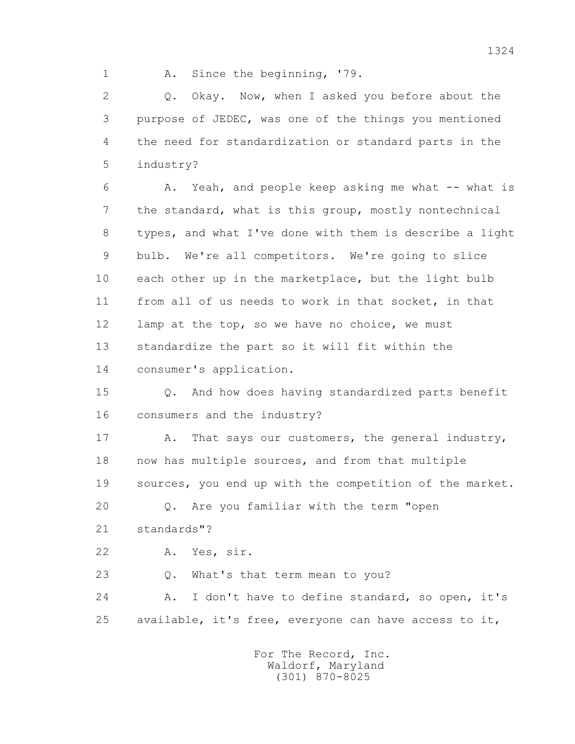1 A. Since the beginning, '79.

2 0. Okay. Now, when I asked you before about the 3 purpose of JEDEC, was one of the things you mentioned 4 the need for standardization or standard parts in the 5 industry?

 6 A. Yeah, and people keep asking me what -- what is 7 the standard, what is this group, mostly nontechnical 8 types, and what I've done with them is describe a light 9 bulb. We're all competitors. We're going to slice 10 each other up in the marketplace, but the light bulb 11 from all of us needs to work in that socket, in that 12 lamp at the top, so we have no choice, we must 13 standardize the part so it will fit within the 14 consumer's application.

 15 Q. And how does having standardized parts benefit 16 consumers and the industry?

17 A. That says our customers, the general industry, 18 now has multiple sources, and from that multiple 19 sources, you end up with the competition of the market.

20 Q. Are you familiar with the term "open

21 standards"?

22 A. Yes, sir.

23 Q. What's that term mean to you?

 24 A. I don't have to define standard, so open, it's 25 available, it's free, everyone can have access to it,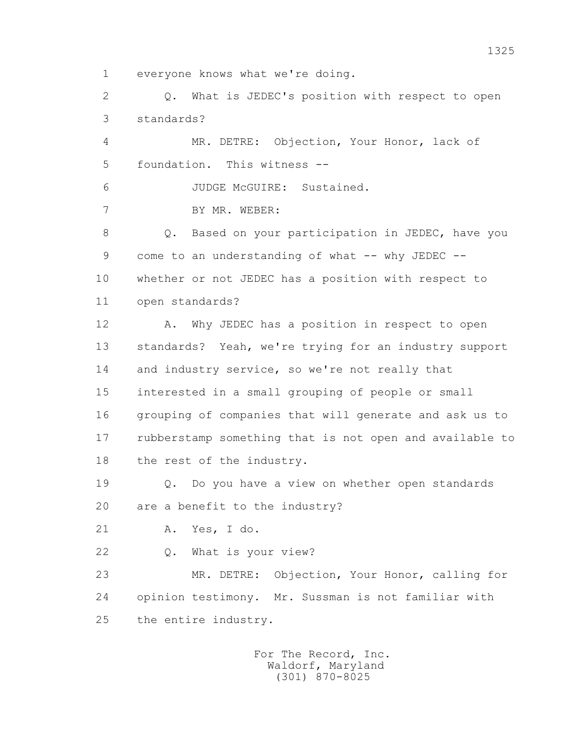1 everyone knows what we're doing.

 2 Q. What is JEDEC's position with respect to open 3 standards?

 4 MR. DETRE: Objection, Your Honor, lack of 5 foundation. This witness --

6 JUDGE McGUIRE: Sustained.

7 BY MR. WEBER:

 8 Q. Based on your participation in JEDEC, have you 9 come to an understanding of what -- why JEDEC -- 10 whether or not JEDEC has a position with respect to 11 open standards?

 12 A. Why JEDEC has a position in respect to open 13 standards? Yeah, we're trying for an industry support 14 and industry service, so we're not really that 15 interested in a small grouping of people or small 16 grouping of companies that will generate and ask us to 17 rubberstamp something that is not open and available to 18 the rest of the industry.

 19 Q. Do you have a view on whether open standards 20 are a benefit to the industry?

21 A. Yes, I do.

22 Q. What is your view?

 23 MR. DETRE: Objection, Your Honor, calling for 24 opinion testimony. Mr. Sussman is not familiar with 25 the entire industry.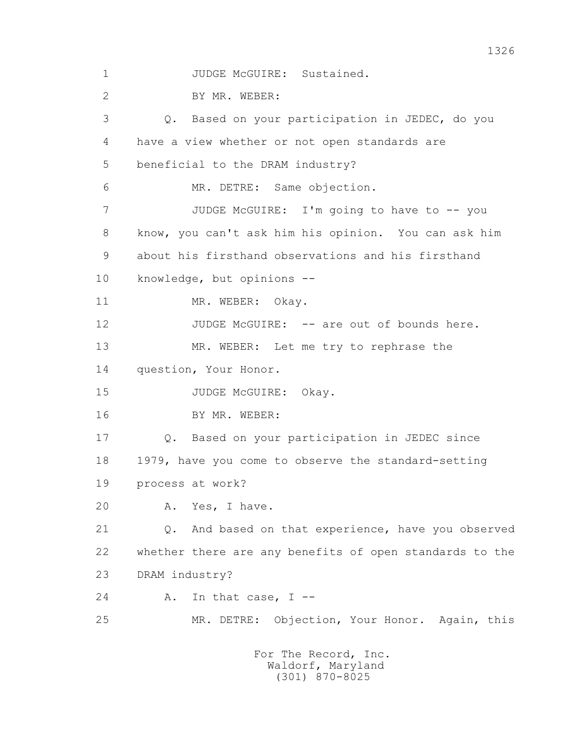1 JUDGE McGUIRE: Sustained. 2 BY MR. WEBER: 3 Q. Based on your participation in JEDEC, do you 4 have a view whether or not open standards are 5 beneficial to the DRAM industry? 6 MR. DETRE: Same objection. 7 JUDGE McGUIRE: I'm going to have to -- you 8 know, you can't ask him his opinion. You can ask him 9 about his firsthand observations and his firsthand 10 knowledge, but opinions -- 11 MR. WEBER: Okay. 12 JUDGE McGUIRE: -- are out of bounds here. 13 MR. WEBER: Let me try to rephrase the 14 question, Your Honor. 15 JUDGE McGUIRE: Okay. 16 BY MR. WEBER: 17 Q. Based on your participation in JEDEC since 18 1979, have you come to observe the standard-setting 19 process at work? 20 A. Yes, I have. 21 Q. And based on that experience, have you observed 22 whether there are any benefits of open standards to the 23 DRAM industry? 24 A. In that case, I -- 25 MR. DETRE: Objection, Your Honor. Again, this For The Record, Inc. Waldorf, Maryland

(301) 870-8025

1326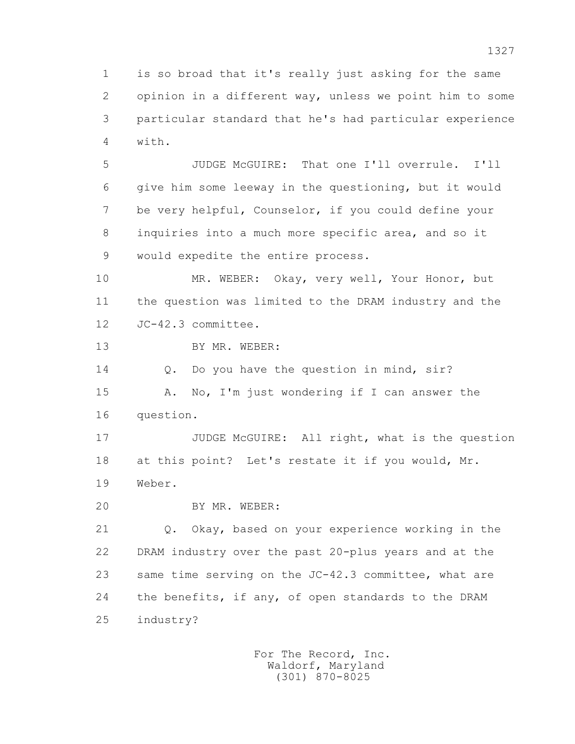1 is so broad that it's really just asking for the same 2 opinion in a different way, unless we point him to some 3 particular standard that he's had particular experience 4 with.

 5 JUDGE McGUIRE: That one I'll overrule. I'll 6 give him some leeway in the questioning, but it would 7 be very helpful, Counselor, if you could define your 8 inquiries into a much more specific area, and so it 9 would expedite the entire process.

 10 MR. WEBER: Okay, very well, Your Honor, but 11 the question was limited to the DRAM industry and the 12 JC-42.3 committee.

13 BY MR. WEBER:

14 0. Do you have the question in mind, sir?

 15 A. No, I'm just wondering if I can answer the 16 question.

17 JUDGE McGUIRE: All right, what is the question 18 at this point? Let's restate it if you would, Mr. 19 Weber.

20 BY MR. WEBER:

21 Q. Okay, based on your experience working in the 22 DRAM industry over the past 20-plus years and at the 23 same time serving on the JC-42.3 committee, what are 24 the benefits, if any, of open standards to the DRAM 25 industry?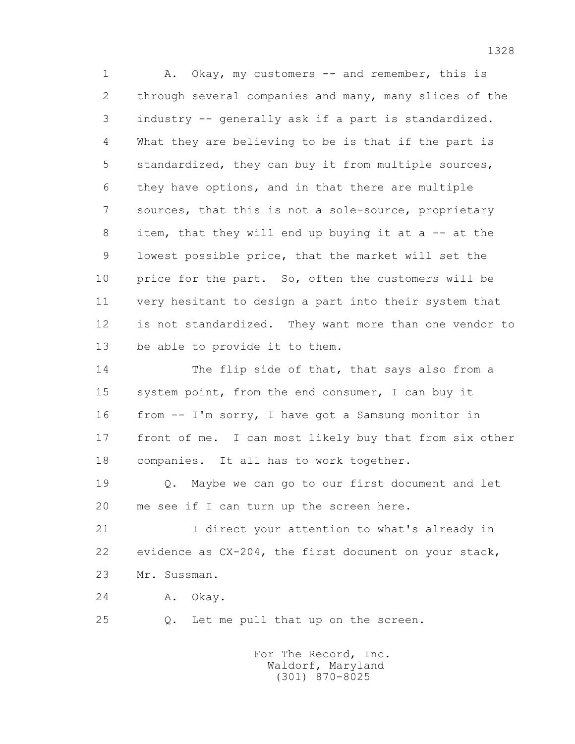1 A. Okay, my customers -- and remember, this is 2 through several companies and many, many slices of the 3 industry -- generally ask if a part is standardized. 4 What they are believing to be is that if the part is 5 standardized, they can buy it from multiple sources, 6 they have options, and in that there are multiple 7 sources, that this is not a sole-source, proprietary 8 item, that they will end up buying it at a -- at the 9 lowest possible price, that the market will set the 10 price for the part. So, often the customers will be 11 very hesitant to design a part into their system that 12 is not standardized. They want more than one vendor to 13 be able to provide it to them.

 14 The flip side of that, that says also from a 15 system point, from the end consumer, I can buy it 16 from -- I'm sorry, I have got a Samsung monitor in 17 front of me. I can most likely buy that from six other 18 companies. It all has to work together.

 19 Q. Maybe we can go to our first document and let 20 me see if I can turn up the screen here.

 21 I direct your attention to what's already in 22 evidence as CX-204, the first document on your stack, 23 Mr. Sussman.

24 A. Okay.

25 Q. Let me pull that up on the screen.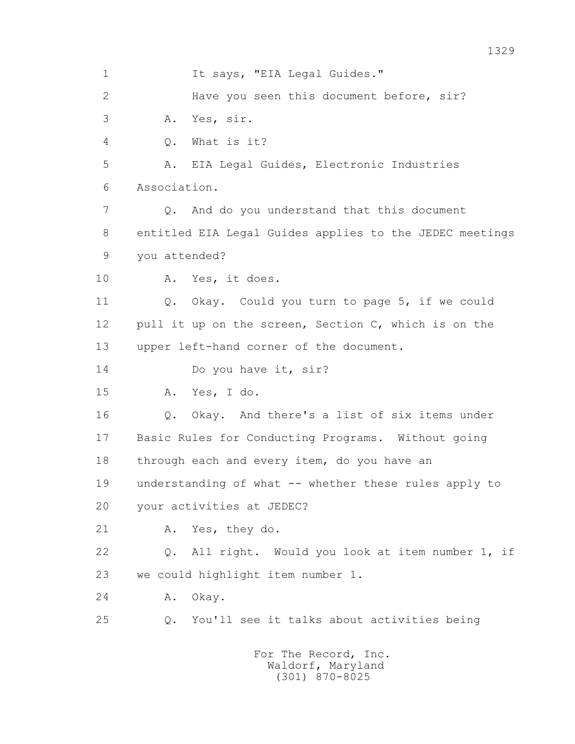1 It says, "EIA Legal Guides." 2 Have you seen this document before, sir? 3 A. Yes, sir. 4 Q. What is it? 5 A. EIA Legal Guides, Electronic Industries 6 Association. 7 Q. And do you understand that this document 8 entitled EIA Legal Guides applies to the JEDEC meetings 9 you attended? 10 A. Yes, it does. 11 Q. Okay. Could you turn to page 5, if we could 12 pull it up on the screen, Section C, which is on the 13 upper left-hand corner of the document. 14 Do you have it, sir? 15 A. Yes, I do. 16 Q. Okay. And there's a list of six items under 17 Basic Rules for Conducting Programs. Without going 18 through each and every item, do you have an 19 understanding of what -- whether these rules apply to 20 your activities at JEDEC? 21 A. Yes, they do. 22 Q. All right. Would you look at item number 1, if 23 we could highlight item number 1. 24 A. Okay. 25 Q. You'll see it talks about activities being For The Record, Inc. Waldorf, Maryland

(301) 870-8025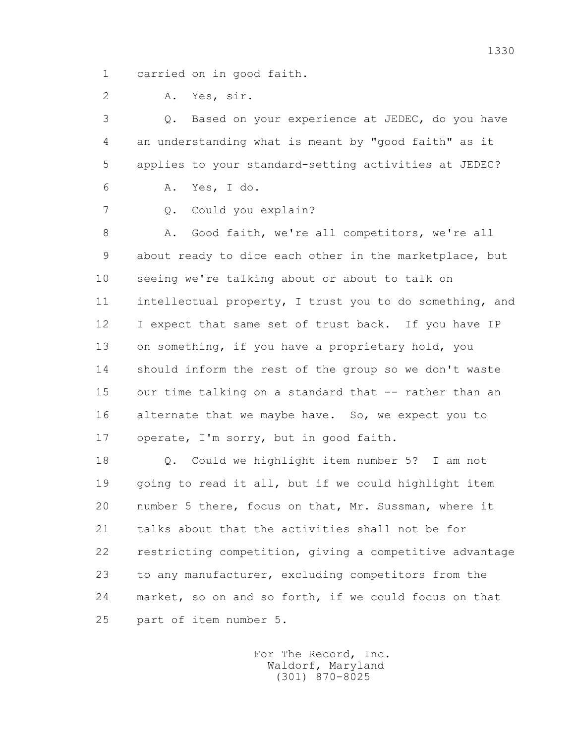1 carried on in good faith.

2 A. Yes, sir.

 3 Q. Based on your experience at JEDEC, do you have 4 an understanding what is meant by "good faith" as it 5 applies to your standard-setting activities at JEDEC?

6 A. Yes, I do.

7 Q. Could you explain?

8 A. Good faith, we're all competitors, we're all 9 about ready to dice each other in the marketplace, but 10 seeing we're talking about or about to talk on 11 intellectual property, I trust you to do something, and 12 I expect that same set of trust back. If you have IP 13 on something, if you have a proprietary hold, you 14 should inform the rest of the group so we don't waste 15 our time talking on a standard that -- rather than an 16 alternate that we maybe have. So, we expect you to 17 operate, I'm sorry, but in good faith.

 18 Q. Could we highlight item number 5? I am not 19 going to read it all, but if we could highlight item 20 number 5 there, focus on that, Mr. Sussman, where it 21 talks about that the activities shall not be for 22 restricting competition, giving a competitive advantage 23 to any manufacturer, excluding competitors from the 24 market, so on and so forth, if we could focus on that 25 part of item number 5.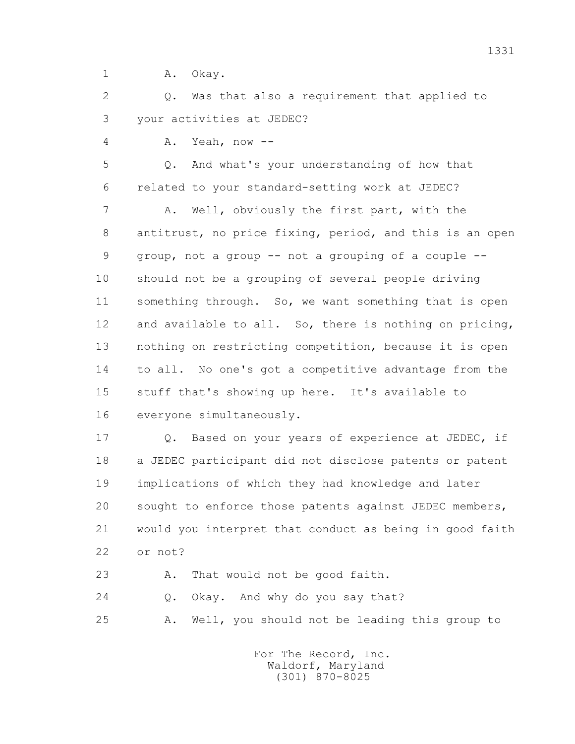1 A. Okay.

 2 Q. Was that also a requirement that applied to 3 your activities at JEDEC?

4 A. Yeah, now --

 5 Q. And what's your understanding of how that 6 related to your standard-setting work at JEDEC?

 7 A. Well, obviously the first part, with the 8 antitrust, no price fixing, period, and this is an open 9 group, not a group -- not a grouping of a couple -- 10 should not be a grouping of several people driving 11 something through. So, we want something that is open 12 and available to all. So, there is nothing on pricing, 13 nothing on restricting competition, because it is open 14 to all. No one's got a competitive advantage from the 15 stuff that's showing up here. It's available to 16 everyone simultaneously.

17 **Q.** Based on your years of experience at JEDEC, if 18 a JEDEC participant did not disclose patents or patent 19 implications of which they had knowledge and later 20 sought to enforce those patents against JEDEC members, 21 would you interpret that conduct as being in good faith 22 or not?

23 A. That would not be good faith.

24 Q. Okay. And why do you say that?

25 A. Well, you should not be leading this group to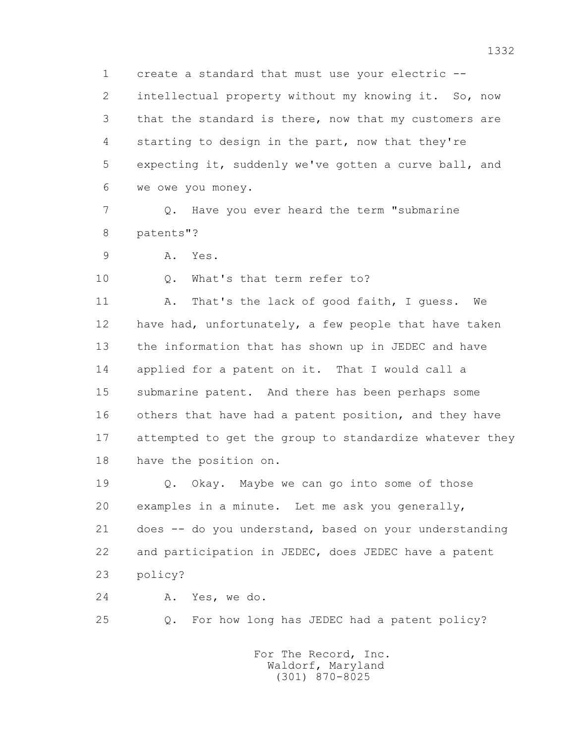1 create a standard that must use your electric -- 2 intellectual property without my knowing it. So, now 3 that the standard is there, now that my customers are 4 starting to design in the part, now that they're 5 expecting it, suddenly we've gotten a curve ball, and 6 we owe you money.

 7 Q. Have you ever heard the term "submarine 8 patents"?

9 A. Yes.

10 Q. What's that term refer to?

11 A. That's the lack of good faith, I guess. We 12 have had, unfortunately, a few people that have taken 13 the information that has shown up in JEDEC and have 14 applied for a patent on it. That I would call a 15 submarine patent. And there has been perhaps some 16 others that have had a patent position, and they have 17 attempted to get the group to standardize whatever they 18 have the position on.

 19 Q. Okay. Maybe we can go into some of those 20 examples in a minute. Let me ask you generally, 21 does -- do you understand, based on your understanding 22 and participation in JEDEC, does JEDEC have a patent 23 policy?

24 A. Yes, we do.

25 Q. For how long has JEDEC had a patent policy?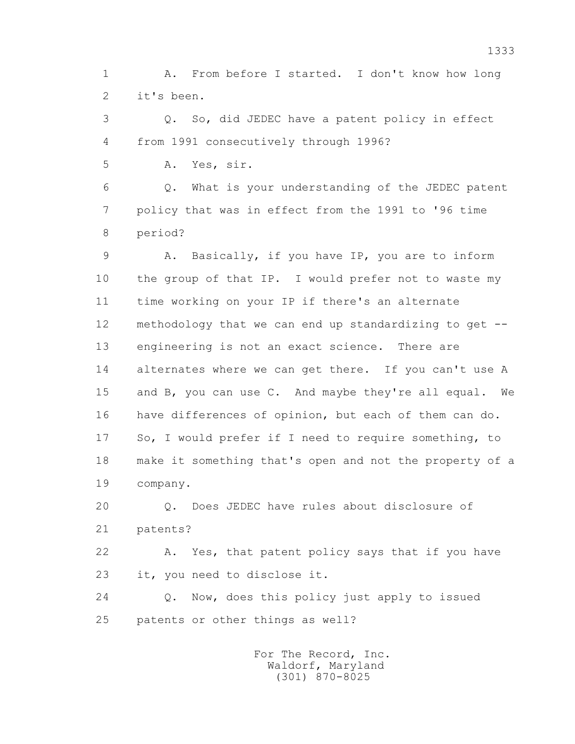1 A. From before I started. I don't know how long 2 it's been.

 3 Q. So, did JEDEC have a patent policy in effect 4 from 1991 consecutively through 1996?

5 A. Yes, sir.

 6 Q. What is your understanding of the JEDEC patent 7 policy that was in effect from the 1991 to '96 time 8 period?

9 A. Basically, if you have IP, you are to inform 10 the group of that IP. I would prefer not to waste my 11 time working on your IP if there's an alternate 12 methodology that we can end up standardizing to get -- 13 engineering is not an exact science. There are 14 alternates where we can get there. If you can't use A 15 and B, you can use C. And maybe they're all equal. We 16 have differences of opinion, but each of them can do. 17 So, I would prefer if I need to require something, to 18 make it something that's open and not the property of a 19 company.

 20 Q. Does JEDEC have rules about disclosure of 21 patents?

 22 A. Yes, that patent policy says that if you have 23 it, you need to disclose it.

 24 Q. Now, does this policy just apply to issued 25 patents or other things as well?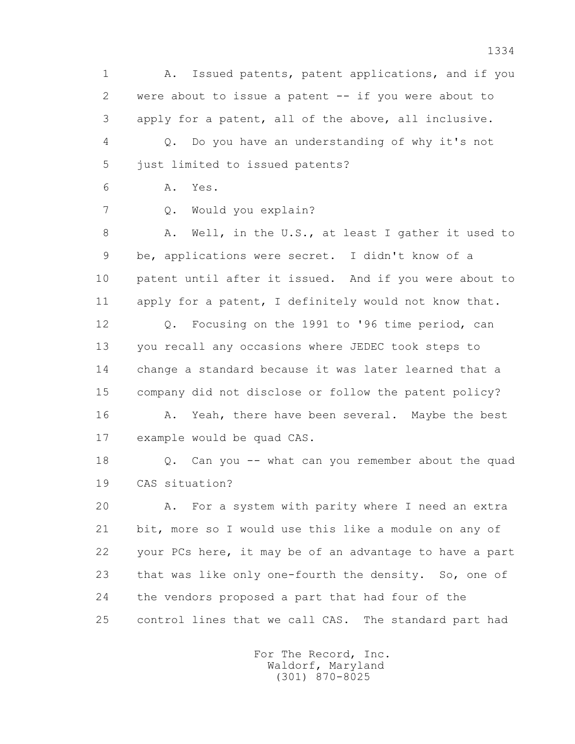1 A. Issued patents, patent applications, and if you 2 were about to issue a patent -- if you were about to 3 apply for a patent, all of the above, all inclusive. 4 Q. Do you have an understanding of why it's not 5 just limited to issued patents?

6 A. Yes.

7 Q. Would you explain?

8 A. Well, in the U.S., at least I gather it used to 9 be, applications were secret. I didn't know of a 10 patent until after it issued. And if you were about to 11 apply for a patent, I definitely would not know that.

 12 Q. Focusing on the 1991 to '96 time period, can 13 you recall any occasions where JEDEC took steps to 14 change a standard because it was later learned that a 15 company did not disclose or follow the patent policy? 16 A. Yeah, there have been several. Maybe the best

17 example would be quad CAS.

 18 Q. Can you -- what can you remember about the quad 19 CAS situation?

 20 A. For a system with parity where I need an extra 21 bit, more so I would use this like a module on any of 22 your PCs here, it may be of an advantage to have a part 23 that was like only one-fourth the density. So, one of 24 the vendors proposed a part that had four of the 25 control lines that we call CAS. The standard part had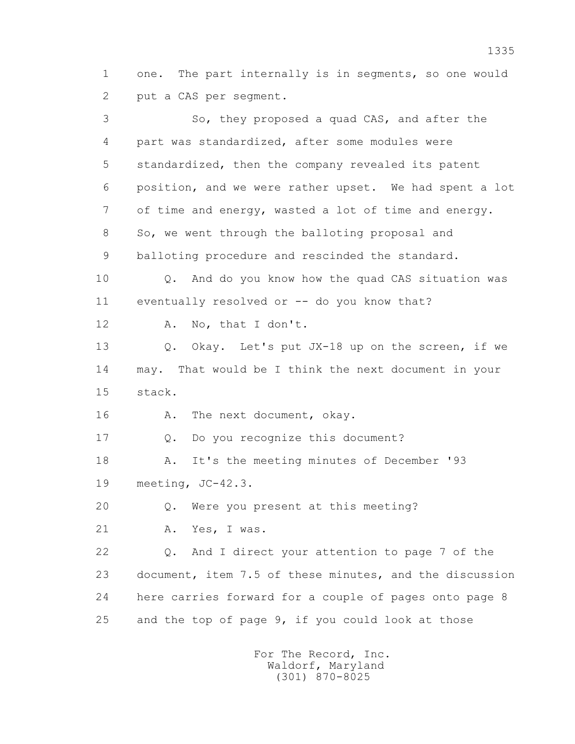1 one. The part internally is in segments, so one would 2 put a CAS per segment.

 3 So, they proposed a quad CAS, and after the 4 part was standardized, after some modules were 5 standardized, then the company revealed its patent 6 position, and we were rather upset. We had spent a lot 7 of time and energy, wasted a lot of time and energy. 8 So, we went through the balloting proposal and 9 balloting procedure and rescinded the standard. 10 Q. And do you know how the quad CAS situation was 11 eventually resolved or -- do you know that? 12 A. No, that I don't. 13 0. Okay. Let's put JX-18 up on the screen, if we 14 may. That would be I think the next document in your 15 stack. 16 A. The next document, okay. 17 Q. Do you recognize this document? 18 A. It's the meeting minutes of December '93 19 meeting, JC-42.3. 20 Q. Were you present at this meeting? 21 A. Yes, I was. 22 Q. And I direct your attention to page 7 of the 23 document, item 7.5 of these minutes, and the discussion 24 here carries forward for a couple of pages onto page 8 25 and the top of page 9, if you could look at those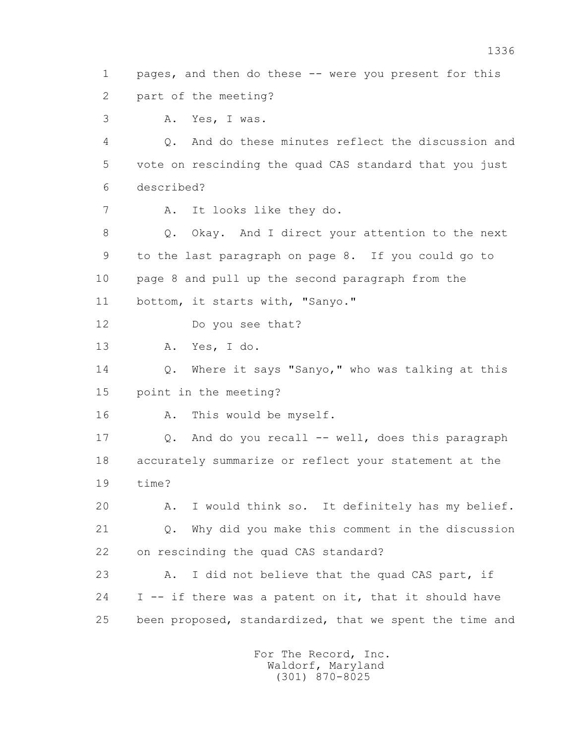1 pages, and then do these -- were you present for this 2 part of the meeting?

3 A. Yes, I was.

 4 Q. And do these minutes reflect the discussion and 5 vote on rescinding the quad CAS standard that you just 6 described?

7 A. It looks like they do.

 8 Q. Okay. And I direct your attention to the next 9 to the last paragraph on page 8. If you could go to 10 page 8 and pull up the second paragraph from the 11 bottom, it starts with, "Sanyo."

12 Do you see that?

13 A. Yes, I do.

 14 Q. Where it says "Sanyo," who was talking at this 15 point in the meeting?

16 A. This would be myself.

 17 Q. And do you recall -- well, does this paragraph 18 accurately summarize or reflect your statement at the 19 time?

 20 A. I would think so. It definitely has my belief. 21 Q. Why did you make this comment in the discussion 22 on rescinding the quad CAS standard?

23 A. I did not believe that the quad CAS part, if  $24$  I  $-$  if there was a patent on it, that it should have 25 been proposed, standardized, that we spent the time and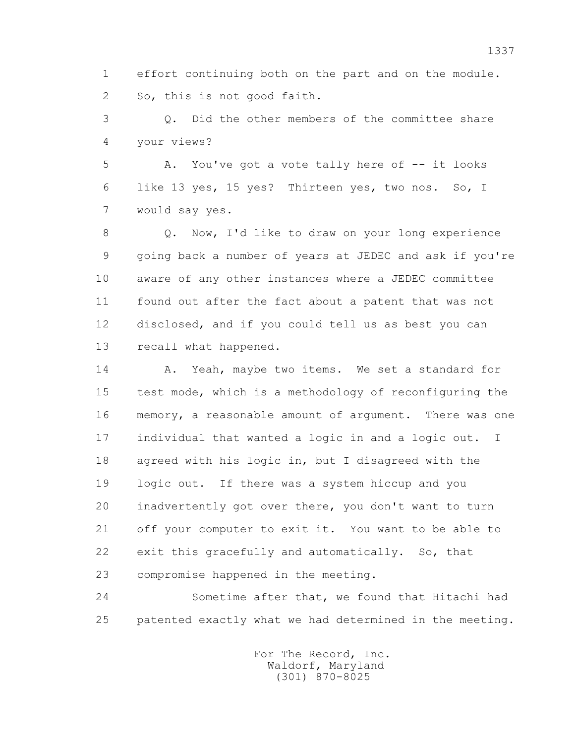1 effort continuing both on the part and on the module. 2 So, this is not good faith.

 3 Q. Did the other members of the committee share 4 your views?

 5 A. You've got a vote tally here of -- it looks 6 like 13 yes, 15 yes? Thirteen yes, two nos. So, I 7 would say yes.

 8 Q. Now, I'd like to draw on your long experience 9 going back a number of years at JEDEC and ask if you're 10 aware of any other instances where a JEDEC committee 11 found out after the fact about a patent that was not 12 disclosed, and if you could tell us as best you can 13 recall what happened.

14 A. Yeah, maybe two items. We set a standard for 15 test mode, which is a methodology of reconfiguring the 16 memory, a reasonable amount of argument. There was one 17 individual that wanted a logic in and a logic out. I 18 agreed with his logic in, but I disagreed with the 19 logic out. If there was a system hiccup and you 20 inadvertently got over there, you don't want to turn 21 off your computer to exit it. You want to be able to 22 exit this gracefully and automatically. So, that 23 compromise happened in the meeting.

 24 Sometime after that, we found that Hitachi had 25 patented exactly what we had determined in the meeting.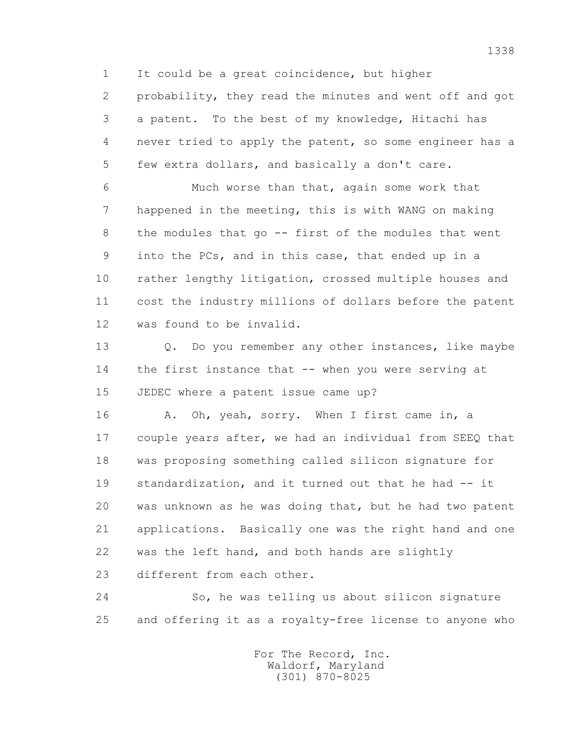1 It could be a great coincidence, but higher

 2 probability, they read the minutes and went off and got 3 a patent. To the best of my knowledge, Hitachi has 4 never tried to apply the patent, so some engineer has a 5 few extra dollars, and basically a don't care.

 6 Much worse than that, again some work that 7 happened in the meeting, this is with WANG on making 8 the modules that go -- first of the modules that went 9 into the PCs, and in this case, that ended up in a 10 rather lengthy litigation, crossed multiple houses and 11 cost the industry millions of dollars before the patent 12 was found to be invalid.

13 0. Do you remember any other instances, like maybe 14 the first instance that -- when you were serving at 15 JEDEC where a patent issue came up?

16 A. Oh, yeah, sorry. When I first came in, a 17 couple years after, we had an individual from SEEQ that 18 was proposing something called silicon signature for 19 standardization, and it turned out that he had -- it 20 was unknown as he was doing that, but he had two patent 21 applications. Basically one was the right hand and one 22 was the left hand, and both hands are slightly 23 different from each other.

 24 So, he was telling us about silicon signature 25 and offering it as a royalty-free license to anyone who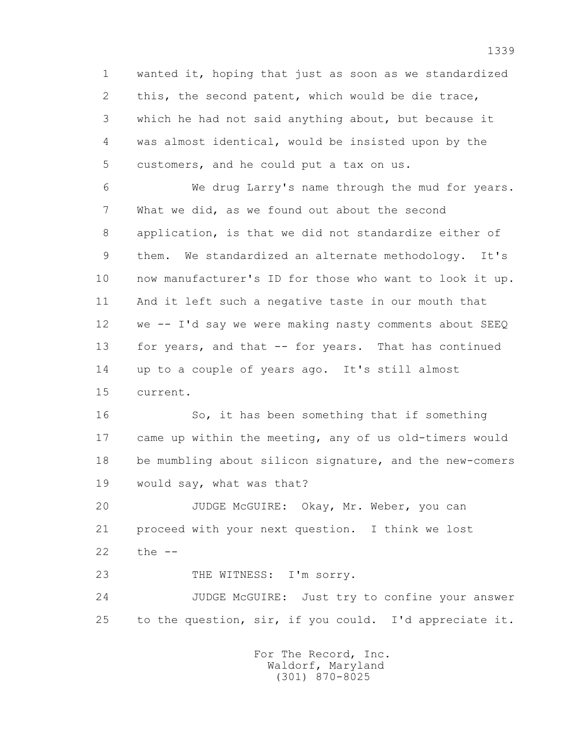1 wanted it, hoping that just as soon as we standardized 2 this, the second patent, which would be die trace, 3 which he had not said anything about, but because it 4 was almost identical, would be insisted upon by the 5 customers, and he could put a tax on us.

 6 We drug Larry's name through the mud for years. 7 What we did, as we found out about the second 8 application, is that we did not standardize either of 9 them. We standardized an alternate methodology. It's 10 now manufacturer's ID for those who want to look it up. 11 And it left such a negative taste in our mouth that 12 we -- I'd say we were making nasty comments about SEEQ 13 for years, and that -- for years. That has continued 14 up to a couple of years ago. It's still almost 15 current.

 16 So, it has been something that if something 17 came up within the meeting, any of us old-timers would 18 be mumbling about silicon signature, and the new-comers 19 would say, what was that?

 20 JUDGE McGUIRE: Okay, Mr. Weber, you can 21 proceed with your next question. I think we lost 22 the --

23 THE WITNESS: I'm sorry.

 24 JUDGE McGUIRE: Just try to confine your answer 25 to the question, sir, if you could. I'd appreciate it.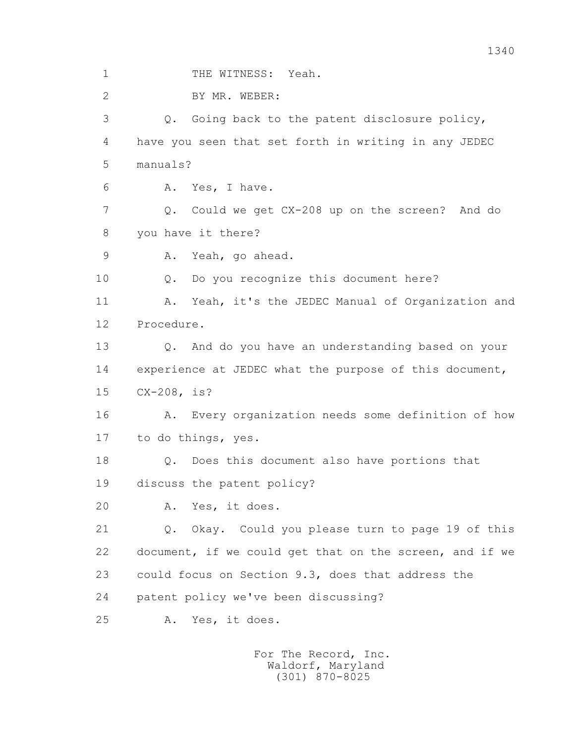1 THE WITNESS: Yeah.

2 BY MR. WEBER:

 3 Q. Going back to the patent disclosure policy, 4 have you seen that set forth in writing in any JEDEC 5 manuals?

6 A. Yes, I have.

 7 Q. Could we get CX-208 up on the screen? And do 8 you have it there?

9 A. Yeah, go ahead.

10 Q. Do you recognize this document here?

 11 A. Yeah, it's the JEDEC Manual of Organization and 12 Procedure.

 13 Q. And do you have an understanding based on your 14 experience at JEDEC what the purpose of this document, 15 CX-208, is?

 16 A. Every organization needs some definition of how 17 to do things, yes.

18 Q. Does this document also have portions that

19 discuss the patent policy?

20 A. Yes, it does.

 21 Q. Okay. Could you please turn to page 19 of this 22 document, if we could get that on the screen, and if we 23 could focus on Section 9.3, does that address the 24 patent policy we've been discussing?

25 A. Yes, it does.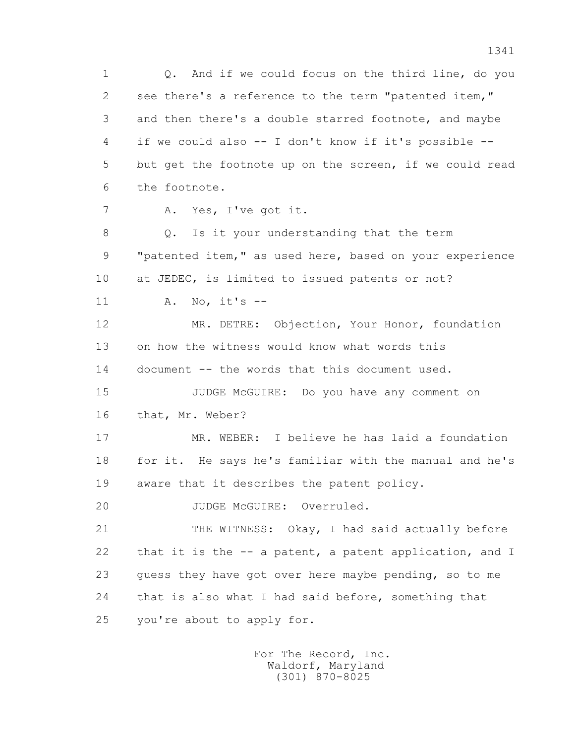1 Q. And if we could focus on the third line, do you 2 see there's a reference to the term "patented item," 3 and then there's a double starred footnote, and maybe 4 if we could also -- I don't know if it's possible -- 5 but get the footnote up on the screen, if we could read 6 the footnote. 7 A. Yes, I've got it. 8 Q. Is it your understanding that the term 9 "patented item," as used here, based on your experience 10 at JEDEC, is limited to issued patents or not? 11 A. No, it's -- 12 MR. DETRE: Objection, Your Honor, foundation 13 on how the witness would know what words this 14 document -- the words that this document used. 15 JUDGE McGUIRE: Do you have any comment on 16 that, Mr. Weber? 17 MR. WEBER: I believe he has laid a foundation 18 for it. He says he's familiar with the manual and he's 19 aware that it describes the patent policy. 20 JUDGE McGUIRE: Overruled. 21 THE WITNESS: Okay, I had said actually before 22 that it is the -- a patent, a patent application, and I 23 guess they have got over here maybe pending, so to me 24 that is also what I had said before, something that 25 you're about to apply for.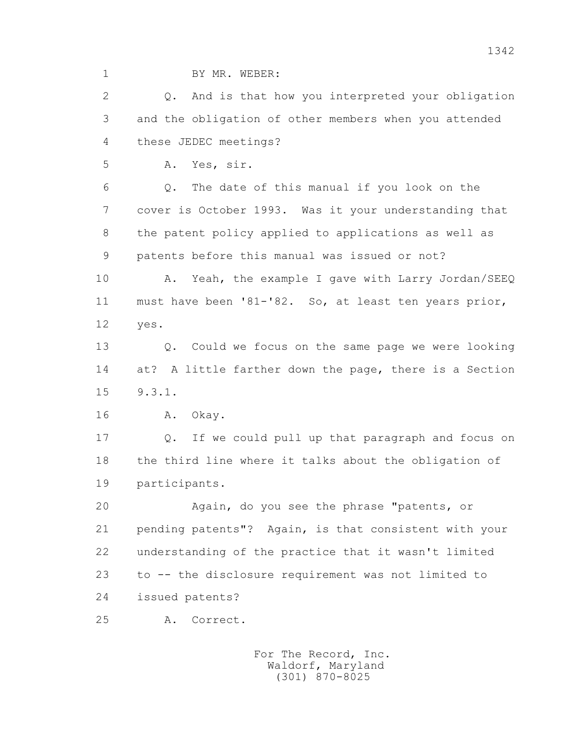1 BY MR. WEBER:

 2 Q. And is that how you interpreted your obligation 3 and the obligation of other members when you attended 4 these JEDEC meetings?

5 A. Yes, sir.

 6 Q. The date of this manual if you look on the 7 cover is October 1993. Was it your understanding that 8 the patent policy applied to applications as well as 9 patents before this manual was issued or not?

10 A. Yeah, the example I gave with Larry Jordan/SEEQ 11 must have been '81-'82. So, at least ten years prior, 12 yes.

 13 Q. Could we focus on the same page we were looking 14 at? A little farther down the page, there is a Section 15 9.3.1.

16 A. Okay.

 17 Q. If we could pull up that paragraph and focus on 18 the third line where it talks about the obligation of 19 participants.

 20 Again, do you see the phrase "patents, or 21 pending patents"? Again, is that consistent with your 22 understanding of the practice that it wasn't limited 23 to -- the disclosure requirement was not limited to 24 issued patents?

25 A. Correct.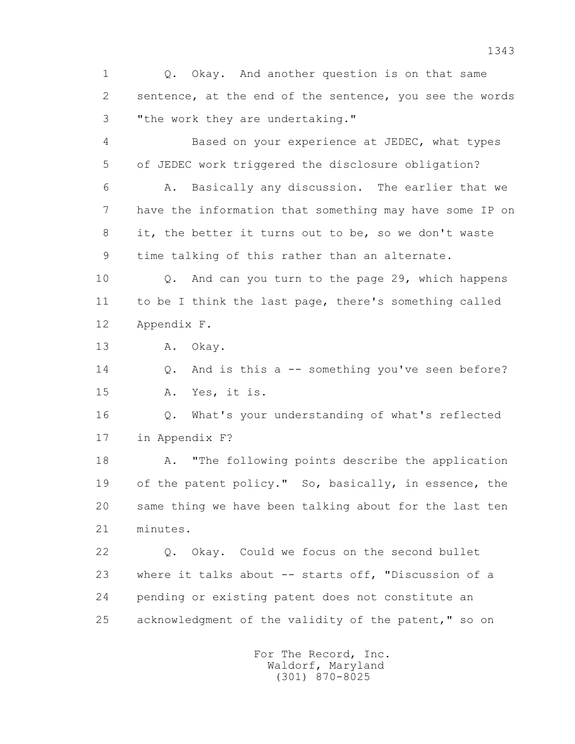1 Q. Okay. And another question is on that same 2 sentence, at the end of the sentence, you see the words 3 "the work they are undertaking."

 4 Based on your experience at JEDEC, what types 5 of JEDEC work triggered the disclosure obligation?

 6 A. Basically any discussion. The earlier that we 7 have the information that something may have some IP on 8 it, the better it turns out to be, so we don't waste 9 time talking of this rather than an alternate.

 10 Q. And can you turn to the page 29, which happens 11 to be I think the last page, there's something called 12 Appendix F.

13 A. Okay.

 14 Q. And is this a -- something you've seen before? 15 A. Yes, it is.

 16 Q. What's your understanding of what's reflected 17 in Appendix F?

 18 A. "The following points describe the application 19 of the patent policy." So, basically, in essence, the 20 same thing we have been talking about for the last ten 21 minutes.

 22 Q. Okay. Could we focus on the second bullet 23 where it talks about -- starts off, "Discussion of a 24 pending or existing patent does not constitute an 25 acknowledgment of the validity of the patent," so on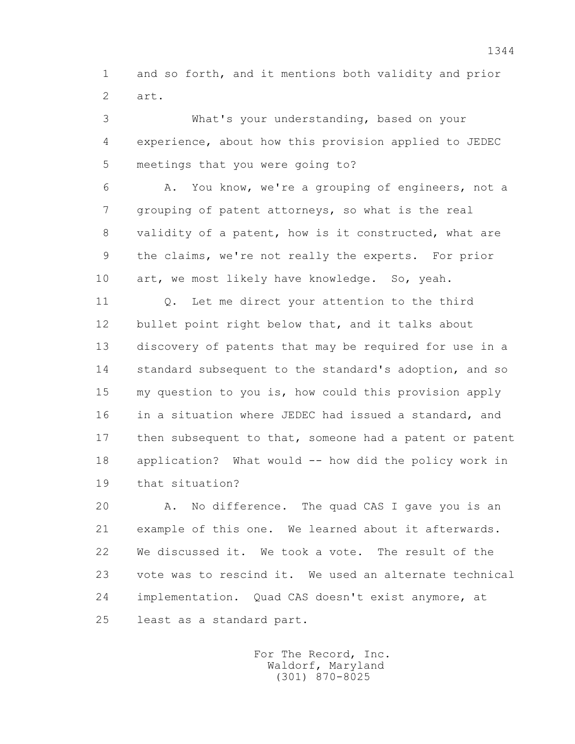1 and so forth, and it mentions both validity and prior 2 art.

 3 What's your understanding, based on your 4 experience, about how this provision applied to JEDEC 5 meetings that you were going to?

 6 A. You know, we're a grouping of engineers, not a 7 grouping of patent attorneys, so what is the real 8 validity of a patent, how is it constructed, what are 9 the claims, we're not really the experts. For prior 10 art, we most likely have knowledge. So, yeah.

 11 Q. Let me direct your attention to the third 12 bullet point right below that, and it talks about 13 discovery of patents that may be required for use in a 14 standard subsequent to the standard's adoption, and so 15 my question to you is, how could this provision apply 16 in a situation where JEDEC had issued a standard, and 17 then subsequent to that, someone had a patent or patent 18 application? What would -- how did the policy work in 19 that situation?

 20 A. No difference. The quad CAS I gave you is an 21 example of this one. We learned about it afterwards. 22 We discussed it. We took a vote. The result of the 23 vote was to rescind it. We used an alternate technical 24 implementation. Quad CAS doesn't exist anymore, at 25 least as a standard part.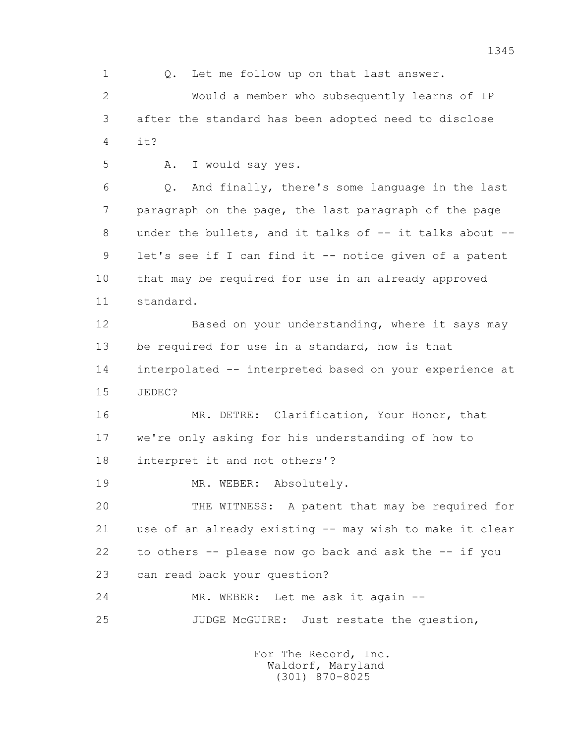1 Q. Let me follow up on that last answer. 2 Would a member who subsequently learns of IP 3 after the standard has been adopted need to disclose 4  $\mathbf{i} + 2$  5 A. I would say yes. 6 Q. And finally, there's some language in the last 7 paragraph on the page, the last paragraph of the page 8 under the bullets, and it talks of -- it talks about --9 let's see if I can find it -- notice given of a patent 10 that may be required for use in an already approved 11 standard. 12 Based on your understanding, where it says may 13 be required for use in a standard, how is that 14 interpolated -- interpreted based on your experience at 15 JEDEC? 16 MR. DETRE: Clarification, Your Honor, that 17 we're only asking for his understanding of how to 18 interpret it and not others'? 19 MR. WEBER: Absolutely. 20 THE WITNESS: A patent that may be required for 21 use of an already existing -- may wish to make it clear 22 to others -- please now go back and ask the -- if you 23 can read back your question? 24 MR. WEBER: Let me ask it again -- 25 JUDGE McGUIRE: Just restate the question,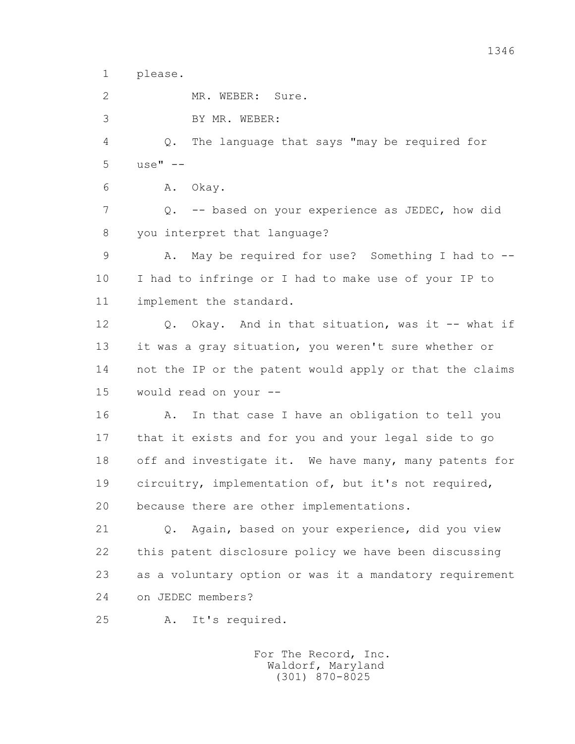1 please.

2 MR. WEBER: Sure.

3 BY MR. WEBER:

 4 Q. The language that says "may be required for  $5 \text{ use} \texttt{"} \texttt{--}$ 

6 A. Okay.

7 Q. -- based on your experience as JEDEC, how did 8 you interpret that language?

 9 A. May be required for use? Something I had to -- 10 I had to infringe or I had to make use of your IP to 11 implement the standard.

 12 Q. Okay. And in that situation, was it -- what if 13 it was a gray situation, you weren't sure whether or 14 not the IP or the patent would apply or that the claims 15 would read on your --

 16 A. In that case I have an obligation to tell you 17 that it exists and for you and your legal side to go 18 off and investigate it. We have many, many patents for 19 circuitry, implementation of, but it's not required, 20 because there are other implementations.

 21 Q. Again, based on your experience, did you view 22 this patent disclosure policy we have been discussing 23 as a voluntary option or was it a mandatory requirement 24 on JEDEC members?

25 A. It's required.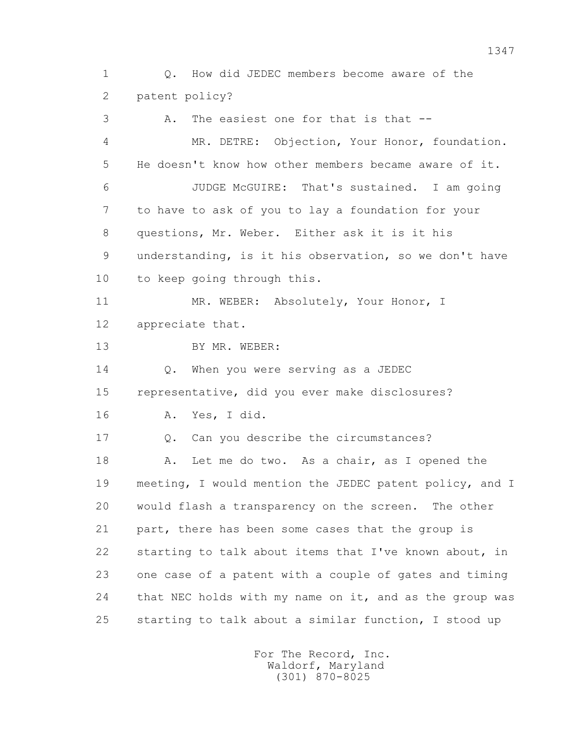1 Q. How did JEDEC members become aware of the 2 patent policy?

 3 A. The easiest one for that is that -- 4 MR. DETRE: Objection, Your Honor, foundation. 5 He doesn't know how other members became aware of it. 6 JUDGE McGUIRE: That's sustained. I am going 7 to have to ask of you to lay a foundation for your 8 questions, Mr. Weber. Either ask it is it his 9 understanding, is it his observation, so we don't have 10 to keep going through this. 11 MR. WEBER: Absolutely, Your Honor, I 12 appreciate that. 13 BY MR. WEBER: 14 0. When you were serving as a JEDEC 15 representative, did you ever make disclosures? 16 A. Yes, I did. 17 Q. Can you describe the circumstances? 18 A. Let me do two. As a chair, as I opened the 19 meeting, I would mention the JEDEC patent policy, and I 20 would flash a transparency on the screen. The other 21 part, there has been some cases that the group is 22 starting to talk about items that I've known about, in 23 one case of a patent with a couple of gates and timing 24 that NEC holds with my name on it, and as the group was 25 starting to talk about a similar function, I stood up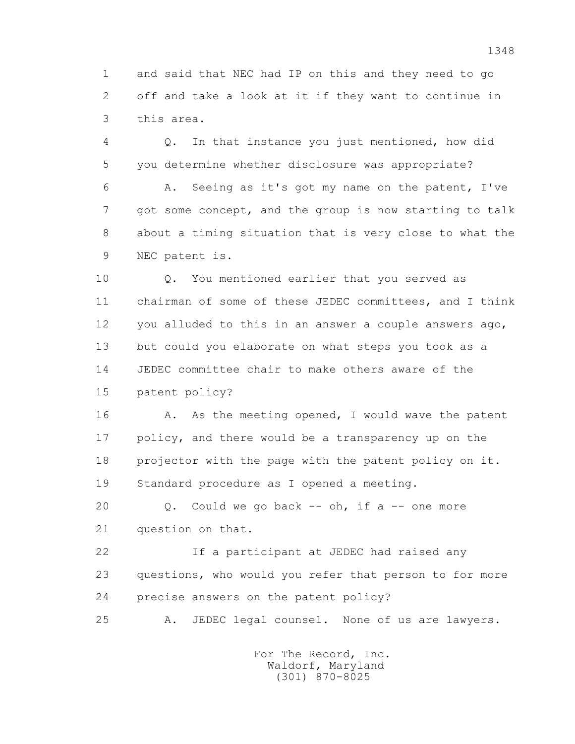1 and said that NEC had IP on this and they need to go 2 off and take a look at it if they want to continue in 3 this area.

 4 Q. In that instance you just mentioned, how did 5 you determine whether disclosure was appropriate?

 6 A. Seeing as it's got my name on the patent, I've 7 got some concept, and the group is now starting to talk 8 about a timing situation that is very close to what the 9 NEC patent is.

 10 Q. You mentioned earlier that you served as 11 chairman of some of these JEDEC committees, and I think 12 you alluded to this in an answer a couple answers ago, 13 but could you elaborate on what steps you took as a 14 JEDEC committee chair to make others aware of the 15 patent policy?

16 A. As the meeting opened, I would wave the patent 17 policy, and there would be a transparency up on the 18 projector with the page with the patent policy on it. 19 Standard procedure as I opened a meeting.

 20 Q. Could we go back -- oh, if a -- one more 21 question on that.

 22 If a participant at JEDEC had raised any 23 questions, who would you refer that person to for more 24 precise answers on the patent policy?

25 A. JEDEC legal counsel. None of us are lawyers.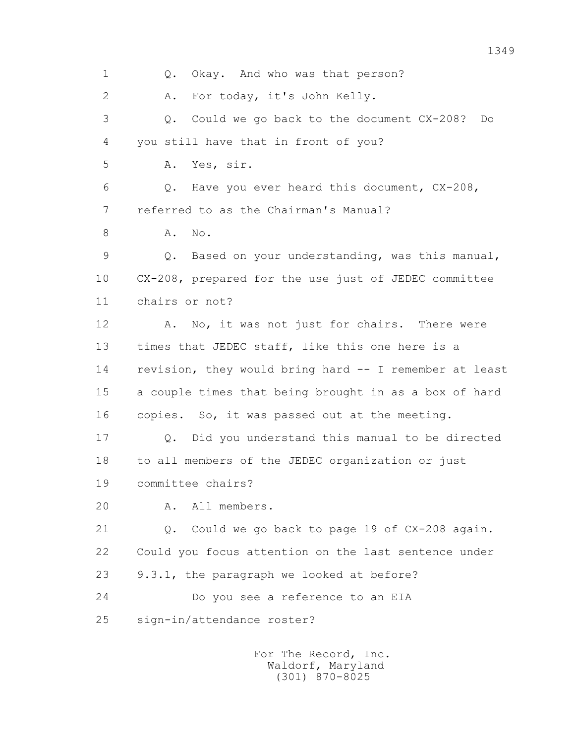1 Q. Okay. And who was that person? 2 A. For today, it's John Kelly. 3 Q. Could we go back to the document CX-208? Do 4 you still have that in front of you? 5 A. Yes, sir. 6 Q. Have you ever heard this document, CX-208, 7 referred to as the Chairman's Manual? 8 A. No. 9 Q. Based on your understanding, was this manual, 10 CX-208, prepared for the use just of JEDEC committee 11 chairs or not? 12 A. No, it was not just for chairs. There were 13 times that JEDEC staff, like this one here is a 14 revision, they would bring hard -- I remember at least 15 a couple times that being brought in as a box of hard 16 copies. So, it was passed out at the meeting. 17 Q. Did you understand this manual to be directed 18 to all members of the JEDEC organization or just 19 committee chairs? 20 A. All members. 21 Q. Could we go back to page 19 of CX-208 again. 22 Could you focus attention on the last sentence under 23 9.3.1, the paragraph we looked at before? 24 Do you see a reference to an EIA 25 sign-in/attendance roster? For The Record, Inc. Waldorf, Maryland

(301) 870-8025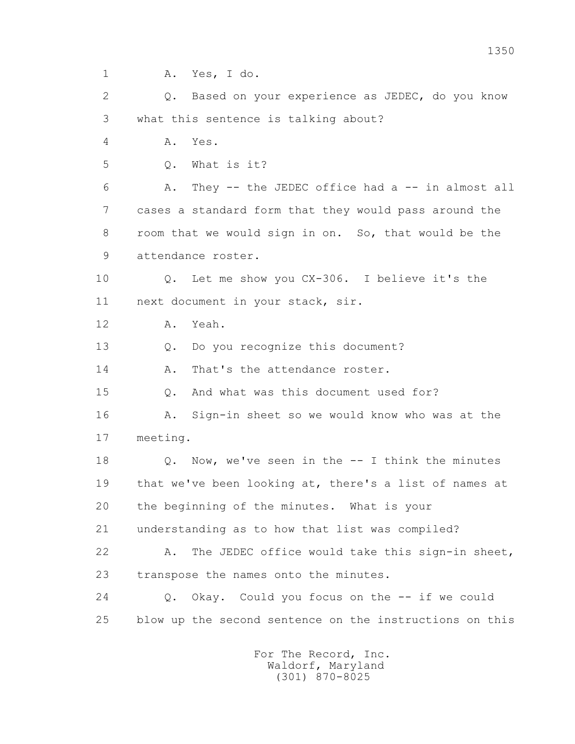1 A. Yes, I do.

 2 Q. Based on your experience as JEDEC, do you know 3 what this sentence is talking about?

4 A. Yes.

5 Q. What is it?

 6 A. They -- the JEDEC office had a -- in almost all 7 cases a standard form that they would pass around the 8 room that we would sign in on. So, that would be the 9 attendance roster.

 10 Q. Let me show you CX-306. I believe it's the 11 next document in your stack, sir.

12 A. Yeah.

13 Q. Do you recognize this document?

14 A. That's the attendance roster.

15 Q. And what was this document used for?

 16 A. Sign-in sheet so we would know who was at the 17 meeting.

 18 Q. Now, we've seen in the -- I think the minutes 19 that we've been looking at, there's a list of names at 20 the beginning of the minutes. What is your

21 understanding as to how that list was compiled?

 22 A. The JEDEC office would take this sign-in sheet, 23 transpose the names onto the minutes.

 24 Q. Okay. Could you focus on the -- if we could 25 blow up the second sentence on the instructions on this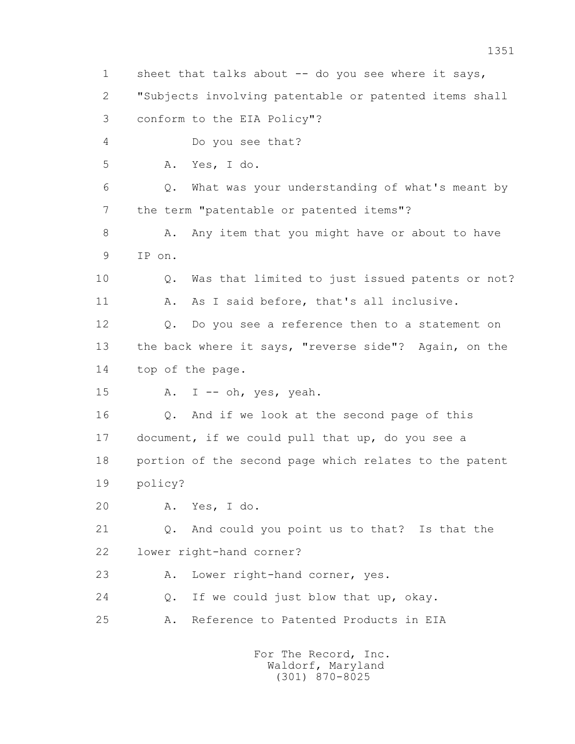1 sheet that talks about -- do you see where it says, 2 "Subjects involving patentable or patented items shall 3 conform to the EIA Policy"? 4 Do you see that? 5 A. Yes, I do. 6 Q. What was your understanding of what's meant by 7 the term "patentable or patented items"? 8 A. Any item that you might have or about to have 9 IP on. 10 Q. Was that limited to just issued patents or not? 11 A. As I said before, that's all inclusive. 12 Q. Do you see a reference then to a statement on 13 the back where it says, "reverse side"? Again, on the 14 top of the page. 15 A. I -- oh, yes, yeah. 16 Q. And if we look at the second page of this 17 document, if we could pull that up, do you see a 18 portion of the second page which relates to the patent 19 policy? 20 A. Yes, I do. 21 Q. And could you point us to that? Is that the 22 lower right-hand corner? 23 A. Lower right-hand corner, yes. 24 O. If we could just blow that up, okay. 25 A. Reference to Patented Products in EIA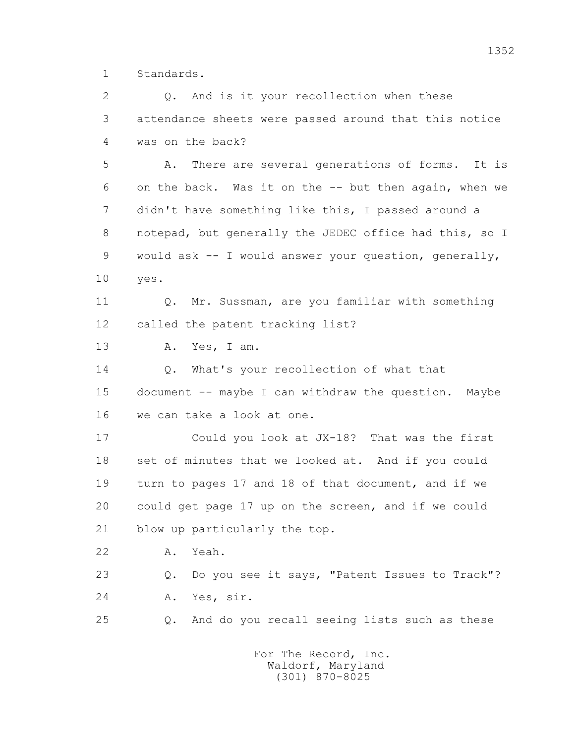1 Standards.

2 0. And is it your recollection when these 3 attendance sheets were passed around that this notice 4 was on the back? 5 A. There are several generations of forms. It is 6 on the back. Was it on the -- but then again, when we 7 didn't have something like this, I passed around a 8 notepad, but generally the JEDEC office had this, so I 9 would ask -- I would answer your question, generally, 10 yes. 11 Q. Mr. Sussman, are you familiar with something 12 called the patent tracking list? 13 A. Yes, I am. 14 0. What's your recollection of what that 15 document -- maybe I can withdraw the question. Maybe 16 we can take a look at one. 17 Could you look at JX-18? That was the first 18 set of minutes that we looked at. And if you could 19 turn to pages 17 and 18 of that document, and if we 20 could get page 17 up on the screen, and if we could 21 blow up particularly the top. 22 A. Yeah. 23 Q. Do you see it says, "Patent Issues to Track"? 24 A. Yes, sir. 25 Q. And do you recall seeing lists such as these For The Record, Inc.

 Waldorf, Maryland (301) 870-8025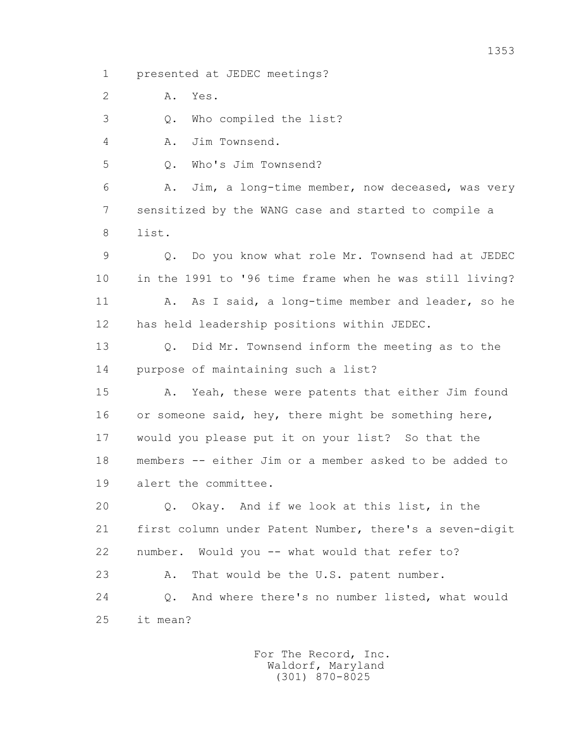1 presented at JEDEC meetings?

2 A. Yes.

3 Q. Who compiled the list?

4 A. Jim Townsend.

5 Q. Who's Jim Townsend?

 6 A. Jim, a long-time member, now deceased, was very 7 sensitized by the WANG case and started to compile a 8 list.

 9 Q. Do you know what role Mr. Townsend had at JEDEC 10 in the 1991 to '96 time frame when he was still living? 11 A. As I said, a long-time member and leader, so he 12 has held leadership positions within JEDEC.

 13 Q. Did Mr. Townsend inform the meeting as to the 14 purpose of maintaining such a list?

 15 A. Yeah, these were patents that either Jim found 16 or someone said, hey, there might be something here, 17 would you please put it on your list? So that the 18 members -- either Jim or a member asked to be added to 19 alert the committee.

 20 Q. Okay. And if we look at this list, in the 21 first column under Patent Number, there's a seven-digit 22 number. Would you -- what would that refer to? 23 A. That would be the U.S. patent number.

 24 Q. And where there's no number listed, what would 25 it mean?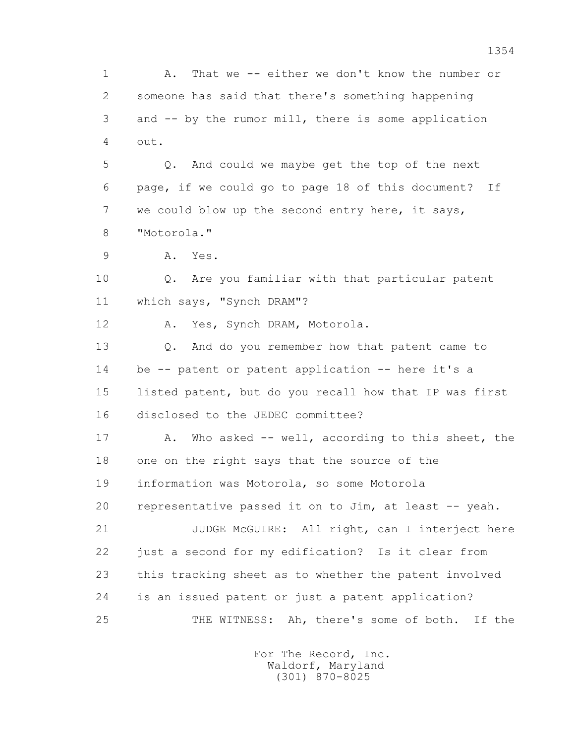1 A. That we -- either we don't know the number or 2 someone has said that there's something happening 3 and -- by the rumor mill, there is some application 4 out.

 5 Q. And could we maybe get the top of the next 6 page, if we could go to page 18 of this document? If 7 we could blow up the second entry here, it says, 8 "Motorola."

9 A. Yes.

 10 Q. Are you familiar with that particular patent 11 which says, "Synch DRAM"?

12 A. Yes, Synch DRAM, Motorola.

 13 Q. And do you remember how that patent came to 14 be -- patent or patent application -- here it's a 15 listed patent, but do you recall how that IP was first 16 disclosed to the JEDEC committee?

 17 A. Who asked -- well, according to this sheet, the 18 one on the right says that the source of the 19 information was Motorola, so some Motorola 20 representative passed it on to Jim, at least -- yeah. 21 JUDGE McGUIRE: All right, can I interject here

 22 just a second for my edification? Is it clear from 23 this tracking sheet as to whether the patent involved 24 is an issued patent or just a patent application? 25 THE WITNESS: Ah, there's some of both. If the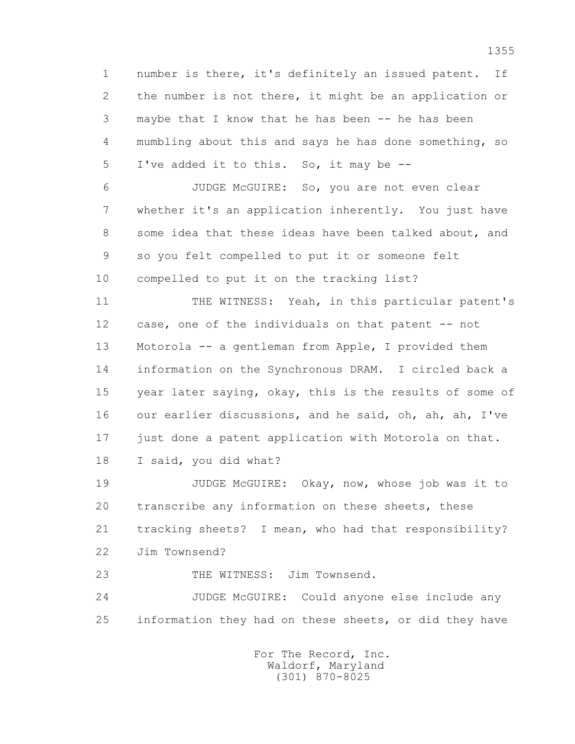1 number is there, it's definitely an issued patent. If 2 the number is not there, it might be an application or 3 maybe that I know that he has been -- he has been 4 mumbling about this and says he has done something, so 5 I've added it to this. So, it may be --

 6 JUDGE McGUIRE: So, you are not even clear 7 whether it's an application inherently. You just have 8 some idea that these ideas have been talked about, and 9 so you felt compelled to put it or someone felt 10 compelled to put it on the tracking list?

11 THE WITNESS: Yeah, in this particular patent's 12 case, one of the individuals on that patent -- not 13 Motorola -- a gentleman from Apple, I provided them 14 information on the Synchronous DRAM. I circled back a 15 year later saying, okay, this is the results of some of 16 our earlier discussions, and he said, oh, ah, ah, I've 17 just done a patent application with Motorola on that.

18 I said, you did what?

 19 JUDGE McGUIRE: Okay, now, whose job was it to 20 transcribe any information on these sheets, these 21 tracking sheets? I mean, who had that responsibility? 22 Jim Townsend?

23 THE WITNESS: Jim Townsend.

 24 JUDGE McGUIRE: Could anyone else include any 25 information they had on these sheets, or did they have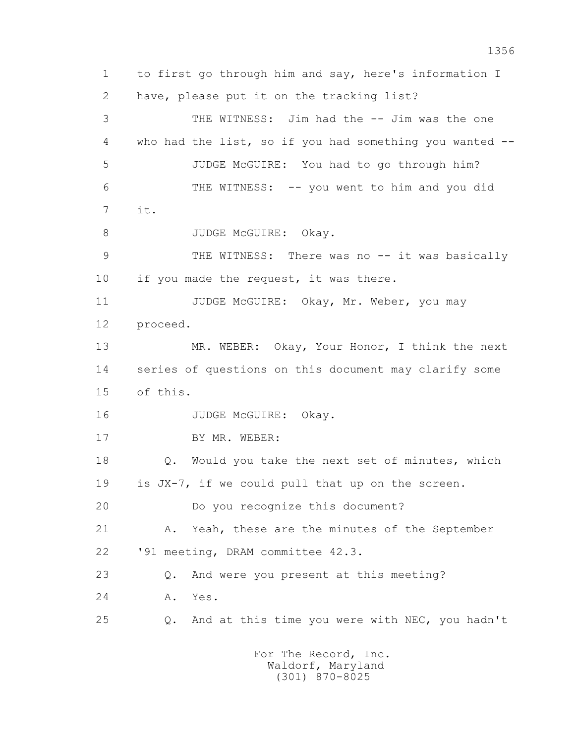1 to first go through him and say, here's information I 2 have, please put it on the tracking list? 3 THE WITNESS: Jim had the -- Jim was the one 4 who had the list, so if you had something you wanted -- 5 JUDGE McGUIRE: You had to go through him? 6 THE WITNESS: -- you went to him and you did 7 it. 8 JUDGE McGUIRE: Okay. 9 THE WITNESS: There was no -- it was basically 10 if you made the request, it was there. 11 JUDGE McGUIRE: Okay, Mr. Weber, you may 12 proceed. 13 MR. WEBER: Okay, Your Honor, I think the next 14 series of questions on this document may clarify some 15 of this. 16 JUDGE McGUIRE: Okay. 17 BY MR. WEBER: 18 Q. Would you take the next set of minutes, which 19 is JX-7, if we could pull that up on the screen. 20 Do you recognize this document? 21 A. Yeah, these are the minutes of the September 22 '91 meeting, DRAM committee 42.3. 23 Q. And were you present at this meeting? 24 A. Yes. 25 Q. And at this time you were with NEC, you hadn't For The Record, Inc.

> Waldorf, Maryland (301) 870-8025

1356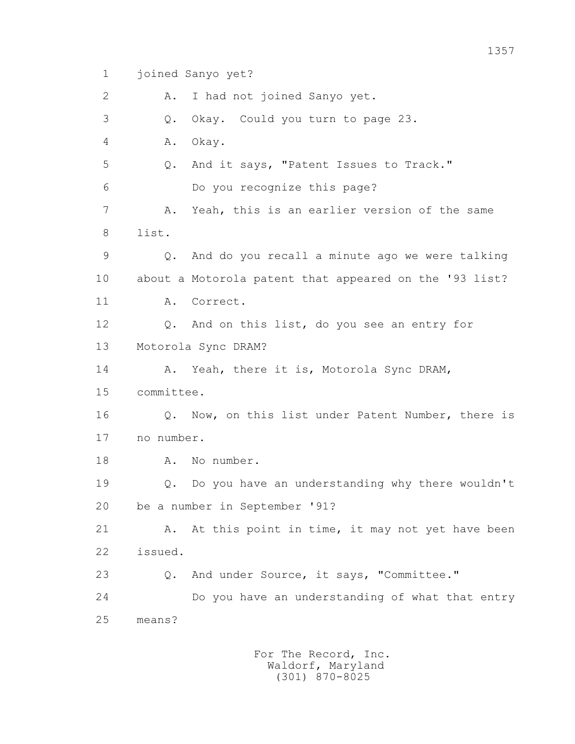1 joined Sanyo yet?

2 A. I had not joined Sanyo yet.

3 Q. Okay. Could you turn to page 23.

4 A. Okay.

5 Q. And it says, "Patent Issues to Track."

6 Do you recognize this page?

 7 A. Yeah, this is an earlier version of the same 8 list.

 9 Q. And do you recall a minute ago we were talking 10 about a Motorola patent that appeared on the '93 list? 11 A. Correct.

 12 Q. And on this list, do you see an entry for 13 Motorola Sync DRAM?

14 A. Yeah, there it is, Motorola Sync DRAM,

15 committee.

 16 Q. Now, on this list under Patent Number, there is 17 no number.

18 A. No number.

 19 Q. Do you have an understanding why there wouldn't 20 be a number in September '91?

21 A. At this point in time, it may not yet have been 22 issued.

23 Q. And under Source, it says, "Committee."

 24 Do you have an understanding of what that entry 25 means?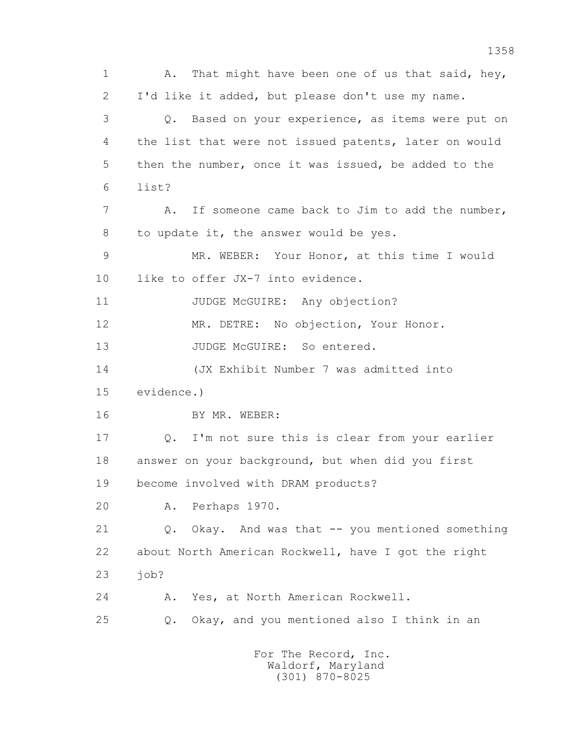1 A. That might have been one of us that said, hey, 2 I'd like it added, but please don't use my name. 3 Q. Based on your experience, as items were put on 4 the list that were not issued patents, later on would 5 then the number, once it was issued, be added to the 6 list? 7 A. If someone came back to Jim to add the number, 8 to update it, the answer would be yes. 9 MR. WEBER: Your Honor, at this time I would 10 like to offer JX-7 into evidence. 11 JUDGE McGUIRE: Any objection? 12 MR. DETRE: No objection, Your Honor. 13 JUDGE McGUIRE: So entered. 14 (JX Exhibit Number 7 was admitted into 15 evidence.) 16 BY MR. WEBER: 17 Q. I'm not sure this is clear from your earlier 18 answer on your background, but when did you first 19 become involved with DRAM products? 20 A. Perhaps 1970. 21 Q. Okay. And was that -- you mentioned something 22 about North American Rockwell, have I got the right 23 job? 24 A. Yes, at North American Rockwell. 25 Q. Okay, and you mentioned also I think in an For The Record, Inc.

 Waldorf, Maryland (301) 870-8025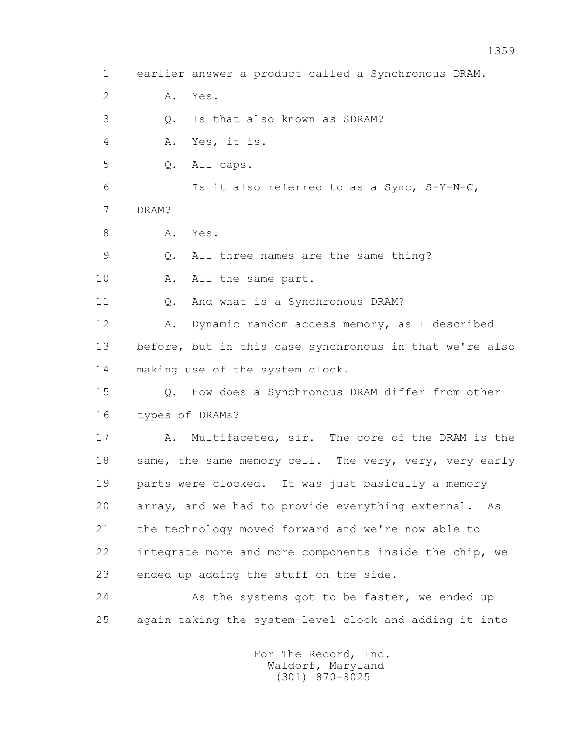1 earlier answer a product called a Synchronous DRAM. 2 A. Yes. 3 Q. Is that also known as SDRAM? 4 A. Yes, it is. 5 Q. All caps. 6 Is it also referred to as a Sync, S-Y-N-C, 7 DRAM? 8 A. Yes. 9 Q. All three names are the same thing? 10 A. All the same part. 11 Q. And what is a Synchronous DRAM? 12 A. Dynamic random access memory, as I described 13 before, but in this case synchronous in that we're also 14 making use of the system clock. 15 Q. How does a Synchronous DRAM differ from other 16 types of DRAMs? 17 A. Multifaceted, sir. The core of the DRAM is the 18 same, the same memory cell. The very, very, very early 19 parts were clocked. It was just basically a memory 20 array, and we had to provide everything external. As 21 the technology moved forward and we're now able to 22 integrate more and more components inside the chip, we 23 ended up adding the stuff on the side. 24 As the systems got to be faster, we ended up 25 again taking the system-level clock and adding it into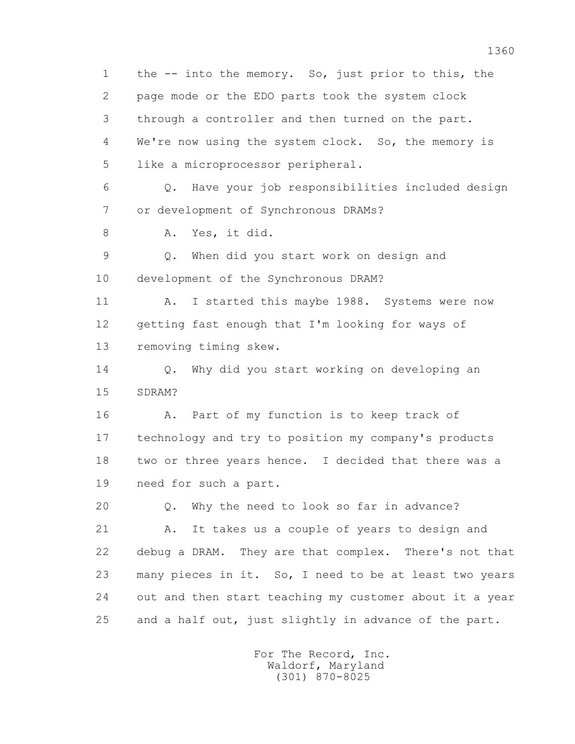1 the -- into the memory. So, just prior to this, the 2 page mode or the EDO parts took the system clock 3 through a controller and then turned on the part. 4 We're now using the system clock. So, the memory is 5 like a microprocessor peripheral. 6 Q. Have your job responsibilities included design 7 or development of Synchronous DRAMs? 8 A. Yes, it did. 9 Q. When did you start work on design and 10 development of the Synchronous DRAM? 11 A. I started this maybe 1988. Systems were now 12 getting fast enough that I'm looking for ways of 13 removing timing skew. 14 O. Why did you start working on developing an 15 SDRAM? 16 A. Part of my function is to keep track of 17 technology and try to position my company's products 18 two or three years hence. I decided that there was a 19 need for such a part. 20 Q. Why the need to look so far in advance? 21 A. It takes us a couple of years to design and 22 debug a DRAM. They are that complex. There's not that 23 many pieces in it. So, I need to be at least two years 24 out and then start teaching my customer about it a year 25 and a half out, just slightly in advance of the part.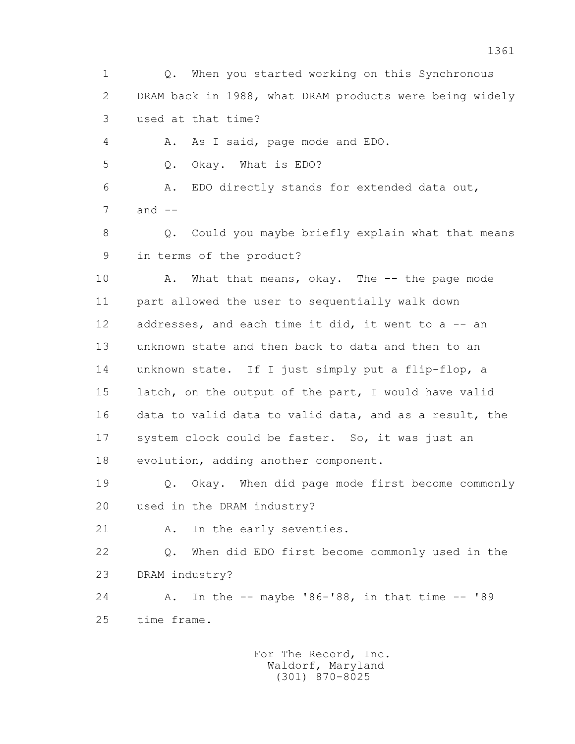1 Q. When you started working on this Synchronous 2 DRAM back in 1988, what DRAM products were being widely 3 used at that time? 4 A. As I said, page mode and EDO. 5 Q. Okay. What is EDO? 6 A. EDO directly stands for extended data out,  $7$  and  $-$ 8 Q. Could you maybe briefly explain what that means

9 in terms of the product?

10 A. What that means, okay. The -- the page mode 11 part allowed the user to sequentially walk down 12 addresses, and each time it did, it went to a -- an 13 unknown state and then back to data and then to an 14 unknown state. If I just simply put a flip-flop, a 15 latch, on the output of the part, I would have valid 16 data to valid data to valid data, and as a result, the 17 system clock could be faster. So, it was just an 18 evolution, adding another component.

 19 Q. Okay. When did page mode first become commonly 20 used in the DRAM industry?

21 A. In the early seventies.

 22 Q. When did EDO first become commonly used in the 23 DRAM industry?

 24 A. In the -- maybe '86-'88, in that time -- '89 25 time frame.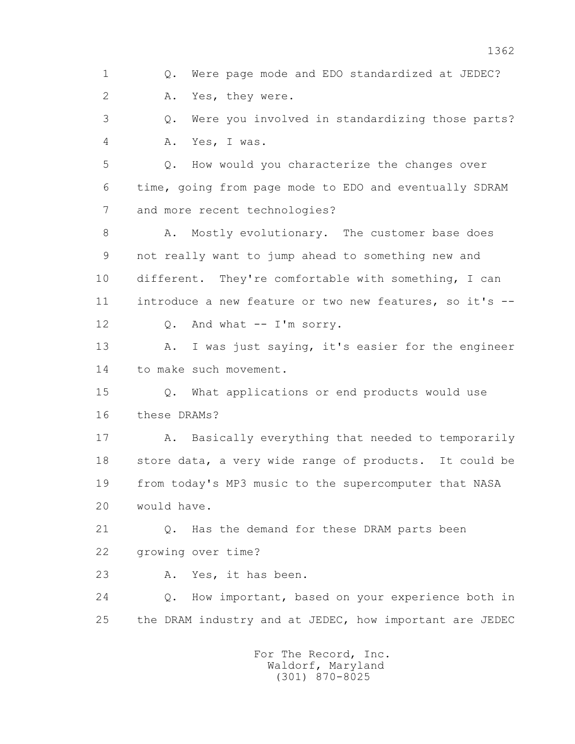1 Q. Were page mode and EDO standardized at JEDEC? 2 A. Yes, they were. 3 Q. Were you involved in standardizing those parts? 4 A. Yes, I was. 5 Q. How would you characterize the changes over 6 time, going from page mode to EDO and eventually SDRAM 7 and more recent technologies? 8 A. Mostly evolutionary. The customer base does 9 not really want to jump ahead to something new and 10 different. They're comfortable with something, I can 11 introduce a new feature or two new features, so it's -- 12 Q. And what -- I'm sorry. 13 A. I was just saying, it's easier for the engineer 14 to make such movement. 15 Q. What applications or end products would use 16 these DRAMs? 17 A. Basically everything that needed to temporarily 18 store data, a very wide range of products. It could be 19 from today's MP3 music to the supercomputer that NASA 20 would have. 21 Q. Has the demand for these DRAM parts been 22 growing over time? 23 A. Yes, it has been. 24 Q. How important, based on your experience both in 25 the DRAM industry and at JEDEC, how important are JEDEC For The Record, Inc. Waldorf, Maryland

(301) 870-8025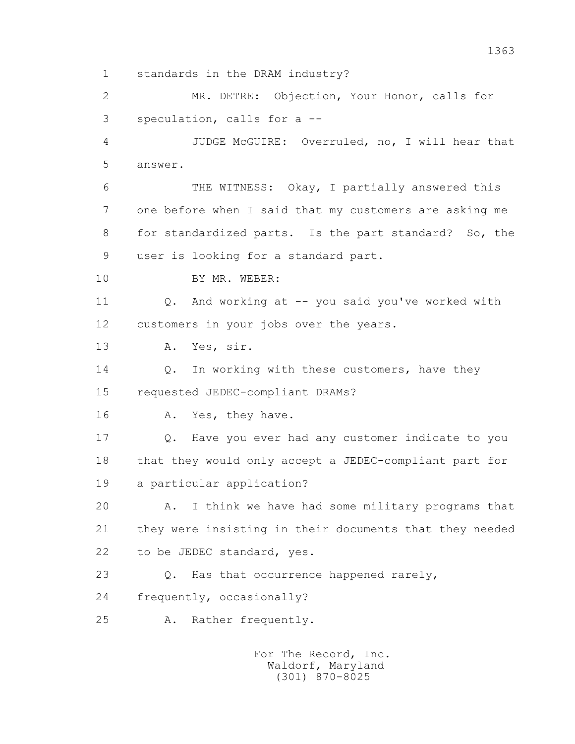1 standards in the DRAM industry?

 2 MR. DETRE: Objection, Your Honor, calls for 3 speculation, calls for a --

 4 JUDGE McGUIRE: Overruled, no, I will hear that 5 answer.

 6 THE WITNESS: Okay, I partially answered this 7 one before when I said that my customers are asking me 8 for standardized parts. Is the part standard? So, the 9 user is looking for a standard part.

10 BY MR. WEBER:

 11 Q. And working at -- you said you've worked with 12 customers in your jobs over the years.

13 A. Yes, sir.

14 0. In working with these customers, have they 15 requested JEDEC-compliant DRAMs?

16 A. Yes, they have.

 17 Q. Have you ever had any customer indicate to you 18 that they would only accept a JEDEC-compliant part for 19 a particular application?

 20 A. I think we have had some military programs that 21 they were insisting in their documents that they needed 22 to be JEDEC standard, yes.

23 Q. Has that occurrence happened rarely, 24 frequently, occasionally?

25 A. Rather frequently.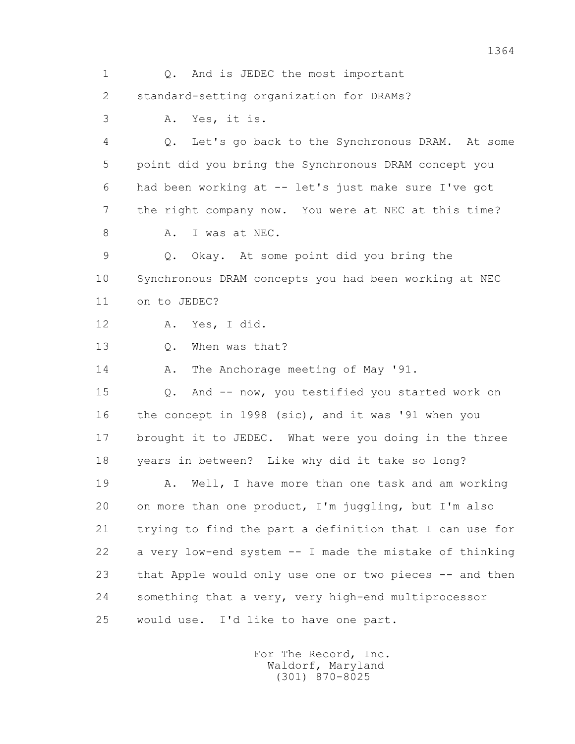1 Q. And is JEDEC the most important 2 standard-setting organization for DRAMs? 3 A. Yes, it is. 4 Q. Let's go back to the Synchronous DRAM. At some 5 point did you bring the Synchronous DRAM concept you 6 had been working at -- let's just make sure I've got 7 the right company now. You were at NEC at this time? 8 A. I was at NEC. 9 Q. Okay. At some point did you bring the 10 Synchronous DRAM concepts you had been working at NEC 11 on to JEDEC? 12 A. Yes, I did. 13 Q. When was that? 14 A. The Anchorage meeting of May '91. 15 Q. And -- now, you testified you started work on 16 the concept in 1998 (sic), and it was '91 when you 17 brought it to JEDEC. What were you doing in the three 18 years in between? Like why did it take so long? 19 A. Well, I have more than one task and am working 20 on more than one product, I'm juggling, but I'm also 21 trying to find the part a definition that I can use for 22 a very low-end system -- I made the mistake of thinking 23 that Apple would only use one or two pieces -- and then 24 something that a very, very high-end multiprocessor 25 would use. I'd like to have one part.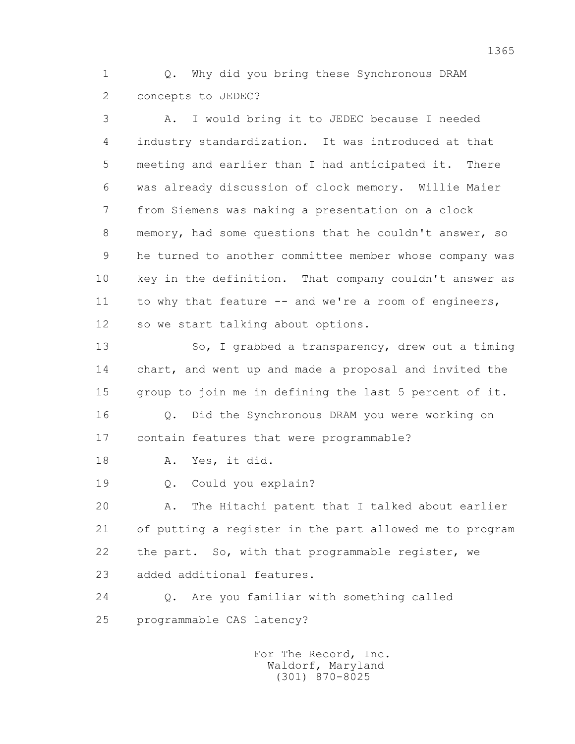1 Q. Why did you bring these Synchronous DRAM 2 concepts to JEDEC?

 3 A. I would bring it to JEDEC because I needed 4 industry standardization. It was introduced at that 5 meeting and earlier than I had anticipated it. There 6 was already discussion of clock memory. Willie Maier 7 from Siemens was making a presentation on a clock 8 memory, had some questions that he couldn't answer, so 9 he turned to another committee member whose company was 10 key in the definition. That company couldn't answer as 11 to why that feature -- and we're a room of engineers, 12 so we start talking about options.

 13 So, I grabbed a transparency, drew out a timing 14 chart, and went up and made a proposal and invited the 15 group to join me in defining the last 5 percent of it. 16 Q. Did the Synchronous DRAM you were working on

17 contain features that were programmable?

18 A. Yes, it did.

19 Q. Could you explain?

 20 A. The Hitachi patent that I talked about earlier 21 of putting a register in the part allowed me to program 22 the part. So, with that programmable register, we 23 added additional features.

 24 Q. Are you familiar with something called 25 programmable CAS latency?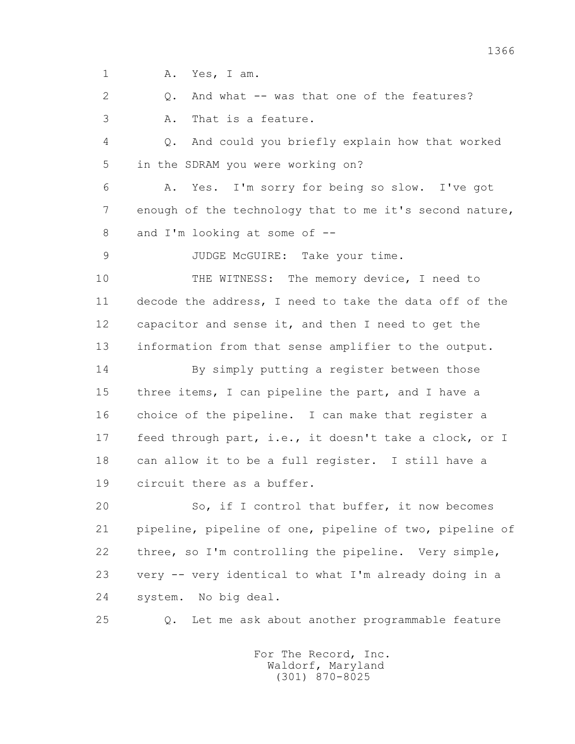1 A. Yes, I am.

2 0. And what -- was that one of the features? 3 A. That is a feature.

 4 Q. And could you briefly explain how that worked 5 in the SDRAM you were working on?

 6 A. Yes. I'm sorry for being so slow. I've got 7 enough of the technology that to me it's second nature, 8 and I'm looking at some of --

9 JUDGE McGUIRE: Take your time.

10 THE WITNESS: The memory device, I need to 11 decode the address, I need to take the data off of the 12 capacitor and sense it, and then I need to get the 13 information from that sense amplifier to the output.

 14 By simply putting a register between those 15 three items, I can pipeline the part, and I have a 16 choice of the pipeline. I can make that register a 17 feed through part, i.e., it doesn't take a clock, or I 18 can allow it to be a full register. I still have a 19 circuit there as a buffer.

 20 So, if I control that buffer, it now becomes 21 pipeline, pipeline of one, pipeline of two, pipeline of 22 three, so I'm controlling the pipeline. Very simple, 23 very -- very identical to what I'm already doing in a 24 system. No big deal.

25 Q. Let me ask about another programmable feature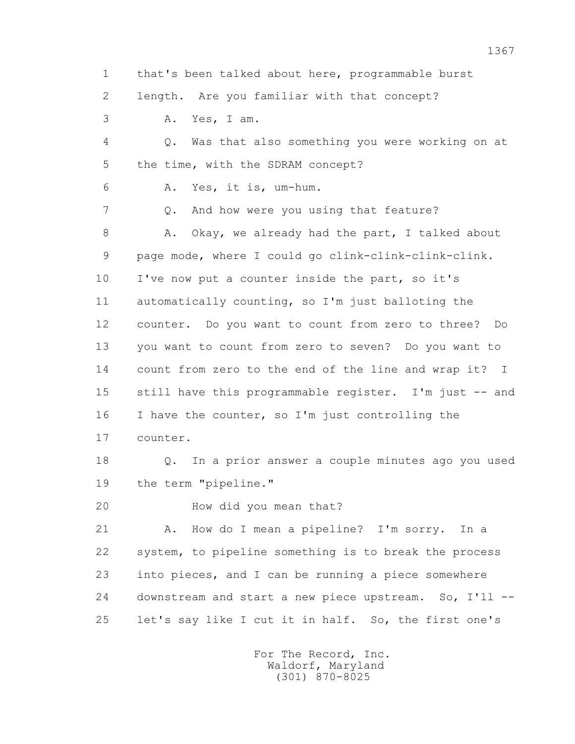1 that's been talked about here, programmable burst

2 length. Are you familiar with that concept?

3 A. Yes, I am.

 4 Q. Was that also something you were working on at 5 the time, with the SDRAM concept?

6 A. Yes, it is, um-hum.

7 0. And how were you using that feature?

8 A. Okay, we already had the part, I talked about 9 page mode, where I could go clink-clink-clink-clink. 10 I've now put a counter inside the part, so it's 11 automatically counting, so I'm just balloting the 12 counter. Do you want to count from zero to three? Do 13 you want to count from zero to seven? Do you want to 14 count from zero to the end of the line and wrap it? I 15 still have this programmable register. I'm just -- and 16 I have the counter, so I'm just controlling the 17 counter.

 18 Q. In a prior answer a couple minutes ago you used 19 the term "pipeline."

20 How did you mean that?

 21 A. How do I mean a pipeline? I'm sorry. In a 22 system, to pipeline something is to break the process 23 into pieces, and I can be running a piece somewhere 24 downstream and start a new piece upstream. So, I'll -- 25 let's say like I cut it in half. So, the first one's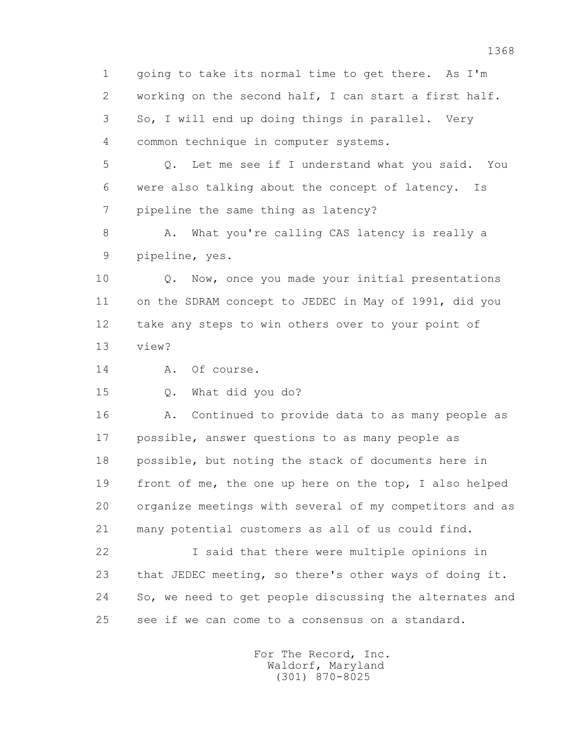1 going to take its normal time to get there. As I'm 2 working on the second half, I can start a first half. 3 So, I will end up doing things in parallel. Very 4 common technique in computer systems.

 5 Q. Let me see if I understand what you said. You 6 were also talking about the concept of latency. Is 7 pipeline the same thing as latency?

8 A. What you're calling CAS latency is really a 9 pipeline, yes.

 10 Q. Now, once you made your initial presentations 11 on the SDRAM concept to JEDEC in May of 1991, did you 12 take any steps to win others over to your point of 13 view?

14 A. Of course.

15 Q. What did you do?

 16 A. Continued to provide data to as many people as 17 possible, answer questions to as many people as 18 possible, but noting the stack of documents here in 19 front of me, the one up here on the top, I also helped 20 organize meetings with several of my competitors and as 21 many potential customers as all of us could find.

 22 I said that there were multiple opinions in 23 that JEDEC meeting, so there's other ways of doing it. 24 So, we need to get people discussing the alternates and 25 see if we can come to a consensus on a standard.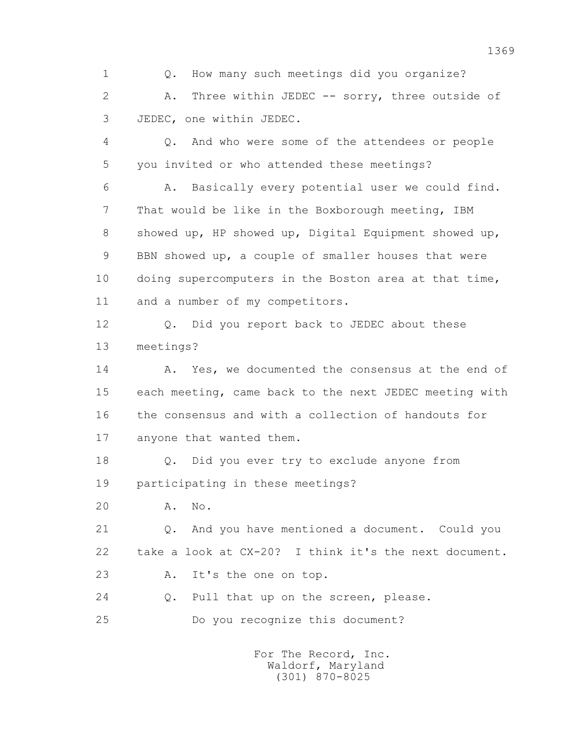1 Q. How many such meetings did you organize? 2 A. Three within JEDEC -- sorry, three outside of 3 JEDEC, one within JEDEC.

 4 Q. And who were some of the attendees or people 5 you invited or who attended these meetings?

 6 A. Basically every potential user we could find. 7 That would be like in the Boxborough meeting, IBM 8 showed up, HP showed up, Digital Equipment showed up, 9 BBN showed up, a couple of smaller houses that were 10 doing supercomputers in the Boston area at that time, 11 and a number of my competitors.

 12 Q. Did you report back to JEDEC about these 13 meetings?

14 A. Yes, we documented the consensus at the end of 15 each meeting, came back to the next JEDEC meeting with 16 the consensus and with a collection of handouts for 17 anyone that wanted them.

 18 Q. Did you ever try to exclude anyone from 19 participating in these meetings?

20 A. No.

 21 Q. And you have mentioned a document. Could you 22 take a look at CX-20? I think it's the next document.

23 A. It's the one on top.

24 Q. Pull that up on the screen, please.

25 Do you recognize this document?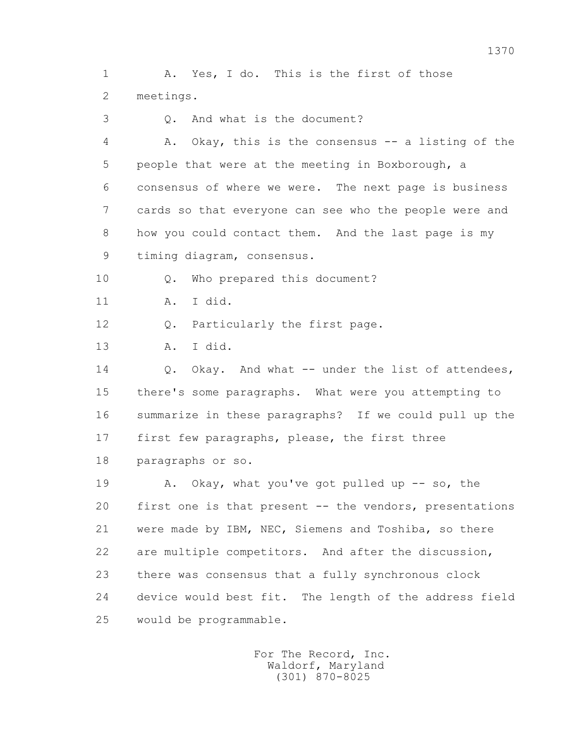1 A. Yes, I do. This is the first of those 2 meetings.

3 Q. And what is the document?

 4 A. Okay, this is the consensus -- a listing of the 5 people that were at the meeting in Boxborough, a 6 consensus of where we were. The next page is business 7 cards so that everyone can see who the people were and 8 how you could contact them. And the last page is my 9 timing diagram, consensus.

10 Q. Who prepared this document?

11 A. I did.

12 Q. Particularly the first page.

13 A. I did.

14 Q. Okay. And what -- under the list of attendees, 15 there's some paragraphs. What were you attempting to 16 summarize in these paragraphs? If we could pull up the 17 first few paragraphs, please, the first three 18 paragraphs or so.

19 A. Okay, what you've got pulled up -- so, the 20 first one is that present -- the vendors, presentations 21 were made by IBM, NEC, Siemens and Toshiba, so there 22 are multiple competitors. And after the discussion, 23 there was consensus that a fully synchronous clock 24 device would best fit. The length of the address field 25 would be programmable.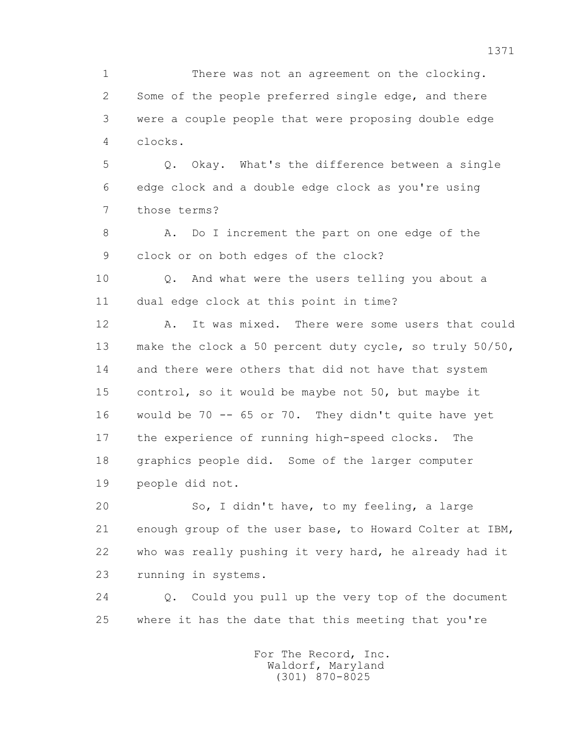1 There was not an agreement on the clocking. 2 Some of the people preferred single edge, and there 3 were a couple people that were proposing double edge 4 clocks.

 5 Q. Okay. What's the difference between a single 6 edge clock and a double edge clock as you're using 7 those terms?

8 A. Do I increment the part on one edge of the 9 clock or on both edges of the clock?

 10 Q. And what were the users telling you about a 11 dual edge clock at this point in time?

12 A. It was mixed. There were some users that could 13 make the clock a 50 percent duty cycle, so truly 50/50, 14 and there were others that did not have that system 15 control, so it would be maybe not 50, but maybe it 16 would be 70 -- 65 or 70. They didn't quite have yet 17 the experience of running high-speed clocks. The 18 graphics people did. Some of the larger computer 19 people did not.

 20 So, I didn't have, to my feeling, a large 21 enough group of the user base, to Howard Colter at IBM, 22 who was really pushing it very hard, he already had it 23 running in systems.

 24 Q. Could you pull up the very top of the document 25 where it has the date that this meeting that you're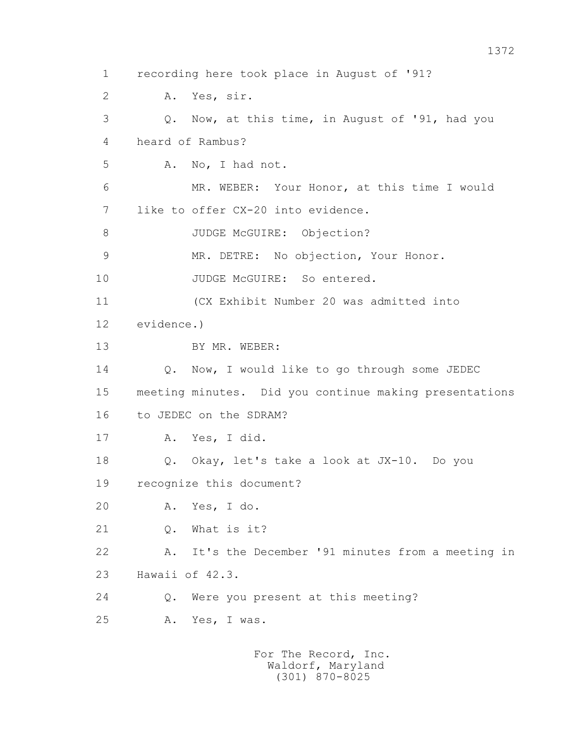1 recording here took place in August of '91? 2 A. Yes, sir. 3 Q. Now, at this time, in August of '91, had you 4 heard of Rambus? 5 A. No, I had not. 6 MR. WEBER: Your Honor, at this time I would 7 like to offer CX-20 into evidence. 8 JUDGE McGUIRE: Objection? 9 MR. DETRE: No objection, Your Honor. 10 JUDGE McGUIRE: So entered. 11 (CX Exhibit Number 20 was admitted into 12 evidence.) 13 BY MR. WEBER: 14 Q. Now, I would like to go through some JEDEC 15 meeting minutes. Did you continue making presentations 16 to JEDEC on the SDRAM? 17 A. Yes, I did. 18 Q. Okay, let's take a look at JX-10. Do you 19 recognize this document? 20 A. Yes, I do. 21 Q. What is it? 22 A. It's the December '91 minutes from a meeting in 23 Hawaii of 42.3. 24 Q. Were you present at this meeting? 25 A. Yes, I was.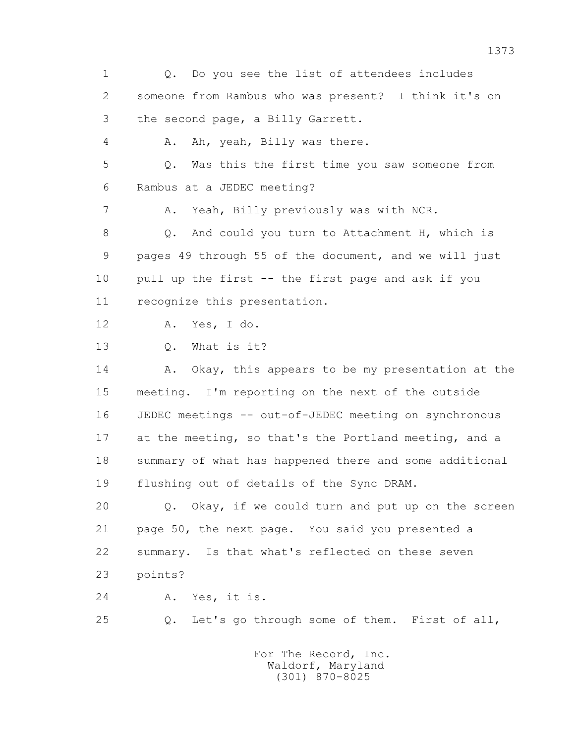1 Q. Do you see the list of attendees includes 2 someone from Rambus who was present? I think it's on 3 the second page, a Billy Garrett. 4 A. Ah, yeah, Billy was there. 5 Q. Was this the first time you saw someone from 6 Rambus at a JEDEC meeting? 7 A. Yeah, Billy previously was with NCR. 8 Q. And could you turn to Attachment H, which is 9 pages 49 through 55 of the document, and we will just 10 pull up the first -- the first page and ask if you 11 recognize this presentation. 12 A. Yes, I do. 13 Q. What is it? 14 A. Okay, this appears to be my presentation at the 15 meeting. I'm reporting on the next of the outside 16 JEDEC meetings -- out-of-JEDEC meeting on synchronous 17 at the meeting, so that's the Portland meeting, and a 18 summary of what has happened there and some additional 19 flushing out of details of the Sync DRAM. 20 Q. Okay, if we could turn and put up on the screen 21 page 50, the next page. You said you presented a 22 summary. Is that what's reflected on these seven 23 points? 24 A. Yes, it is. 25 Q. Let's go through some of them. First of all, For The Record, Inc. Waldorf, Maryland

(301) 870-8025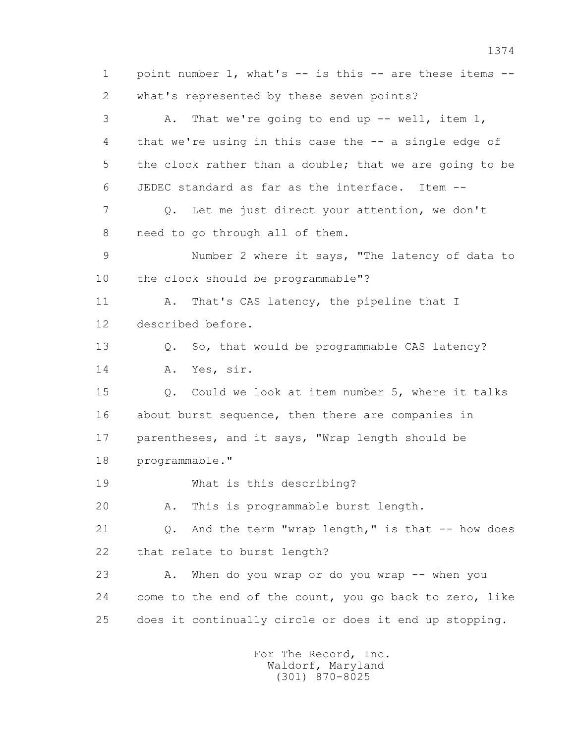1 point number 1, what's -- is this -- are these items -- 2 what's represented by these seven points? 3 A. That we're going to end up -- well, item 1, 4 that we're using in this case the -- a single edge of 5 the clock rather than a double; that we are going to be 6 JEDEC standard as far as the interface. Item -- 7 Q. Let me just direct your attention, we don't 8 need to go through all of them. 9 Number 2 where it says, "The latency of data to 10 the clock should be programmable"? 11 A. That's CAS latency, the pipeline that I 12 described before. 13 0. So, that would be programmable CAS latency? 14 A. Yes, sir. 15 Q. Could we look at item number 5, where it talks 16 about burst sequence, then there are companies in 17 parentheses, and it says, "Wrap length should be 18 programmable." 19 What is this describing? 20 A. This is programmable burst length. 21 Q. And the term "wrap length," is that -- how does 22 that relate to burst length? 23 A. When do you wrap or do you wrap -- when you 24 come to the end of the count, you go back to zero, like 25 does it continually circle or does it end up stopping.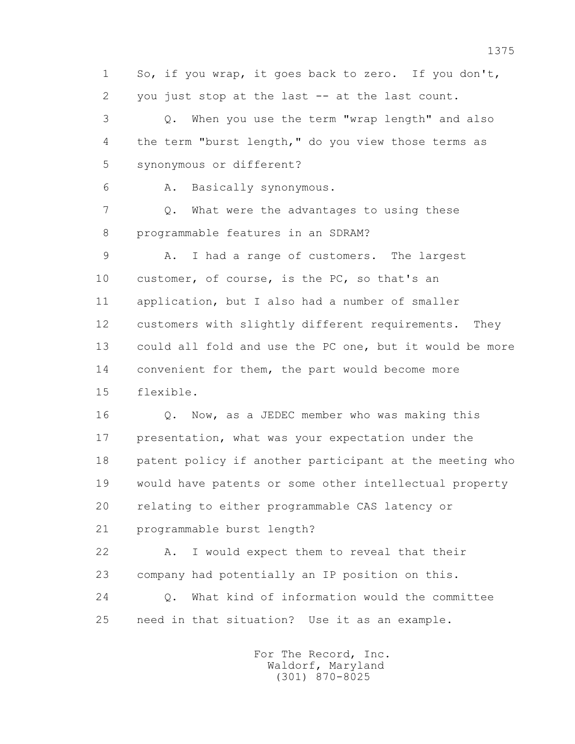1 So, if you wrap, it goes back to zero. If you don't, 2 you just stop at the last -- at the last count. 3 Q. When you use the term "wrap length" and also 4 the term "burst length," do you view those terms as 5 synonymous or different? 6 A. Basically synonymous. 7 Q. What were the advantages to using these 8 programmable features in an SDRAM? 9 A. I had a range of customers. The largest 10 customer, of course, is the PC, so that's an 11 application, but I also had a number of smaller 12 customers with slightly different requirements. They 13 could all fold and use the PC one, but it would be more 14 convenient for them, the part would become more 15 flexible. 16 Q. Now, as a JEDEC member who was making this 17 presentation, what was your expectation under the 18 patent policy if another participant at the meeting who 19 would have patents or some other intellectual property 20 relating to either programmable CAS latency or 21 programmable burst length? 22 A. I would expect them to reveal that their 23 company had potentially an IP position on this. 24 Q. What kind of information would the committee 25 need in that situation? Use it as an example.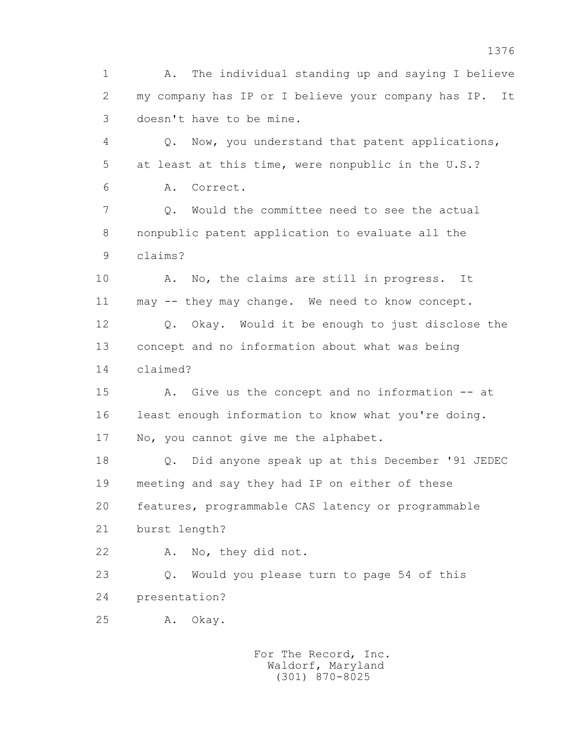1 A. The individual standing up and saying I believe 2 my company has IP or I believe your company has IP. It 3 doesn't have to be mine. 4 Q. Now, you understand that patent applications, 5 at least at this time, were nonpublic in the U.S.? 6 A. Correct. 7 Q. Would the committee need to see the actual 8 nonpublic patent application to evaluate all the 9 claims? 10 A. No, the claims are still in progress. It 11 may -- they may change. We need to know concept. 12 Q. Okay. Would it be enough to just disclose the 13 concept and no information about what was being 14 claimed? 15 A. Give us the concept and no information -- at 16 least enough information to know what you're doing. 17 No, you cannot give me the alphabet. 18 Q. Did anyone speak up at this December '91 JEDEC 19 meeting and say they had IP on either of these 20 features, programmable CAS latency or programmable 21 burst length? 22 A. No, they did not. 23 Q. Would you please turn to page 54 of this 24 presentation? 25 A. Okay.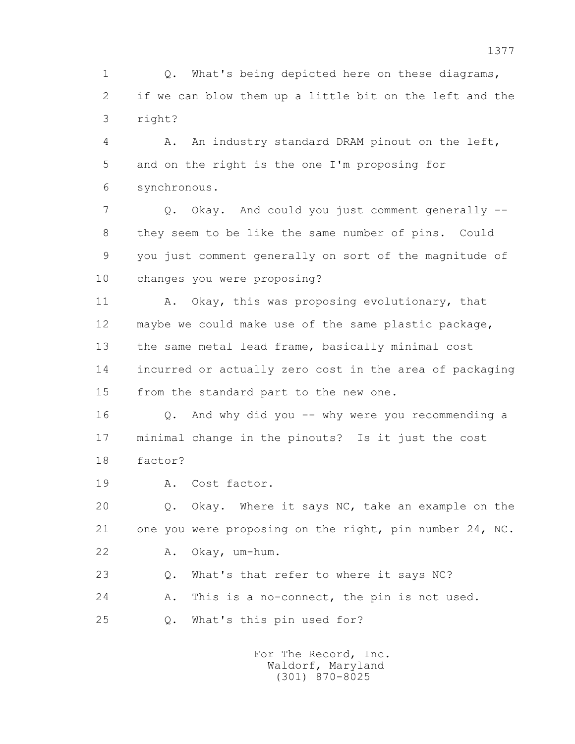1 0. What's being depicted here on these diagrams, 2 if we can blow them up a little bit on the left and the 3 right?

 4 A. An industry standard DRAM pinout on the left, 5 and on the right is the one I'm proposing for 6 synchronous.

 7 Q. Okay. And could you just comment generally -- 8 they seem to be like the same number of pins. Could 9 you just comment generally on sort of the magnitude of 10 changes you were proposing?

11 A. Okay, this was proposing evolutionary, that 12 maybe we could make use of the same plastic package, 13 the same metal lead frame, basically minimal cost 14 incurred or actually zero cost in the area of packaging 15 from the standard part to the new one.

 16 Q. And why did you -- why were you recommending a 17 minimal change in the pinouts? Is it just the cost 18 factor?

19 A. Cost factor.

 20 Q. Okay. Where it says NC, take an example on the 21 one you were proposing on the right, pin number 24, NC. 22 A. Okay, um-hum.

23 Q. What's that refer to where it says NC?

24 A. This is a no-connect, the pin is not used.

25 Q. What's this pin used for?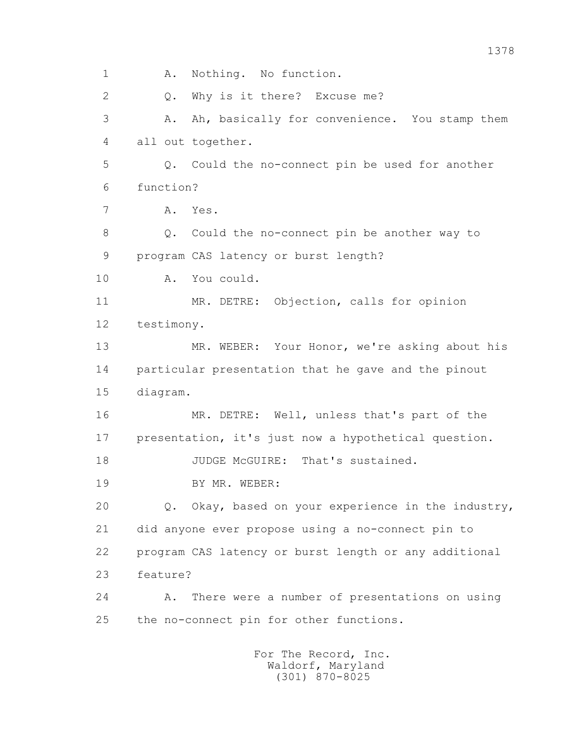1 A. Nothing. No function. 2 0. Why is it there? Excuse me? 3 A. Ah, basically for convenience. You stamp them 4 all out together. 5 Q. Could the no-connect pin be used for another 6 function? 7 A. Yes. 8 Q. Could the no-connect pin be another way to 9 program CAS latency or burst length? 10 A. You could. 11 MR. DETRE: Objection, calls for opinion 12 testimony. 13 MR. WEBER: Your Honor, we're asking about his 14 particular presentation that he gave and the pinout 15 diagram. 16 MR. DETRE: Well, unless that's part of the 17 presentation, it's just now a hypothetical question. 18 JUDGE McGUIRE: That's sustained. 19 BY MR. WEBER: 20 Q. Okay, based on your experience in the industry, 21 did anyone ever propose using a no-connect pin to 22 program CAS latency or burst length or any additional 23 feature? 24 A. There were a number of presentations on using 25 the no-connect pin for other functions. For The Record, Inc. Waldorf, Maryland

(301) 870-8025

1378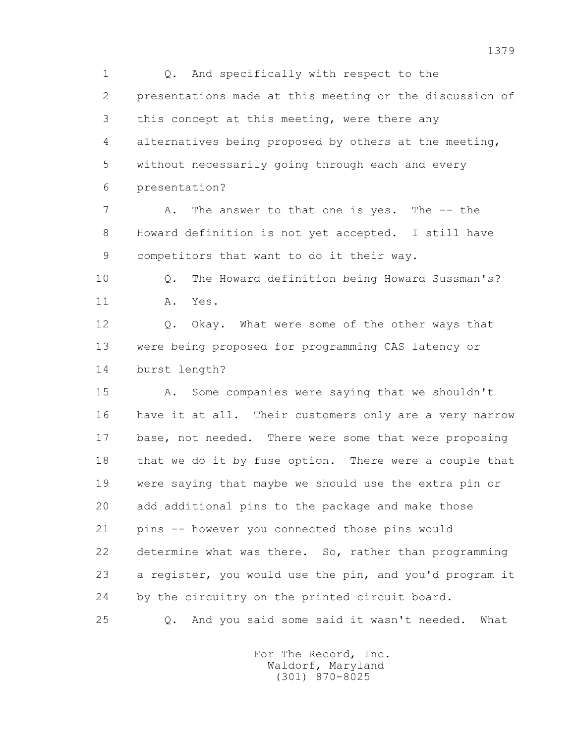1 Q. And specifically with respect to the 2 presentations made at this meeting or the discussion of 3 this concept at this meeting, were there any 4 alternatives being proposed by others at the meeting, 5 without necessarily going through each and every 6 presentation?

7 A. The answer to that one is yes. The -- the 8 Howard definition is not yet accepted. I still have 9 competitors that want to do it their way.

 10 Q. The Howard definition being Howard Sussman's? 11 A. Yes.

12 Q. Okay. What were some of the other ways that 13 were being proposed for programming CAS latency or 14 burst length?

 15 A. Some companies were saying that we shouldn't 16 have it at all. Their customers only are a very narrow 17 base, not needed. There were some that were proposing 18 that we do it by fuse option. There were a couple that 19 were saying that maybe we should use the extra pin or 20 add additional pins to the package and make those 21 pins -- however you connected those pins would 22 determine what was there. So, rather than programming 23 a register, you would use the pin, and you'd program it 24 by the circuitry on the printed circuit board. 25 Q. And you said some said it wasn't needed. What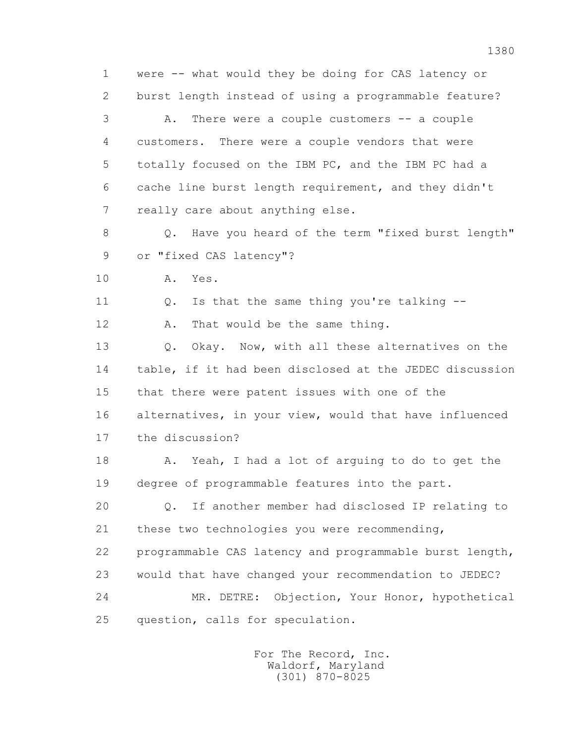1 were -- what would they be doing for CAS latency or 2 burst length instead of using a programmable feature? 3 A. There were a couple customers -- a couple 4 customers. There were a couple vendors that were 5 totally focused on the IBM PC, and the IBM PC had a 6 cache line burst length requirement, and they didn't 7 really care about anything else. 8 Q. Have you heard of the term "fixed burst length" 9 or "fixed CAS latency"? 10 A. Yes. 11 0. Is that the same thing you're talking -- 12 A. That would be the same thing. 13 Q. Okay. Now, with all these alternatives on the 14 table, if it had been disclosed at the JEDEC discussion 15 that there were patent issues with one of the 16 alternatives, in your view, would that have influenced 17 the discussion? 18 A. Yeah, I had a lot of arguing to do to get the 19 degree of programmable features into the part. 20 Q. If another member had disclosed IP relating to 21 these two technologies you were recommending, 22 programmable CAS latency and programmable burst length, 23 would that have changed your recommendation to JEDEC? 24 MR. DETRE: Objection, Your Honor, hypothetical 25 question, calls for speculation.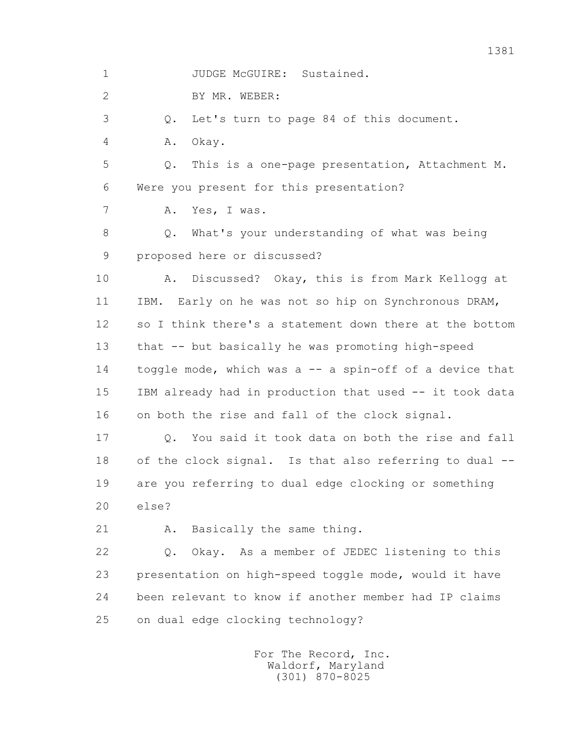1 JUDGE McGUIRE: Sustained.

2 BY MR. WEBER:

3 Q. Let's turn to page 84 of this document.

4 A. Okay.

 5 Q. This is a one-page presentation, Attachment M. 6 Were you present for this presentation?

7 A. Yes, I was.

 8 Q. What's your understanding of what was being 9 proposed here or discussed?

 10 A. Discussed? Okay, this is from Mark Kellogg at 11 IBM. Early on he was not so hip on Synchronous DRAM, 12 so I think there's a statement down there at the bottom 13 that -- but basically he was promoting high-speed 14 toggle mode, which was a -- a spin-off of a device that 15 IBM already had in production that used -- it took data 16 on both the rise and fall of the clock signal.

 17 Q. You said it took data on both the rise and fall 18 of the clock signal. Is that also referring to dual -- 19 are you referring to dual edge clocking or something 20 else?

21 A. Basically the same thing.

 22 Q. Okay. As a member of JEDEC listening to this 23 presentation on high-speed toggle mode, would it have 24 been relevant to know if another member had IP claims 25 on dual edge clocking technology?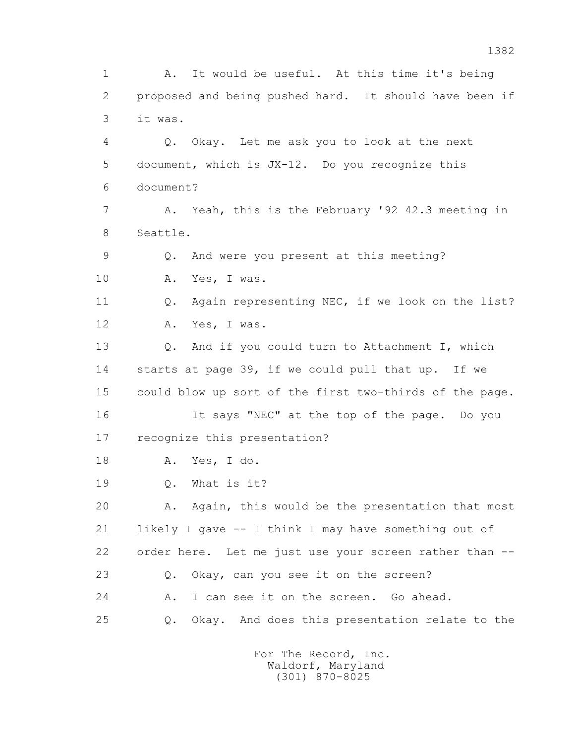1 A. It would be useful. At this time it's being 2 proposed and being pushed hard. It should have been if 3 it was. 4 Q. Okay. Let me ask you to look at the next 5 document, which is JX-12. Do you recognize this 6 document? 7 A. Yeah, this is the February '92 42.3 meeting in 8 Seattle. 9 Q. And were you present at this meeting? 10 A. Yes, I was. 11 O. Again representing NEC, if we look on the list? 12 A. Yes, I was. 13 Q. And if you could turn to Attachment I, which 14 starts at page 39, if we could pull that up. If we 15 could blow up sort of the first two-thirds of the page. 16 It says "NEC" at the top of the page. Do you 17 recognize this presentation? 18 A. Yes, I do. 19 0. What is it? 20 A. Again, this would be the presentation that most 21 likely I gave -- I think I may have something out of 22 order here. Let me just use your screen rather than -- 23 Q. Okay, can you see it on the screen? 24 A. I can see it on the screen. Go ahead. 25 Q. Okay. And does this presentation relate to the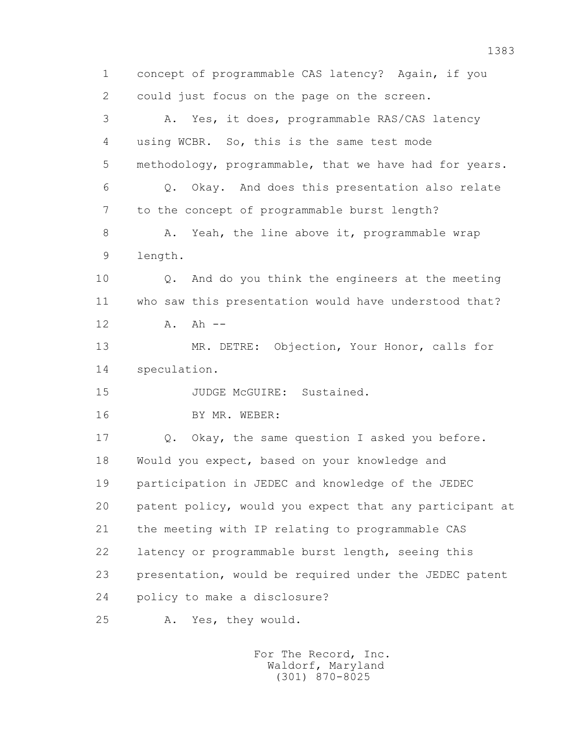1 concept of programmable CAS latency? Again, if you 2 could just focus on the page on the screen. 3 A. Yes, it does, programmable RAS/CAS latency 4 using WCBR. So, this is the same test mode 5 methodology, programmable, that we have had for years. 6 Q. Okay. And does this presentation also relate 7 to the concept of programmable burst length? 8 A. Yeah, the line above it, programmable wrap 9 length. 10 Q. And do you think the engineers at the meeting 11 who saw this presentation would have understood that? 12 A. Ah -- 13 MR. DETRE: Objection, Your Honor, calls for 14 speculation. 15 JUDGE McGUIRE: Sustained. 16 BY MR. WEBER: 17 Q. Okay, the same question I asked you before. 18 Would you expect, based on your knowledge and 19 participation in JEDEC and knowledge of the JEDEC 20 patent policy, would you expect that any participant at 21 the meeting with IP relating to programmable CAS 22 latency or programmable burst length, seeing this 23 presentation, would be required under the JEDEC patent 24 policy to make a disclosure? 25 A. Yes, they would.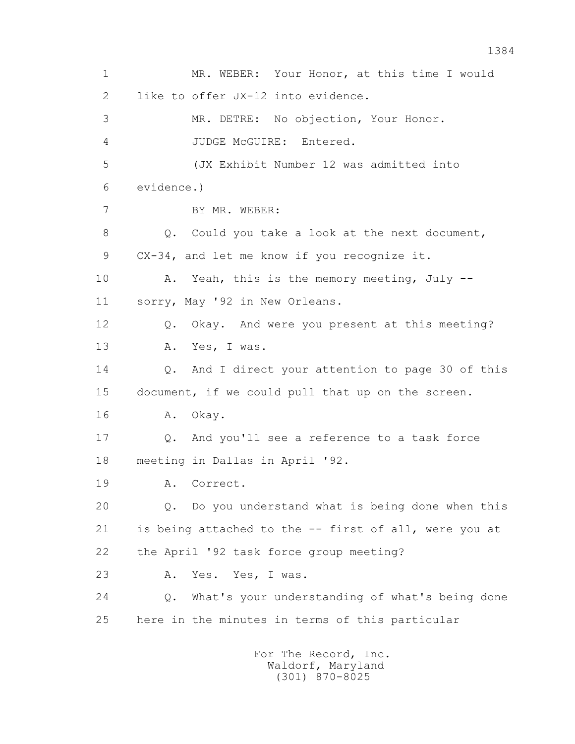1 MR. WEBER: Your Honor, at this time I would 2 like to offer JX-12 into evidence. 3 MR. DETRE: No objection, Your Honor. 4 JUDGE McGUIRE: Entered. 5 (JX Exhibit Number 12 was admitted into 6 evidence.) 7 BY MR. WEBER: 8 Q. Could you take a look at the next document, 9 CX-34, and let me know if you recognize it. 10 A. Yeah, this is the memory meeting, July -- 11 sorry, May '92 in New Orleans. 12 Q. Okay. And were you present at this meeting? 13 A. Yes, I was. 14 Q. And I direct your attention to page 30 of this 15 document, if we could pull that up on the screen. 16 A. Okay. 17 Q. And you'll see a reference to a task force 18 meeting in Dallas in April '92. 19 A. Correct. 20 Q. Do you understand what is being done when this 21 is being attached to the -- first of all, were you at 22 the April '92 task force group meeting? 23 A. Yes. Yes, I was. 24 Q. What's your understanding of what's being done 25 here in the minutes in terms of this particular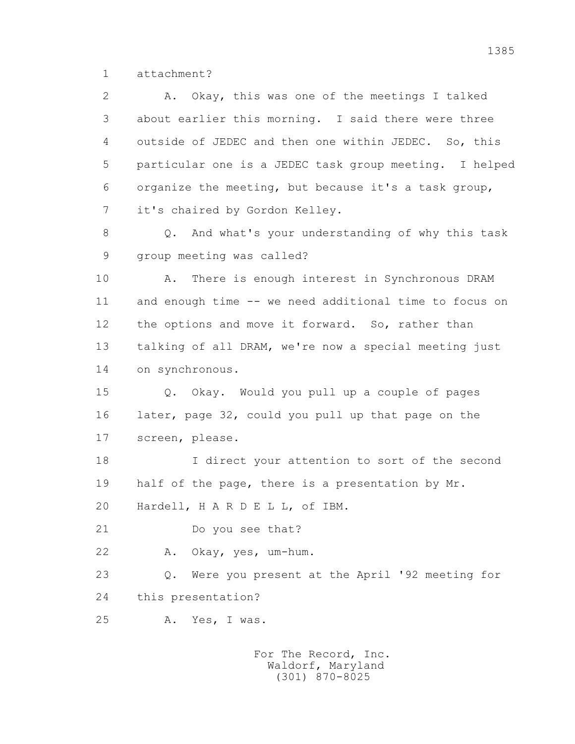1 attachment?

 2 A. Okay, this was one of the meetings I talked 3 about earlier this morning. I said there were three 4 outside of JEDEC and then one within JEDEC. So, this 5 particular one is a JEDEC task group meeting. I helped 6 organize the meeting, but because it's a task group, 7 it's chaired by Gordon Kelley.

 8 Q. And what's your understanding of why this task 9 group meeting was called?

 10 A. There is enough interest in Synchronous DRAM 11 and enough time -- we need additional time to focus on 12 the options and move it forward. So, rather than 13 talking of all DRAM, we're now a special meeting just 14 on synchronous.

 15 Q. Okay. Would you pull up a couple of pages 16 later, page 32, could you pull up that page on the 17 screen, please.

 18 I direct your attention to sort of the second 19 half of the page, there is a presentation by Mr.

20 Hardell, H A R D E L L, of IBM.

21 Do you see that?

22 A. Okay, yes, um-hum.

 23 Q. Were you present at the April '92 meeting for 24 this presentation?

25 A. Yes, I was.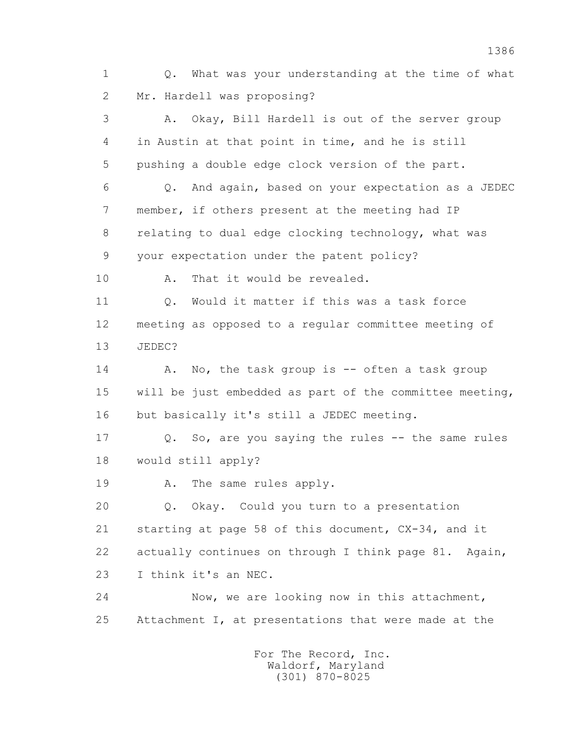1 Q. What was your understanding at the time of what 2 Mr. Hardell was proposing? 3 A. Okay, Bill Hardell is out of the server group 4 in Austin at that point in time, and he is still 5 pushing a double edge clock version of the part. 6 Q. And again, based on your expectation as a JEDEC 7 member, if others present at the meeting had IP 8 relating to dual edge clocking technology, what was 9 your expectation under the patent policy? 10 A. That it would be revealed. 11 Q. Would it matter if this was a task force 12 meeting as opposed to a regular committee meeting of 13 JEDEC? 14 A. No, the task group is -- often a task group 15 will be just embedded as part of the committee meeting, 16 but basically it's still a JEDEC meeting. 17 Q. So, are you saying the rules -- the same rules 18 would still apply? 19 A. The same rules apply. 20 Q. Okay. Could you turn to a presentation 21 starting at page 58 of this document, CX-34, and it 22 actually continues on through I think page 81. Again, 23 I think it's an NEC. 24 Now, we are looking now in this attachment, 25 Attachment I, at presentations that were made at the For The Record, Inc. Waldorf, Maryland

(301) 870-8025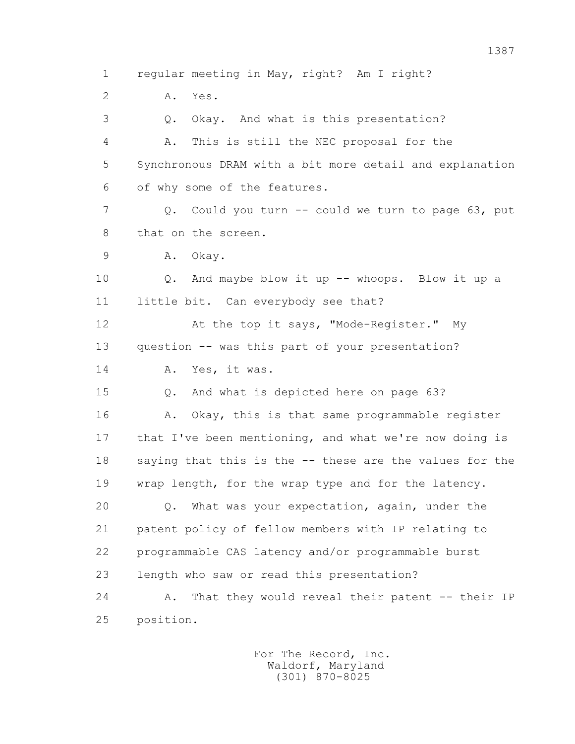1 regular meeting in May, right? Am I right? 2 A. Yes. 3 Q. Okay. And what is this presentation? 4 A. This is still the NEC proposal for the 5 Synchronous DRAM with a bit more detail and explanation 6 of why some of the features. 7 Q. Could you turn -- could we turn to page 63, put 8 that on the screen. 9 A. Okay. 10 Q. And maybe blow it up -- whoops. Blow it up a 11 little bit. Can everybody see that? 12 At the top it says, "Mode-Register." My 13 question -- was this part of your presentation? 14 A. Yes, it was. 15 Q. And what is depicted here on page 63? 16 A. Okay, this is that same programmable register 17 that I've been mentioning, and what we're now doing is 18 saying that this is the -- these are the values for the 19 wrap length, for the wrap type and for the latency. 20 Q. What was your expectation, again, under the 21 patent policy of fellow members with IP relating to 22 programmable CAS latency and/or programmable burst 23 length who saw or read this presentation? 24 A. That they would reveal their patent -- their IP 25 position.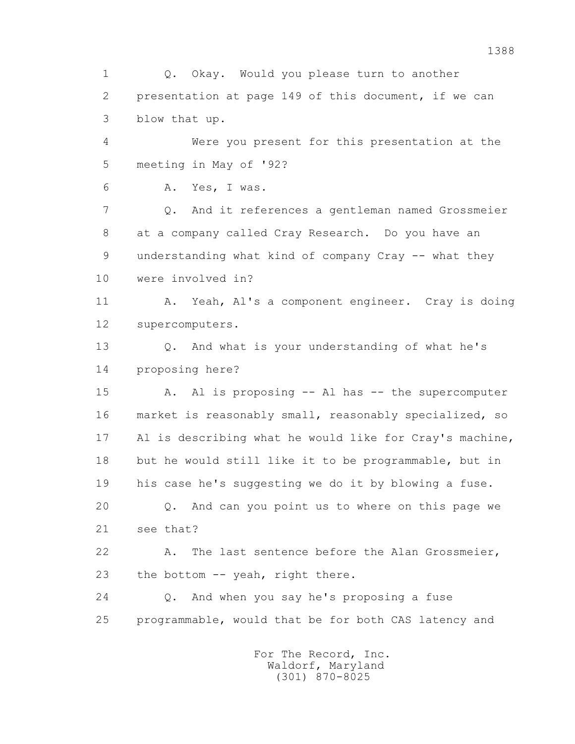1 Q. Okay. Would you please turn to another 2 presentation at page 149 of this document, if we can 3 blow that up.

 4 Were you present for this presentation at the 5 meeting in May of '92?

6 A. Yes, I was.

 7 Q. And it references a gentleman named Grossmeier 8 at a company called Cray Research. Do you have an 9 understanding what kind of company Cray -- what they 10 were involved in?

 11 A. Yeah, Al's a component engineer. Cray is doing 12 supercomputers.

 13 Q. And what is your understanding of what he's 14 proposing here?

 15 A. Al is proposing -- Al has -- the supercomputer 16 market is reasonably small, reasonably specialized, so 17 Al is describing what he would like for Cray's machine, 18 but he would still like it to be programmable, but in 19 his case he's suggesting we do it by blowing a fuse. 20 Q. And can you point us to where on this page we 21 see that?

 22 A. The last sentence before the Alan Grossmeier, 23 the bottom -- yeah, right there.

 24 Q. And when you say he's proposing a fuse 25 programmable, would that be for both CAS latency and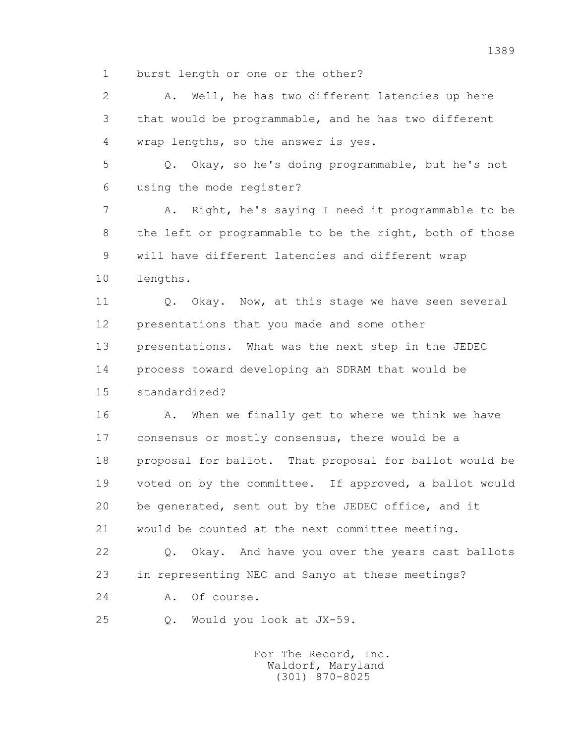1 burst length or one or the other?

 2 A. Well, he has two different latencies up here 3 that would be programmable, and he has two different 4 wrap lengths, so the answer is yes. 5 Q. Okay, so he's doing programmable, but he's not 6 using the mode register? 7 A. Right, he's saying I need it programmable to be 8 the left or programmable to be the right, both of those 9 will have different latencies and different wrap 10 lengths. 11 0. Okay. Now, at this stage we have seen several 12 presentations that you made and some other 13 presentations. What was the next step in the JEDEC 14 process toward developing an SDRAM that would be 15 standardized? 16 A. When we finally get to where we think we have 17 consensus or mostly consensus, there would be a 18 proposal for ballot. That proposal for ballot would be 19 voted on by the committee. If approved, a ballot would 20 be generated, sent out by the JEDEC office, and it 21 would be counted at the next committee meeting. 22 Q. Okay. And have you over the years cast ballots 23 in representing NEC and Sanyo at these meetings? 24 A. Of course. 25 Q. Would you look at JX-59.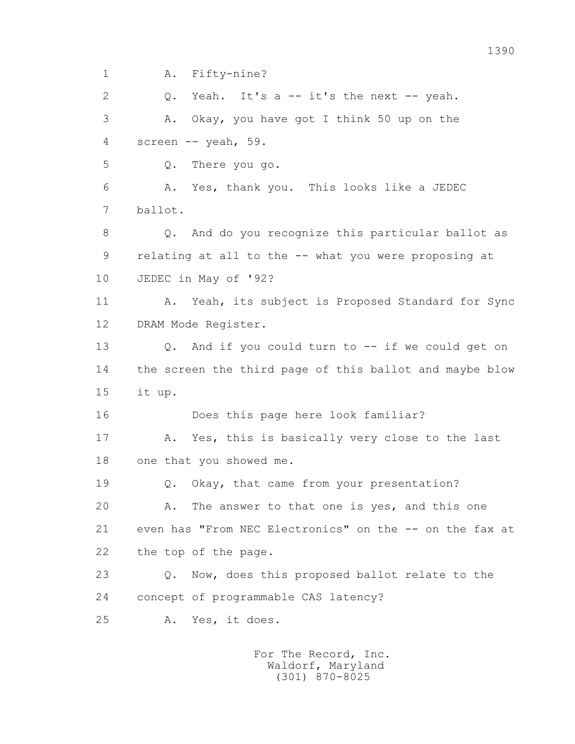1 A. Fifty-nine? 2 Q. Yeah. It's a -- it's the next -- yeah. 3 A. Okay, you have got I think 50 up on the

4 screen -- yeah, 59.

5 Q. There you go.

 6 A. Yes, thank you. This looks like a JEDEC 7 ballot.

 8 Q. And do you recognize this particular ballot as 9 relating at all to the -- what you were proposing at 10 JEDEC in May of '92?

11 A. Yeah, its subject is Proposed Standard for Sync 12 DRAM Mode Register.

 13 Q. And if you could turn to -- if we could get on 14 the screen the third page of this ballot and maybe blow 15 it up.

16 Does this page here look familiar?

 17 A. Yes, this is basically very close to the last 18 one that you showed me.

19 Q. Okay, that came from your presentation?

 20 A. The answer to that one is yes, and this one 21 even has "From NEC Electronics" on the -- on the fax at 22 the top of the page.

 23 Q. Now, does this proposed ballot relate to the 24 concept of programmable CAS latency?

25 A. Yes, it does.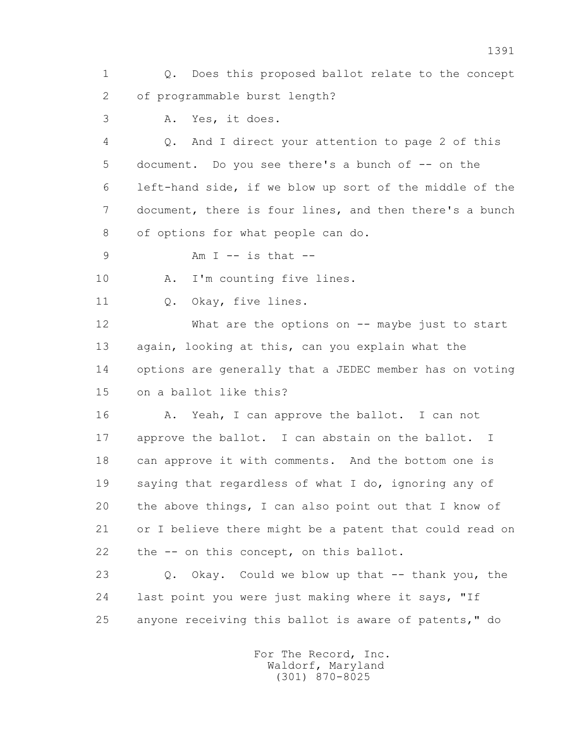1 Q. Does this proposed ballot relate to the concept 2 of programmable burst length?

3 A. Yes, it does.

 4 Q. And I direct your attention to page 2 of this 5 document. Do you see there's a bunch of -- on the 6 left-hand side, if we blow up sort of the middle of the 7 document, there is four lines, and then there's a bunch 8 of options for what people can do.

9 Am I -- is that --

10 A. I'm counting five lines.

11 0. Okay, five lines.

 12 What are the options on -- maybe just to start 13 again, looking at this, can you explain what the 14 options are generally that a JEDEC member has on voting 15 on a ballot like this?

 16 A. Yeah, I can approve the ballot. I can not 17 approve the ballot. I can abstain on the ballot. I 18 can approve it with comments. And the bottom one is 19 saying that regardless of what I do, ignoring any of 20 the above things, I can also point out that I know of 21 or I believe there might be a patent that could read on 22 the -- on this concept, on this ballot.

23 O. Okay. Could we blow up that -- thank you, the 24 last point you were just making where it says, "If 25 anyone receiving this ballot is aware of patents," do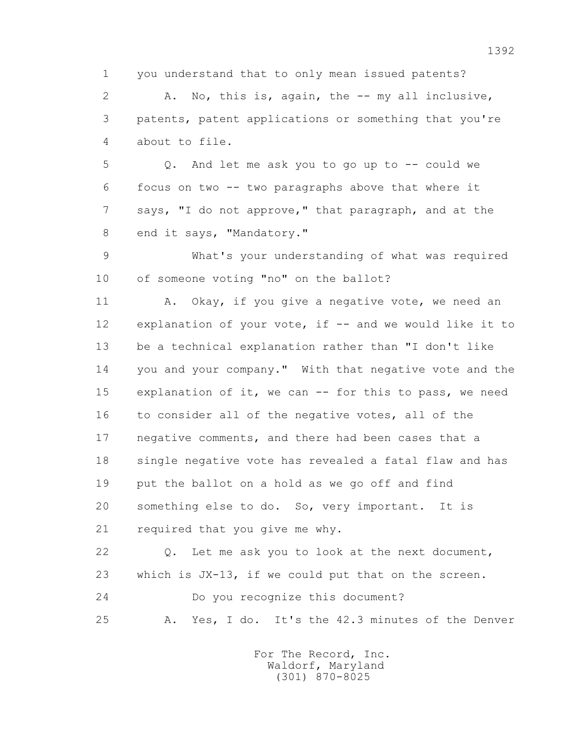1 you understand that to only mean issued patents?

 2 A. No, this is, again, the -- my all inclusive, 3 patents, patent applications or something that you're 4 about to file.

 5 Q. And let me ask you to go up to -- could we 6 focus on two -- two paragraphs above that where it 7 says, "I do not approve," that paragraph, and at the 8 end it says, "Mandatory."

 9 What's your understanding of what was required 10 of someone voting "no" on the ballot?

11 A. Okay, if you give a negative vote, we need an 12 explanation of your vote, if -- and we would like it to 13 be a technical explanation rather than "I don't like 14 you and your company." With that negative vote and the 15 explanation of it, we can -- for this to pass, we need 16 to consider all of the negative votes, all of the 17 negative comments, and there had been cases that a 18 single negative vote has revealed a fatal flaw and has 19 put the ballot on a hold as we go off and find 20 something else to do. So, very important. It is 21 required that you give me why.

 22 Q. Let me ask you to look at the next document, 23 which is JX-13, if we could put that on the screen. 24 Do you recognize this document? 25 A. Yes, I do. It's the 42.3 minutes of the Denver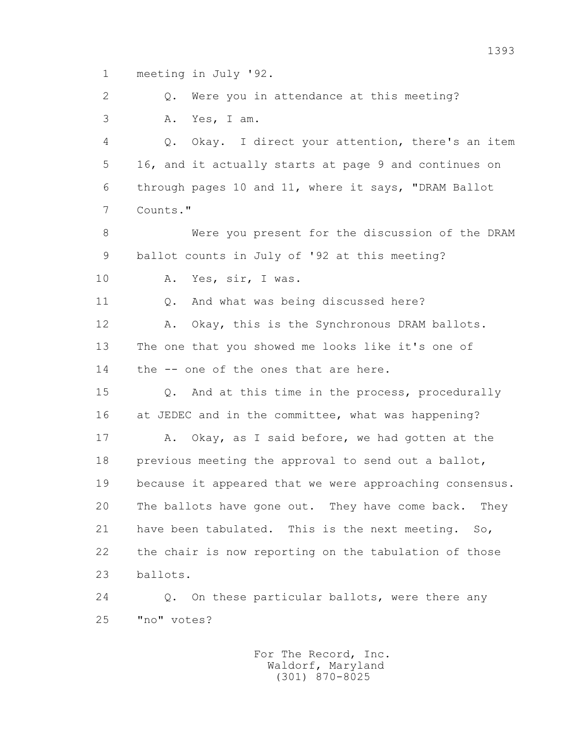1 meeting in July '92.

 2 Q. Were you in attendance at this meeting? 3 A. Yes, I am.

 4 Q. Okay. I direct your attention, there's an item 5 16, and it actually starts at page 9 and continues on 6 through pages 10 and 11, where it says, "DRAM Ballot 7 Counts."

 8 Were you present for the discussion of the DRAM 9 ballot counts in July of '92 at this meeting?

10 A. Yes, sir, I was.

11 0. And what was being discussed here?

12 A. Okay, this is the Synchronous DRAM ballots. 13 The one that you showed me looks like it's one of 14 the -- one of the ones that are here.

 15 Q. And at this time in the process, procedurally 16 at JEDEC and in the committee, what was happening?

 17 A. Okay, as I said before, we had gotten at the 18 previous meeting the approval to send out a ballot, 19 because it appeared that we were approaching consensus. 20 The ballots have gone out. They have come back. They 21 have been tabulated. This is the next meeting. So, 22 the chair is now reporting on the tabulation of those 23 ballots.

 24 Q. On these particular ballots, were there any 25 "no" votes?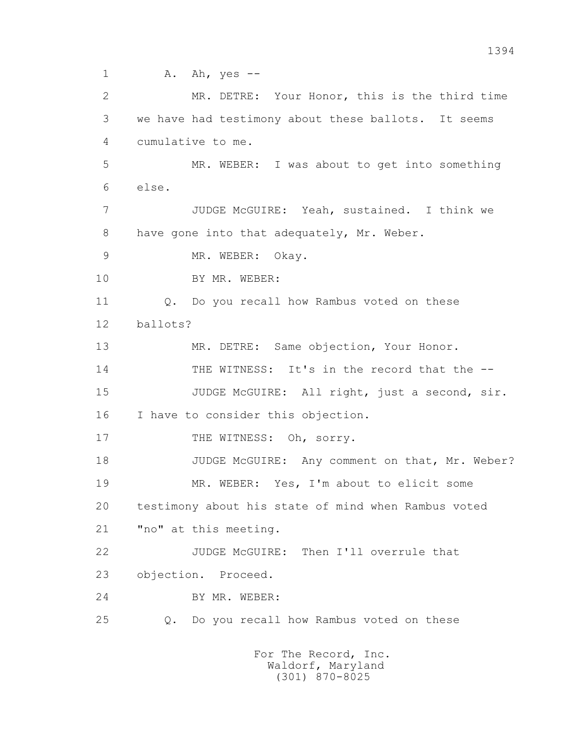1 A. Ah, yes -- 2 MR. DETRE: Your Honor, this is the third time 3 we have had testimony about these ballots. It seems 4 cumulative to me. 5 MR. WEBER: I was about to get into something 6 else. 7 JUDGE McGUIRE: Yeah, sustained. I think we 8 have gone into that adequately, Mr. Weber. 9 MR. WEBER: Okay. 10 BY MR. WEBER: 11 Q. Do you recall how Rambus voted on these 12 ballots? 13 MR. DETRE: Same objection, Your Honor. 14 THE WITNESS: It's in the record that the -- 15 JUDGE McGUIRE: All right, just a second, sir. 16 I have to consider this objection. 17 THE WITNESS: Oh, sorry. 18 JUDGE McGUIRE: Any comment on that, Mr. Weber? 19 MR. WEBER: Yes, I'm about to elicit some 20 testimony about his state of mind when Rambus voted 21 "no" at this meeting. 22 JUDGE McGUIRE: Then I'll overrule that 23 objection. Proceed. 24 BY MR. WEBER: 25 Q. Do you recall how Rambus voted on these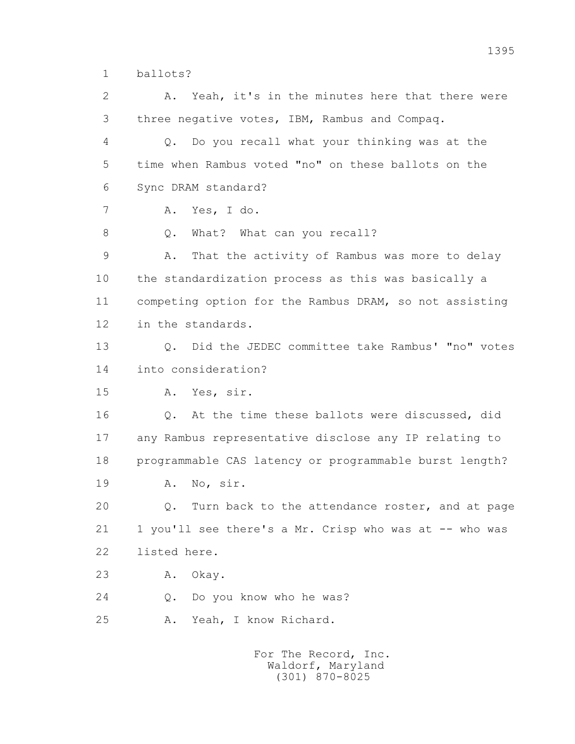1 ballots?

 2 A. Yeah, it's in the minutes here that there were 3 three negative votes, IBM, Rambus and Compaq. 4 Q. Do you recall what your thinking was at the 5 time when Rambus voted "no" on these ballots on the 6 Sync DRAM standard? 7 A. Yes, I do. 8 Q. What? What can you recall? 9 A. That the activity of Rambus was more to delay 10 the standardization process as this was basically a 11 competing option for the Rambus DRAM, so not assisting 12 in the standards. 13 Q. Did the JEDEC committee take Rambus' "no" votes 14 into consideration? 15 A. Yes, sir. 16 Q. At the time these ballots were discussed, did 17 any Rambus representative disclose any IP relating to 18 programmable CAS latency or programmable burst length? 19 A. No, sir. 20 Q. Turn back to the attendance roster, and at page 21 1 you'll see there's a Mr. Crisp who was at -- who was 22 listed here. 23 A. Okay. 24 O. Do you know who he was? 25 A. Yeah, I know Richard.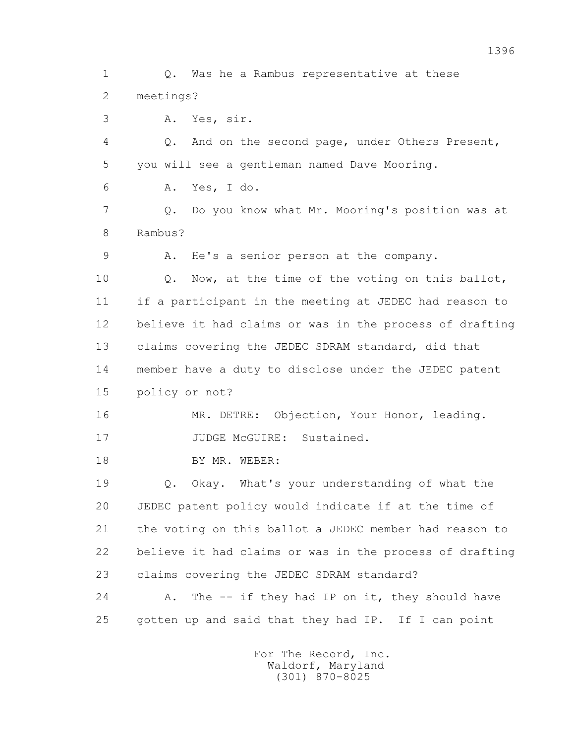1 Q. Was he a Rambus representative at these 2 meetings? 3 A. Yes, sir. 4 Q. And on the second page, under Others Present, 5 you will see a gentleman named Dave Mooring. 6 A. Yes, I do. 7 Q. Do you know what Mr. Mooring's position was at 8 Rambus? 9 A. He's a senior person at the company. 10 Q. Now, at the time of the voting on this ballot, 11 if a participant in the meeting at JEDEC had reason to 12 believe it had claims or was in the process of drafting 13 claims covering the JEDEC SDRAM standard, did that 14 member have a duty to disclose under the JEDEC patent 15 policy or not? 16 MR. DETRE: Objection, Your Honor, leading. 17 JUDGE McGUIRE: Sustained. 18 BY MR. WEBER: 19 Q. Okay. What's your understanding of what the 20 JEDEC patent policy would indicate if at the time of 21 the voting on this ballot a JEDEC member had reason to 22 believe it had claims or was in the process of drafting 23 claims covering the JEDEC SDRAM standard? 24 A. The -- if they had IP on it, they should have 25 gotten up and said that they had IP. If I can point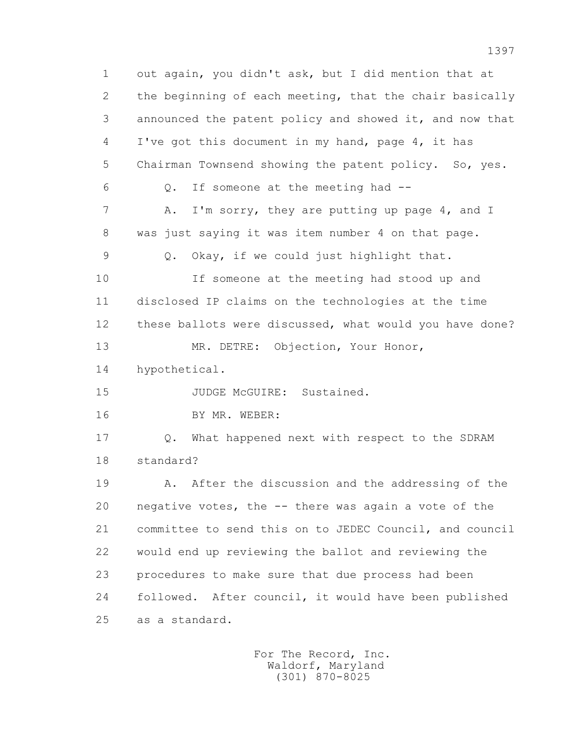1 out again, you didn't ask, but I did mention that at 2 the beginning of each meeting, that the chair basically 3 announced the patent policy and showed it, and now that 4 I've got this document in my hand, page 4, it has 5 Chairman Townsend showing the patent policy. So, yes. 6 Q. If someone at the meeting had -- 7 A. I'm sorry, they are putting up page 4, and I 8 was just saying it was item number 4 on that page. 9 Q. Okay, if we could just highlight that. 10 If someone at the meeting had stood up and 11 disclosed IP claims on the technologies at the time 12 these ballots were discussed, what would you have done? 13 MR. DETRE: Objection, Your Honor, 14 hypothetical. 15 JUDGE McGUIRE: Sustained. 16 BY MR. WEBER: 17 Q. What happened next with respect to the SDRAM 18 standard? 19 A. After the discussion and the addressing of the 20 negative votes, the -- there was again a vote of the 21 committee to send this on to JEDEC Council, and council 22 would end up reviewing the ballot and reviewing the 23 procedures to make sure that due process had been 24 followed. After council, it would have been published 25 as a standard.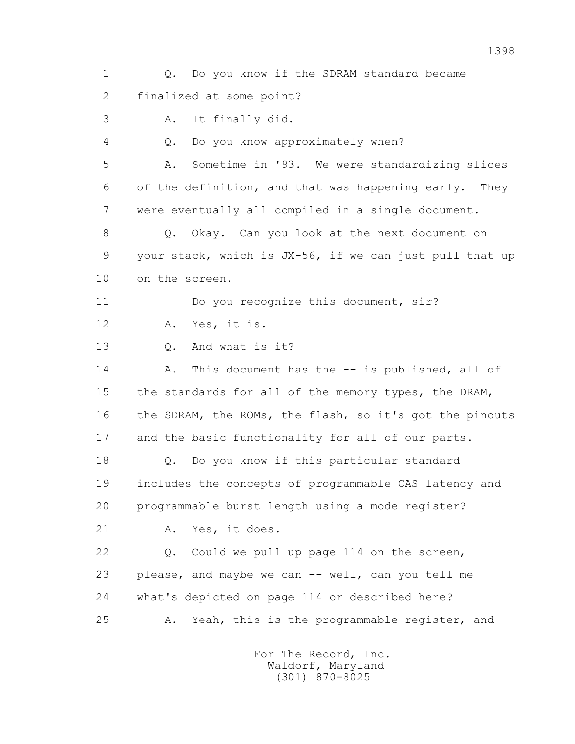1 Q. Do you know if the SDRAM standard became 2 finalized at some point? 3 A. It finally did. 4 Q. Do you know approximately when? 5 A. Sometime in '93. We were standardizing slices 6 of the definition, and that was happening early. They 7 were eventually all compiled in a single document. 8 Q. Okay. Can you look at the next document on 9 your stack, which is JX-56, if we can just pull that up 10 on the screen. 11 Do you recognize this document, sir? 12 A. Yes, it is. 13 Q. And what is it? 14 A. This document has the -- is published, all of 15 the standards for all of the memory types, the DRAM, 16 the SDRAM, the ROMs, the flash, so it's got the pinouts 17 and the basic functionality for all of our parts. 18 Q. Do you know if this particular standard 19 includes the concepts of programmable CAS latency and 20 programmable burst length using a mode register? 21 A. Yes, it does. 22 Q. Could we pull up page 114 on the screen, 23 please, and maybe we can -- well, can you tell me 24 what's depicted on page 114 or described here? 25 A. Yeah, this is the programmable register, and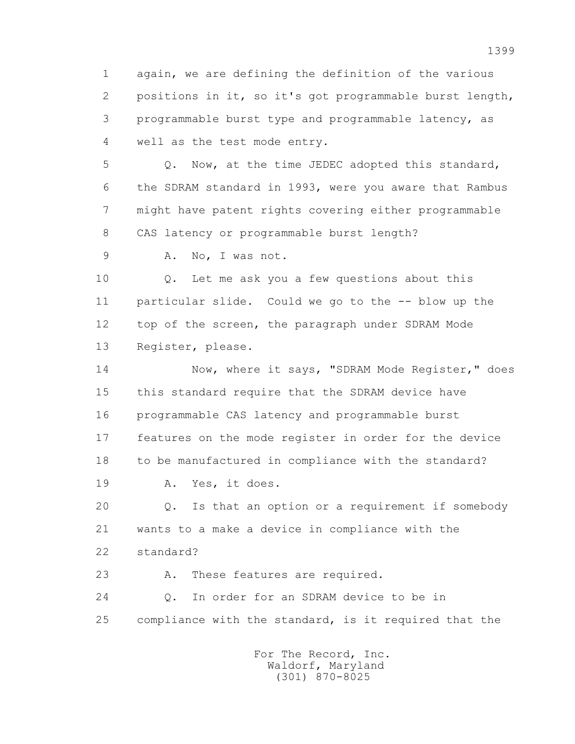1 again, we are defining the definition of the various 2 positions in it, so it's got programmable burst length, 3 programmable burst type and programmable latency, as 4 well as the test mode entry.

 5 Q. Now, at the time JEDEC adopted this standard, 6 the SDRAM standard in 1993, were you aware that Rambus 7 might have patent rights covering either programmable 8 CAS latency or programmable burst length?

9 A. No, I was not.

 10 Q. Let me ask you a few questions about this 11 particular slide. Could we go to the -- blow up the 12 top of the screen, the paragraph under SDRAM Mode 13 Register, please.

14 Now, where it says, "SDRAM Mode Reqister," does 15 this standard require that the SDRAM device have 16 programmable CAS latency and programmable burst 17 features on the mode register in order for the device 18 to be manufactured in compliance with the standard? 19 A. Yes, it does.

 20 Q. Is that an option or a requirement if somebody 21 wants to a make a device in compliance with the 22 standard?

23 A. These features are required.

 24 Q. In order for an SDRAM device to be in 25 compliance with the standard, is it required that the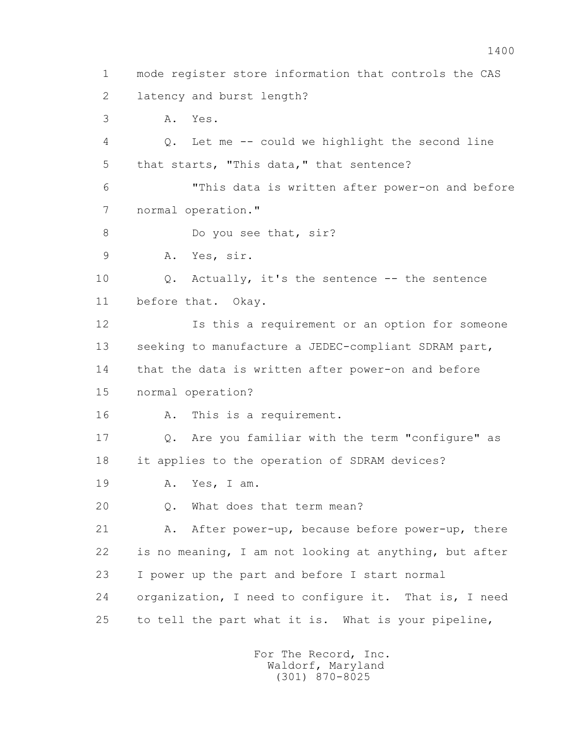1 mode register store information that controls the CAS 2 latency and burst length? 3 A. Yes. 4 Q. Let me -- could we highlight the second line 5 that starts, "This data," that sentence? 6 "This data is written after power-on and before 7 normal operation." 8 Do you see that, sir? 9 A. Yes, sir. 10 Q. Actually, it's the sentence -- the sentence 11 before that. Okay. 12 Is this a requirement or an option for someone 13 seeking to manufacture a JEDEC-compliant SDRAM part, 14 that the data is written after power-on and before 15 normal operation? 16 A. This is a requirement. 17 Q. Are you familiar with the term "configure" as 18 it applies to the operation of SDRAM devices? 19 A. Yes, I am. 20 Q. What does that term mean? 21 A. After power-up, because before power-up, there 22 is no meaning, I am not looking at anything, but after 23 I power up the part and before I start normal 24 organization, I need to configure it. That is, I need 25 to tell the part what it is. What is your pipeline,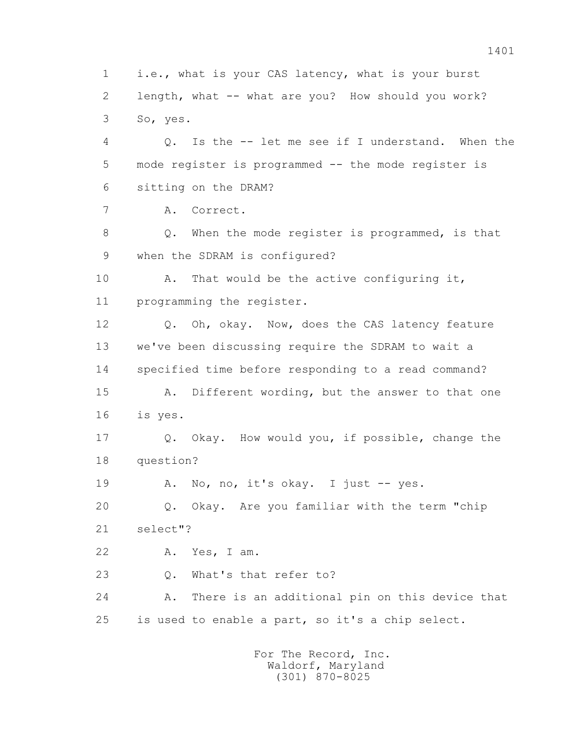1 i.e., what is your CAS latency, what is your burst 2 length, what -- what are you? How should you work? 3 So, yes. 4 Q. Is the -- let me see if I understand. When the 5 mode register is programmed -- the mode register is 6 sitting on the DRAM? 7 A. Correct. 8 Q. When the mode register is programmed, is that 9 when the SDRAM is configured? 10 A. That would be the active configuring it, 11 programming the register. 12 Q. Oh, okay. Now, does the CAS latency feature 13 we've been discussing require the SDRAM to wait a 14 specified time before responding to a read command? 15 A. Different wording, but the answer to that one 16 is yes. 17 Q. Okay. How would you, if possible, change the 18 question? 19 A. No, no, it's okay. I just -- yes. 20 Q. Okay. Are you familiar with the term "chip 21 select"? 22 A. Yes, I am. 23 Q. What's that refer to? 24 A. There is an additional pin on this device that 25 is used to enable a part, so it's a chip select. For The Record, Inc.

 Waldorf, Maryland (301) 870-8025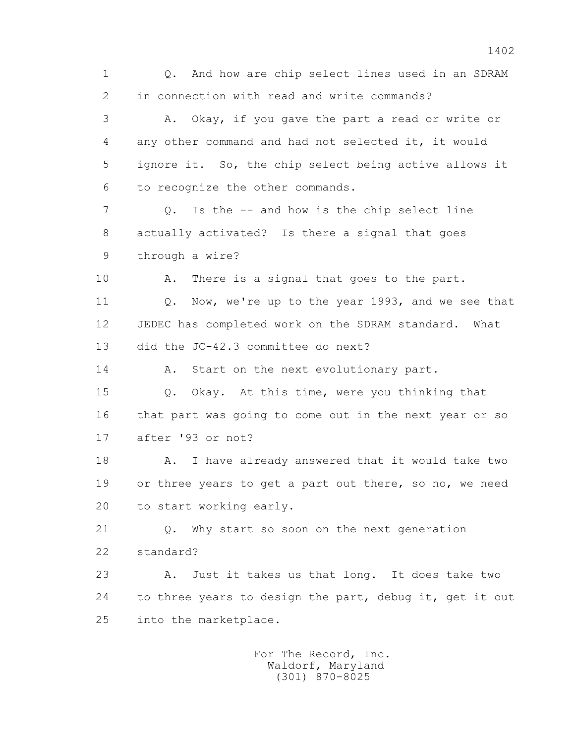1 Q. And how are chip select lines used in an SDRAM 2 in connection with read and write commands? 3 A. Okay, if you gave the part a read or write or 4 any other command and had not selected it, it would 5 ignore it. So, the chip select being active allows it 6 to recognize the other commands. 7 Q. Is the -- and how is the chip select line 8 actually activated? Is there a signal that goes 9 through a wire? 10 A. There is a signal that goes to the part. 11 Q. Now, we're up to the year 1993, and we see that 12 JEDEC has completed work on the SDRAM standard. What 13 did the JC-42.3 committee do next? 14 A. Start on the next evolutionary part. 15 Q. Okay. At this time, were you thinking that 16 that part was going to come out in the next year or so 17 after '93 or not? 18 A. I have already answered that it would take two 19 or three years to get a part out there, so no, we need 20 to start working early. 21 Q. Why start so soon on the next generation 22 standard? 23 A. Just it takes us that long. It does take two 24 to three years to design the part, debug it, get it out 25 into the marketplace. For The Record, Inc.

 Waldorf, Maryland (301) 870-8025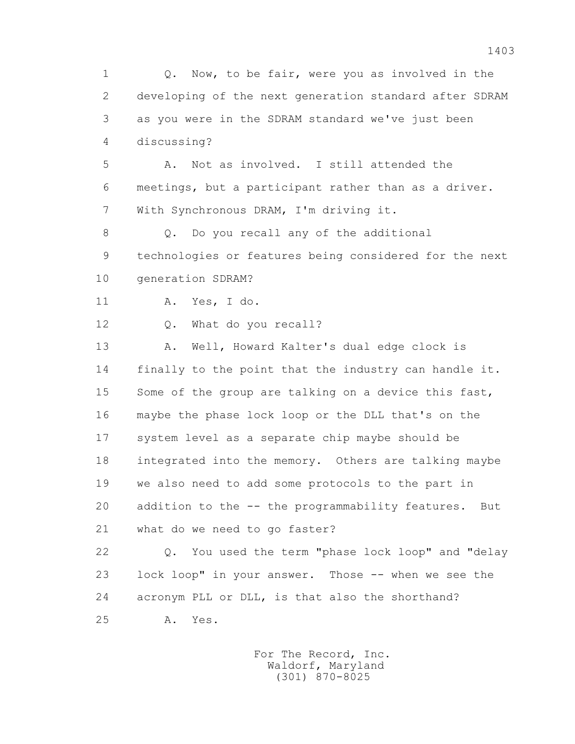1 Q. Now, to be fair, were you as involved in the 2 developing of the next generation standard after SDRAM 3 as you were in the SDRAM standard we've just been 4 discussing? 5 A. Not as involved. I still attended the 6 meetings, but a participant rather than as a driver. 7 With Synchronous DRAM, I'm driving it. 8 Q. Do you recall any of the additional 9 technologies or features being considered for the next 10 generation SDRAM? 11 A. Yes, I do. 12 Q. What do you recall? 13 A. Well, Howard Kalter's dual edge clock is 14 finally to the point that the industry can handle it. 15 Some of the group are talking on a device this fast, 16 maybe the phase lock loop or the DLL that's on the 17 system level as a separate chip maybe should be 18 integrated into the memory. Others are talking maybe 19 we also need to add some protocols to the part in 20 addition to the -- the programmability features. But 21 what do we need to go faster? 22 Q. You used the term "phase lock loop" and "delay 23 lock loop" in your answer. Those -- when we see the 24 acronym PLL or DLL, is that also the shorthand? 25 A. Yes.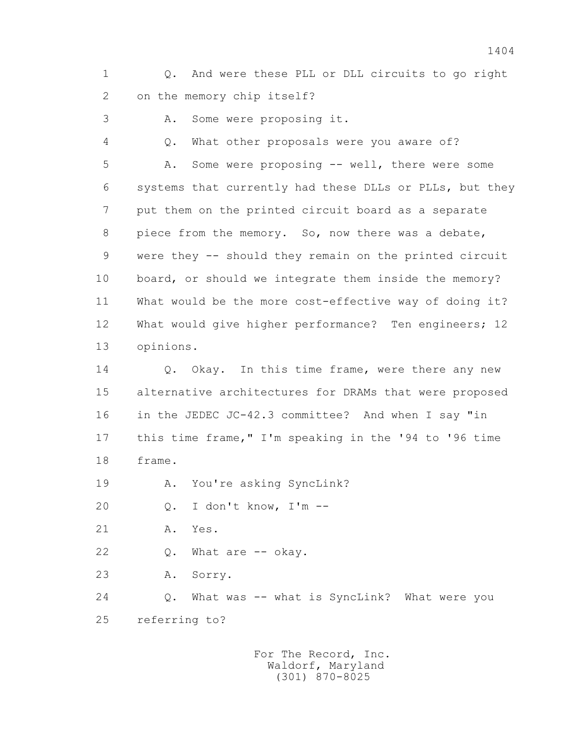1 Q. And were these PLL or DLL circuits to go right 2 on the memory chip itself?

3 A. Some were proposing it.

 4 Q. What other proposals were you aware of? 5 A. Some were proposing -- well, there were some 6 systems that currently had these DLLs or PLLs, but they 7 put them on the printed circuit board as a separate 8 piece from the memory. So, now there was a debate, 9 were they -- should they remain on the printed circuit 10 board, or should we integrate them inside the memory? 11 What would be the more cost-effective way of doing it? 12 What would give higher performance? Ten engineers; 12 13 opinions.

14 0. Okay. In this time frame, were there any new 15 alternative architectures for DRAMs that were proposed 16 in the JEDEC JC-42.3 committee? And when I say "in 17 this time frame," I'm speaking in the '94 to '96 time 18 frame.

19 A. You're asking SyncLink?

20 Q. I don't know, I'm --

- 21 A. Yes.
- 22 Q. What are -- okay.

23 A. Sorry.

 24 Q. What was -- what is SyncLink? What were you 25 referring to?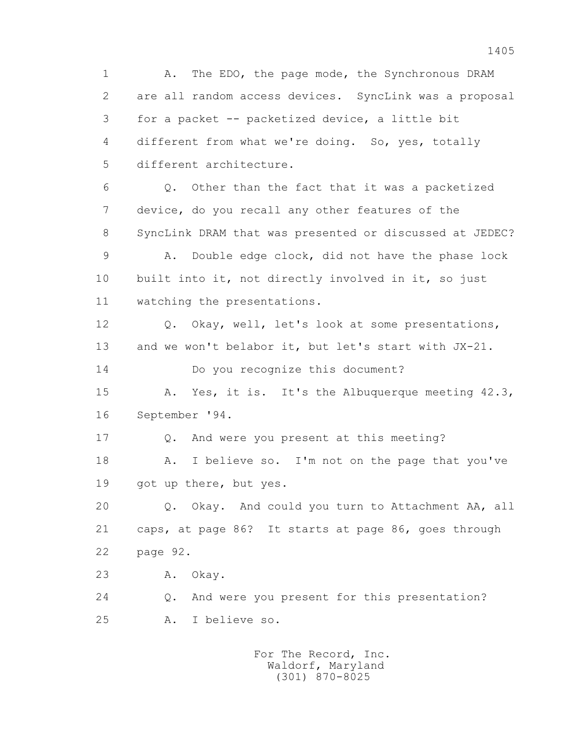1 A. The EDO, the page mode, the Synchronous DRAM 2 are all random access devices. SyncLink was a proposal 3 for a packet -- packetized device, a little bit 4 different from what we're doing. So, yes, totally 5 different architecture. 6 Q. Other than the fact that it was a packetized 7 device, do you recall any other features of the 8 SyncLink DRAM that was presented or discussed at JEDEC? 9 A. Double edge clock, did not have the phase lock 10 built into it, not directly involved in it, so just 11 watching the presentations. 12 Q. Okay, well, let's look at some presentations, 13 and we won't belabor it, but let's start with JX-21. 14 Do you recognize this document? 15 A. Yes, it is. It's the Albuquerque meeting 42.3, 16 September '94. 17 Q. And were you present at this meeting? 18 A. I believe so. I'm not on the page that you've 19 got up there, but yes. 20 Q. Okay. And could you turn to Attachment AA, all 21 caps, at page 86? It starts at page 86, goes through 22 page 92. 23 A. Okay. 24 Q. And were you present for this presentation? 25 A. I believe so. For The Record, Inc. Waldorf, Maryland

(301) 870-8025

1405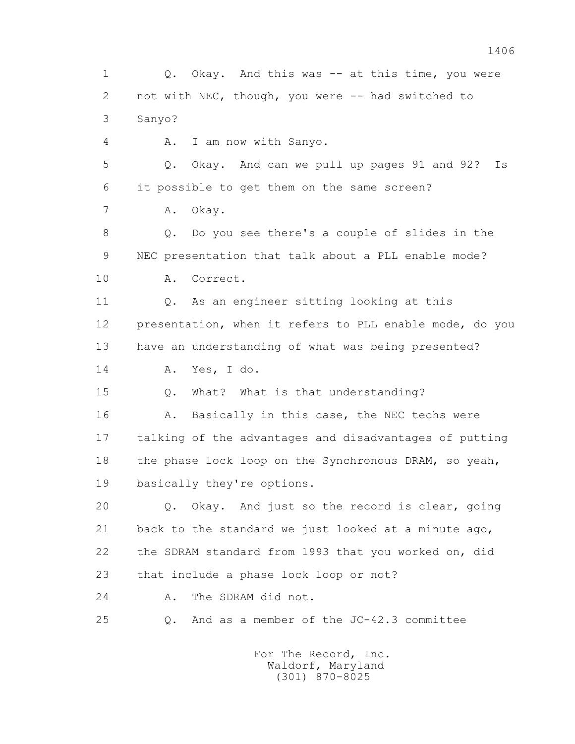1 Q. Okay. And this was -- at this time, you were 2 not with NEC, though, you were -- had switched to 3 Sanyo? 4 A. I am now with Sanyo. 5 Q. Okay. And can we pull up pages 91 and 92? Is 6 it possible to get them on the same screen? 7 A. Okay. 8 Q. Do you see there's a couple of slides in the 9 NEC presentation that talk about a PLL enable mode? 10 A. Correct. 11 Q. As an engineer sitting looking at this 12 presentation, when it refers to PLL enable mode, do you 13 have an understanding of what was being presented? 14 A. Yes, I do. 15 Q. What? What is that understanding? 16 A. Basically in this case, the NEC techs were 17 talking of the advantages and disadvantages of putting 18 the phase lock loop on the Synchronous DRAM, so yeah, 19 basically they're options. 20 Q. Okay. And just so the record is clear, going 21 back to the standard we just looked at a minute ago, 22 the SDRAM standard from 1993 that you worked on, did 23 that include a phase lock loop or not? 24 A. The SDRAM did not. 25 Q. And as a member of the JC-42.3 committee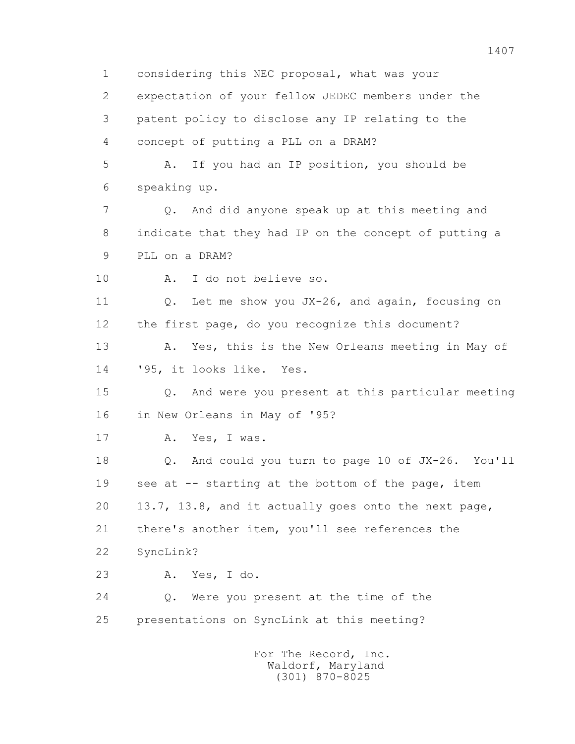1 considering this NEC proposal, what was your 2 expectation of your fellow JEDEC members under the 3 patent policy to disclose any IP relating to the 4 concept of putting a PLL on a DRAM? 5 A. If you had an IP position, you should be 6 speaking up. 7 Q. And did anyone speak up at this meeting and 8 indicate that they had IP on the concept of putting a 9 PLL on a DRAM? 10 A. I do not believe so. 11 0. Let me show you JX-26, and again, focusing on 12 the first page, do you recognize this document? 13 A. Yes, this is the New Orleans meeting in May of 14 '95, it looks like. Yes. 15 Q. And were you present at this particular meeting 16 in New Orleans in May of '95? 17 A. Yes, I was. 18 Q. And could you turn to page 10 of JX-26. You'll 19 see at -- starting at the bottom of the page, item 20 13.7, 13.8, and it actually goes onto the next page, 21 there's another item, you'll see references the 22 SyncLink? 23 A. Yes, I do. 24 Q. Were you present at the time of the 25 presentations on SyncLink at this meeting? For The Record, Inc. Waldorf, Maryland

(301) 870-8025

1407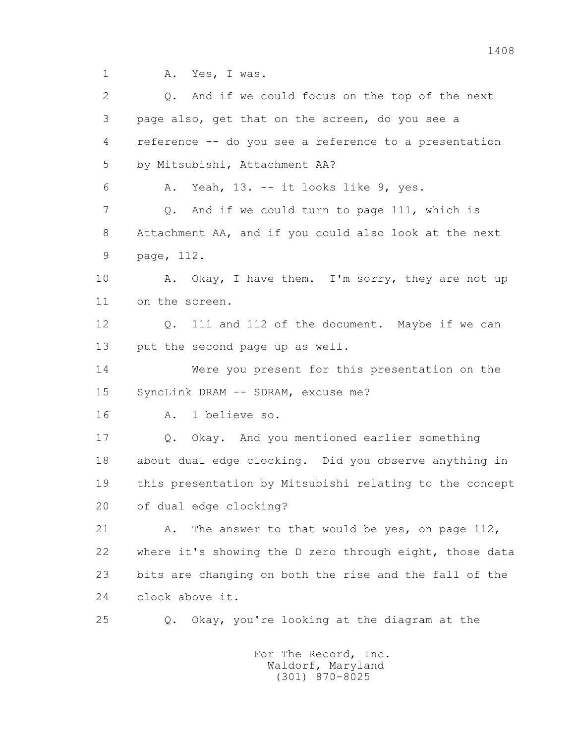1 A. Yes, I was.

2 0. And if we could focus on the top of the next 3 page also, get that on the screen, do you see a 4 reference -- do you see a reference to a presentation 5 by Mitsubishi, Attachment AA? 6 A. Yeah, 13. -- it looks like 9, yes. 7 0. And if we could turn to page 111, which is 8 Attachment AA, and if you could also look at the next 9 page, 112. 10 A. Okay, I have them. I'm sorry, they are not up 11 on the screen. 12 Q. 111 and 112 of the document. Maybe if we can 13 put the second page up as well. 14 Were you present for this presentation on the 15 SyncLink DRAM -- SDRAM, excuse me? 16 A. I believe so. 17 Q. Okay. And you mentioned earlier something 18 about dual edge clocking. Did you observe anything in 19 this presentation by Mitsubishi relating to the concept 20 of dual edge clocking? 21 A. The answer to that would be yes, on page 112, 22 where it's showing the D zero through eight, those data 23 bits are changing on both the rise and the fall of the 24 clock above it. 25 Q. Okay, you're looking at the diagram at the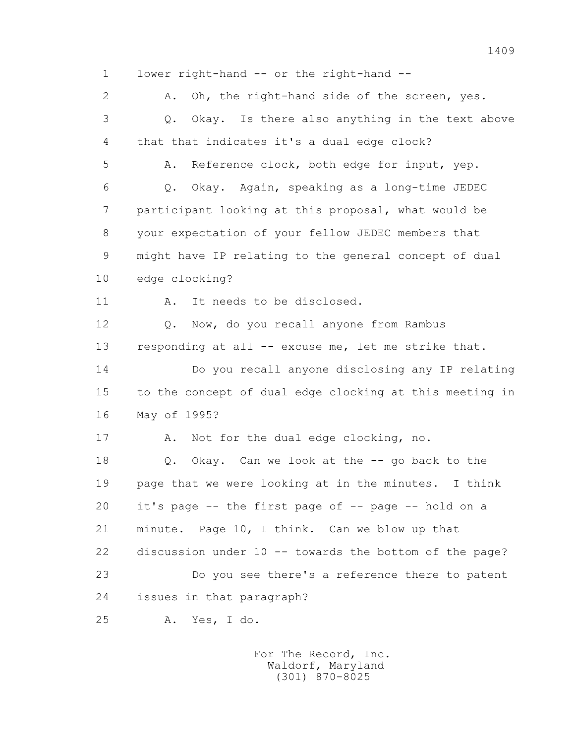1 lower right-hand -- or the right-hand -- 2 A. Oh, the right-hand side of the screen, yes. 3 Q. Okay. Is there also anything in the text above 4 that that indicates it's a dual edge clock? 5 A. Reference clock, both edge for input, yep. 6 Q. Okay. Again, speaking as a long-time JEDEC 7 participant looking at this proposal, what would be 8 your expectation of your fellow JEDEC members that 9 might have IP relating to the general concept of dual 10 edge clocking? 11 A. It needs to be disclosed. 12 Q. Now, do you recall anyone from Rambus 13 responding at all -- excuse me, let me strike that. 14 Do you recall anyone disclosing any IP relating 15 to the concept of dual edge clocking at this meeting in 16 May of 1995? 17 A. Not for the dual edge clocking, no. 18 Q. Okay. Can we look at the -- go back to the 19 page that we were looking at in the minutes. I think 20 it's page -- the first page of -- page -- hold on a 21 minute. Page 10, I think. Can we blow up that 22 discussion under 10 -- towards the bottom of the page? 23 Do you see there's a reference there to patent 24 issues in that paragraph? 25 A. Yes, I do. For The Record, Inc.

 Waldorf, Maryland (301) 870-8025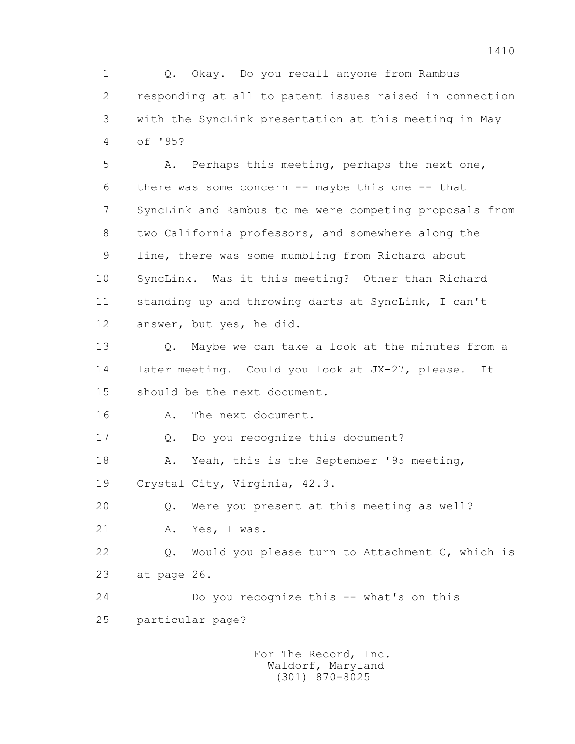1 Q. Okay. Do you recall anyone from Rambus 2 responding at all to patent issues raised in connection 3 with the SyncLink presentation at this meeting in May 4 of '95?

 5 A. Perhaps this meeting, perhaps the next one, 6 there was some concern -- maybe this one -- that 7 SyncLink and Rambus to me were competing proposals from 8 two California professors, and somewhere along the 9 line, there was some mumbling from Richard about 10 SyncLink. Was it this meeting? Other than Richard 11 standing up and throwing darts at SyncLink, I can't 12 answer, but yes, he did.

 13 Q. Maybe we can take a look at the minutes from a 14 later meeting. Could you look at JX-27, please. It 15 should be the next document.

16 A. The next document.

17 Q. Do you recognize this document?

 18 A. Yeah, this is the September '95 meeting, 19 Crystal City, Virginia, 42.3.

20 Q. Were you present at this meeting as well?

21 A. Yes, I was.

 22 Q. Would you please turn to Attachment C, which is 23 at page 26.

24 Do you recognize this -- what's on this

25 particular page?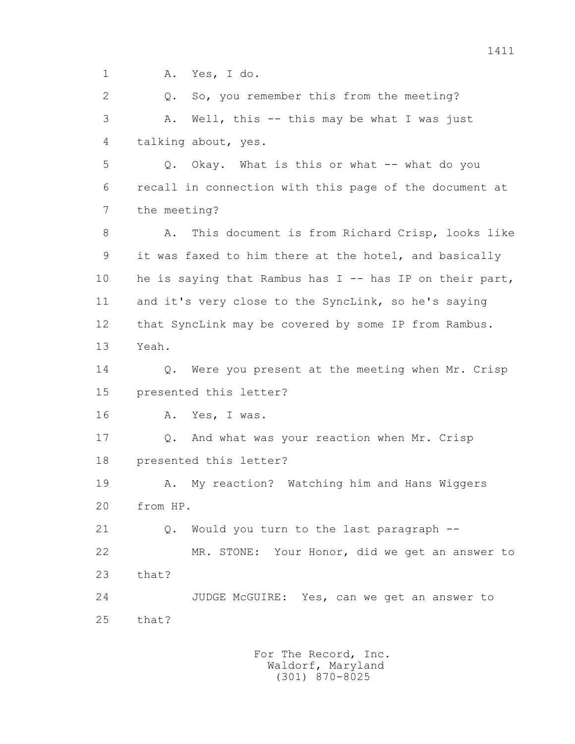1 A. Yes, I do.

 2 Q. So, you remember this from the meeting? 3 A. Well, this -- this may be what I was just 4 talking about, yes.

 5 Q. Okay. What is this or what -- what do you 6 recall in connection with this page of the document at 7 the meeting?

 8 A. This document is from Richard Crisp, looks like 9 it was faxed to him there at the hotel, and basically 10 he is saying that Rambus has I -- has IP on their part, 11 and it's very close to the SyncLink, so he's saying 12 that SyncLink may be covered by some IP from Rambus. 13 Yeah.

 14 Q. Were you present at the meeting when Mr. Crisp 15 presented this letter?

16 A. Yes, I was.

 17 Q. And what was your reaction when Mr. Crisp 18 presented this letter?

 19 A. My reaction? Watching him and Hans Wiggers 20 from HP.

21 Q. Would you turn to the last paragraph --

 22 MR. STONE: Your Honor, did we get an answer to 23 that?

 24 JUDGE McGUIRE: Yes, can we get an answer to 25 that?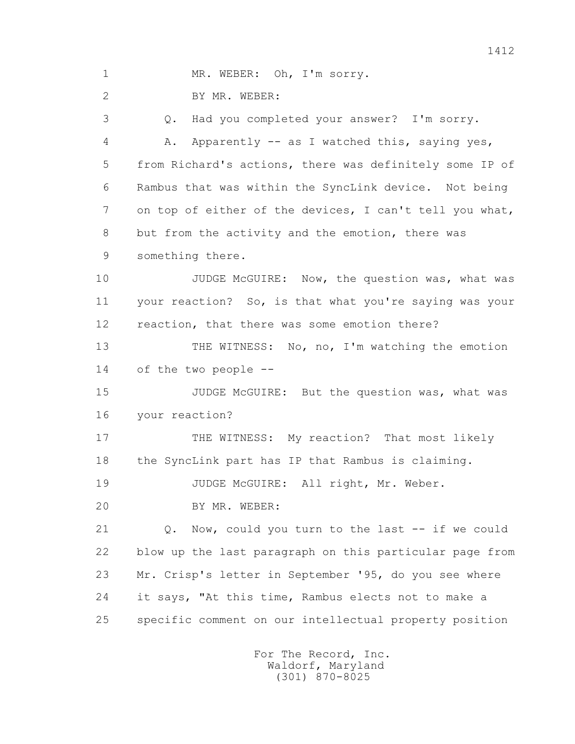1 MR. WEBER: Oh, I'm sorry.

2 BY MR. WEBER:

 3 Q. Had you completed your answer? I'm sorry. 4 A. Apparently -- as I watched this, saying yes, 5 from Richard's actions, there was definitely some IP of 6 Rambus that was within the SyncLink device. Not being 7 on top of either of the devices, I can't tell you what, 8 but from the activity and the emotion, there was 9 something there.

10 JUDGE McGUIRE: Now, the question was, what was 11 your reaction? So, is that what you're saying was your 12 reaction, that there was some emotion there?

 13 THE WITNESS: No, no, I'm watching the emotion 14 of the two people --

15 JUDGE McGUIRE: But the question was, what was 16 your reaction?

 17 THE WITNESS: My reaction? That most likely 18 the SyncLink part has IP that Rambus is claiming.

19 JUDGE McGUIRE: All right, Mr. Weber.

20 BY MR. WEBER:

 21 Q. Now, could you turn to the last -- if we could 22 blow up the last paragraph on this particular page from 23 Mr. Crisp's letter in September '95, do you see where 24 it says, "At this time, Rambus elects not to make a 25 specific comment on our intellectual property position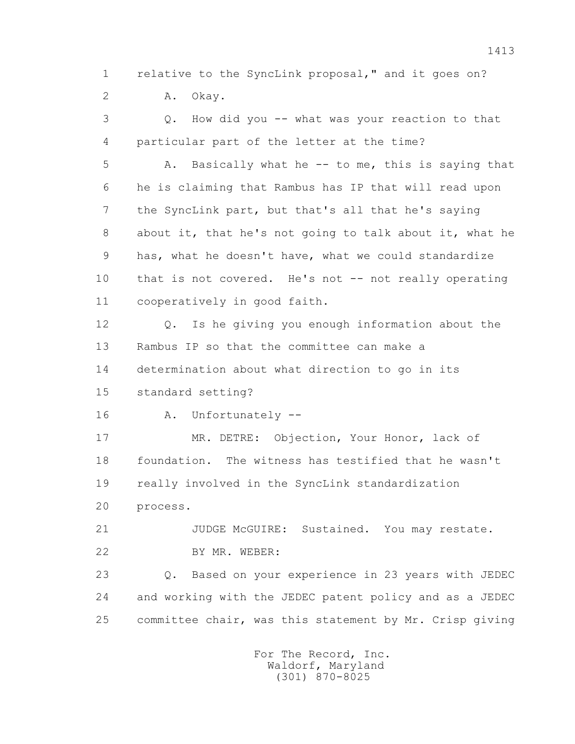1 relative to the SyncLink proposal," and it goes on? 2 A. Okay.

 3 Q. How did you -- what was your reaction to that 4 particular part of the letter at the time? 5 A. Basically what he -- to me, this is saying that 6 he is claiming that Rambus has IP that will read upon 7 the SyncLink part, but that's all that he's saying 8 about it, that he's not going to talk about it, what he 9 has, what he doesn't have, what we could standardize 10 that is not covered. He's not -- not really operating 11 cooperatively in good faith. 12 Q. Is he giving you enough information about the 13 Rambus IP so that the committee can make a 14 determination about what direction to go in its 15 standard setting? 16 A. Unfortunately -- 17 MR. DETRE: Objection, Your Honor, lack of 18 foundation. The witness has testified that he wasn't 19 really involved in the SyncLink standardization

20 process.

 21 JUDGE McGUIRE: Sustained. You may restate. 22 BY MR. WEBER:

 23 Q. Based on your experience in 23 years with JEDEC 24 and working with the JEDEC patent policy and as a JEDEC 25 committee chair, was this statement by Mr. Crisp giving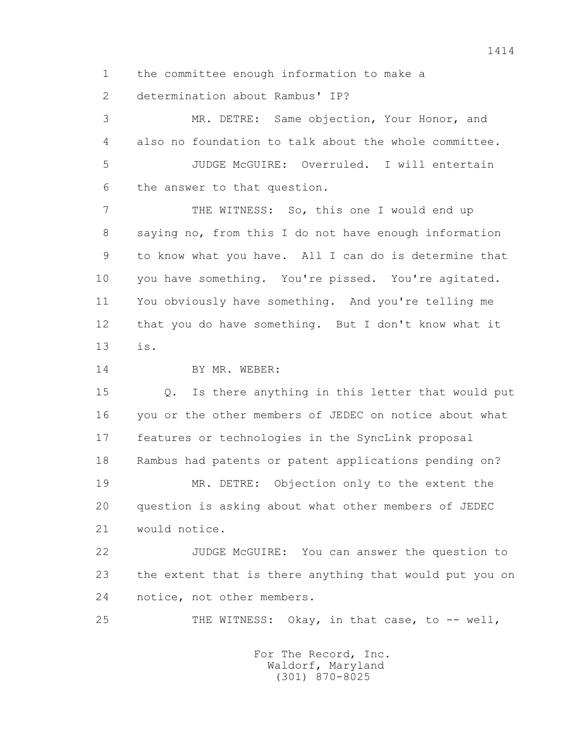1 the committee enough information to make a

2 determination about Rambus' IP?

 3 MR. DETRE: Same objection, Your Honor, and 4 also no foundation to talk about the whole committee. 5 JUDGE McGUIRE: Overruled. I will entertain 6 the answer to that question.

 7 THE WITNESS: So, this one I would end up 8 saying no, from this I do not have enough information 9 to know what you have. All I can do is determine that 10 you have something. You're pissed. You're agitated. 11 You obviously have something. And you're telling me 12 that you do have something. But I don't know what it 13 is.

14 BY MR. WEBER:

 15 Q. Is there anything in this letter that would put 16 you or the other members of JEDEC on notice about what 17 features or technologies in the SyncLink proposal 18 Rambus had patents or patent applications pending on? 19 MR. DETRE: Objection only to the extent the 20 question is asking about what other members of JEDEC 21 would notice.

 22 JUDGE McGUIRE: You can answer the question to 23 the extent that is there anything that would put you on 24 notice, not other members.

25 THE WITNESS: Okay, in that case, to -- well,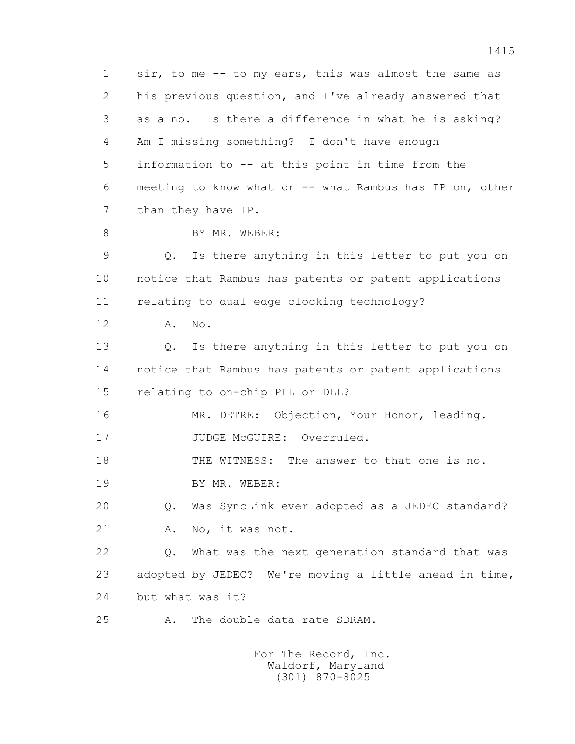1 sir, to me -- to my ears, this was almost the same as 2 his previous question, and I've already answered that 3 as a no. Is there a difference in what he is asking? 4 Am I missing something? I don't have enough 5 information to -- at this point in time from the 6 meeting to know what or -- what Rambus has IP on, other 7 than they have IP. 8 BY MR. WEBER: 9 Q. Is there anything in this letter to put you on 10 notice that Rambus has patents or patent applications 11 relating to dual edge clocking technology? 12 A. No. 13 Q. Is there anything in this letter to put you on 14 notice that Rambus has patents or patent applications 15 relating to on-chip PLL or DLL? 16 MR. DETRE: Objection, Your Honor, leading. 17 JUDGE McGUIRE: Overruled. 18 THE WITNESS: The answer to that one is no. 19 BY MR. WEBER: 20 Q. Was SyncLink ever adopted as a JEDEC standard? 21 A. No, it was not. 22 Q. What was the next generation standard that was 23 adopted by JEDEC? We're moving a little ahead in time, 24 but what was it? 25 A. The double data rate SDRAM.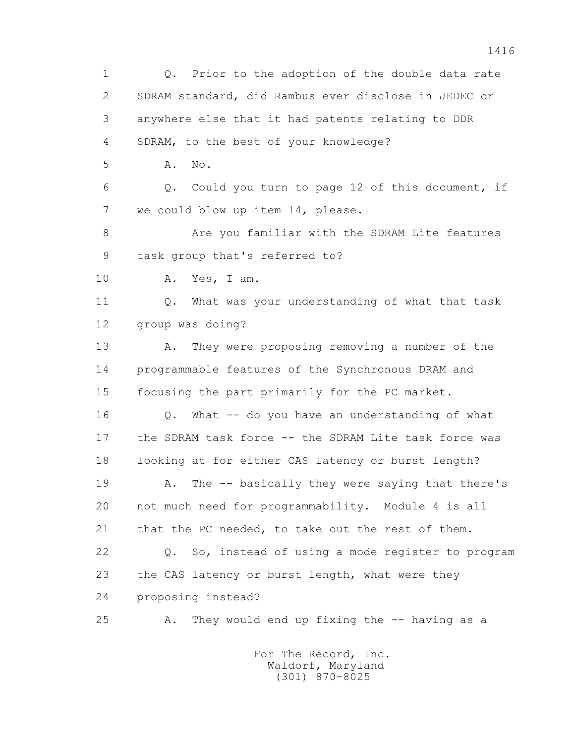1 Q. Prior to the adoption of the double data rate 2 SDRAM standard, did Rambus ever disclose in JEDEC or 3 anywhere else that it had patents relating to DDR 4 SDRAM, to the best of your knowledge? 5 **A.** No. 6 Q. Could you turn to page 12 of this document, if 7 we could blow up item 14, please. 8 Are you familiar with the SDRAM Lite features 9 task group that's referred to? 10 A. Yes, I am. 11 Q. What was your understanding of what that task 12 group was doing? 13 A. They were proposing removing a number of the 14 programmable features of the Synchronous DRAM and 15 focusing the part primarily for the PC market. 16 Q. What -- do you have an understanding of what 17 the SDRAM task force -- the SDRAM Lite task force was 18 looking at for either CAS latency or burst length? 19 A. The -- basically they were saying that there's 20 not much need for programmability. Module 4 is all 21 that the PC needed, to take out the rest of them. 22 Q. So, instead of using a mode register to program 23 the CAS latency or burst length, what were they 24 proposing instead? 25 A. They would end up fixing the -- having as a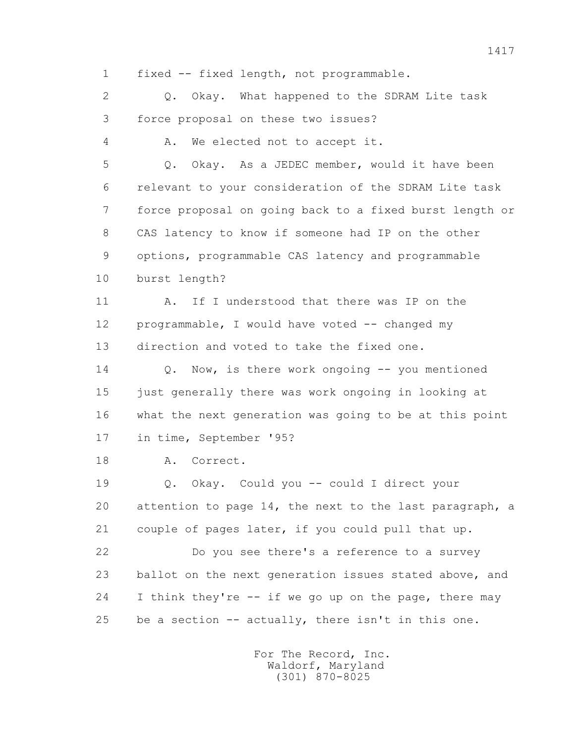1 fixed -- fixed length, not programmable.

 2 Q. Okay. What happened to the SDRAM Lite task 3 force proposal on these two issues?

4 A. We elected not to accept it.

 5 Q. Okay. As a JEDEC member, would it have been 6 relevant to your consideration of the SDRAM Lite task 7 force proposal on going back to a fixed burst length or 8 CAS latency to know if someone had IP on the other 9 options, programmable CAS latency and programmable 10 burst length?

 11 A. If I understood that there was IP on the 12 programmable, I would have voted -- changed my 13 direction and voted to take the fixed one.

14 O. Now, is there work ongoing -- you mentioned 15 just generally there was work ongoing in looking at 16 what the next generation was going to be at this point 17 in time, September '95?

18 A. Correct.

 19 Q. Okay. Could you -- could I direct your 20 attention to page 14, the next to the last paragraph, a 21 couple of pages later, if you could pull that up.

 22 Do you see there's a reference to a survey 23 ballot on the next generation issues stated above, and 24 I think they're -- if we go up on the page, there may 25 be a section -- actually, there isn't in this one.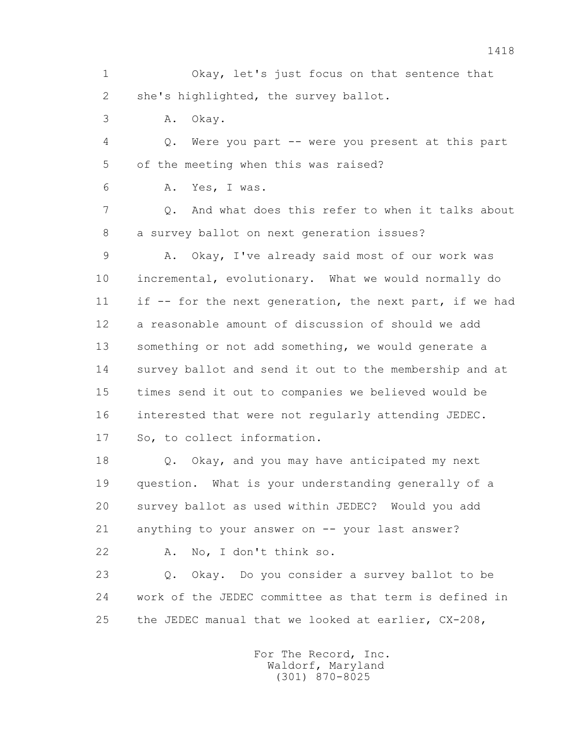1 Okay, let's just focus on that sentence that 2 she's highlighted, the survey ballot.

3 A. Okay.

 4 Q. Were you part -- were you present at this part 5 of the meeting when this was raised?

6 A. Yes, I was.

 7 Q. And what does this refer to when it talks about 8 a survey ballot on next generation issues?

 9 A. Okay, I've already said most of our work was 10 incremental, evolutionary. What we would normally do 11 if -- for the next generation, the next part, if we had 12 a reasonable amount of discussion of should we add 13 something or not add something, we would generate a 14 survey ballot and send it out to the membership and at 15 times send it out to companies we believed would be 16 interested that were not regularly attending JEDEC. 17 So, to collect information.

 18 Q. Okay, and you may have anticipated my next 19 question. What is your understanding generally of a 20 survey ballot as used within JEDEC? Would you add 21 anything to your answer on -- your last answer?

22 A. No, I don't think so.

 23 Q. Okay. Do you consider a survey ballot to be 24 work of the JEDEC committee as that term is defined in 25 the JEDEC manual that we looked at earlier, CX-208,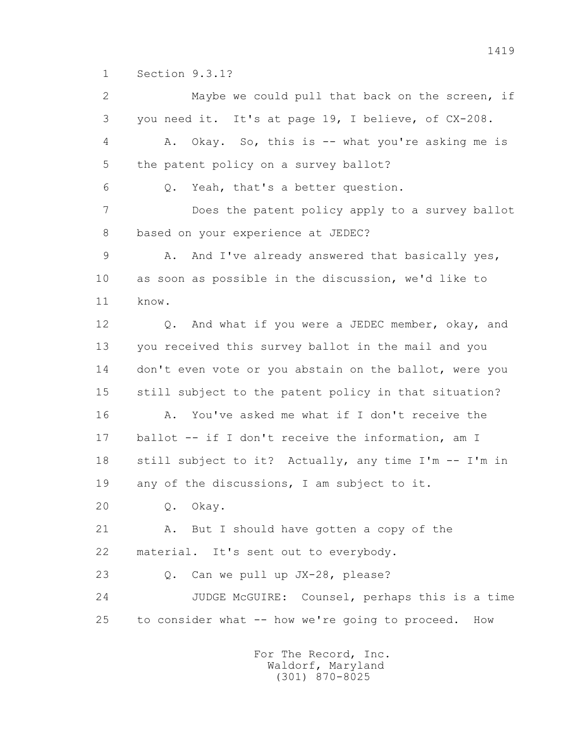1 Section 9.3.1?

 2 Maybe we could pull that back on the screen, if 3 you need it. It's at page 19, I believe, of CX-208. 4 A. Okay. So, this is -- what you're asking me is 5 the patent policy on a survey ballot? 6 Q. Yeah, that's a better question. 7 Does the patent policy apply to a survey ballot 8 based on your experience at JEDEC? 9 A. And I've already answered that basically yes, 10 as soon as possible in the discussion, we'd like to 11 know. 12 Q. And what if you were a JEDEC member, okay, and 13 you received this survey ballot in the mail and you 14 don't even vote or you abstain on the ballot, were you 15 still subject to the patent policy in that situation? 16 A. You've asked me what if I don't receive the 17 ballot -- if I don't receive the information, am I 18 still subject to it? Actually, any time I'm -- I'm in 19 any of the discussions, I am subject to it. 20 Q. Okay. 21 A. But I should have gotten a copy of the 22 material. It's sent out to everybody. 23 Q. Can we pull up JX-28, please? 24 JUDGE McGUIRE: Counsel, perhaps this is a time 25 to consider what -- how we're going to proceed. How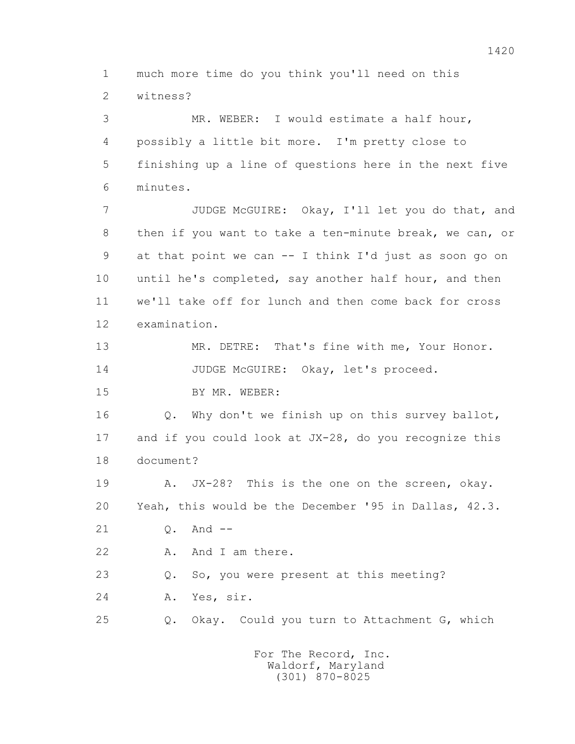1 much more time do you think you'll need on this

2 witness?

 3 MR. WEBER: I would estimate a half hour, 4 possibly a little bit more. I'm pretty close to 5 finishing up a line of questions here in the next five 6 minutes.

 7 JUDGE McGUIRE: Okay, I'll let you do that, and 8 then if you want to take a ten-minute break, we can, or 9 at that point we can -- I think I'd just as soon go on 10 until he's completed, say another half hour, and then 11 we'll take off for lunch and then come back for cross 12 examination.

13 MR. DETRE: That's fine with me, Your Honor.

14 JUDGE McGUIRE: Okay, let's proceed.

15 BY MR. WEBER:

 16 Q. Why don't we finish up on this survey ballot, 17 and if you could look at JX-28, do you recognize this 18 document?

 19 A. JX-28? This is the one on the screen, okay. 20 Yeah, this would be the December '95 in Dallas, 42.3.

21 Q. And --

22 A. And I am there.

23 Q. So, you were present at this meeting?

24 A. Yes, sir.

25 Q. Okay. Could you turn to Attachment G, which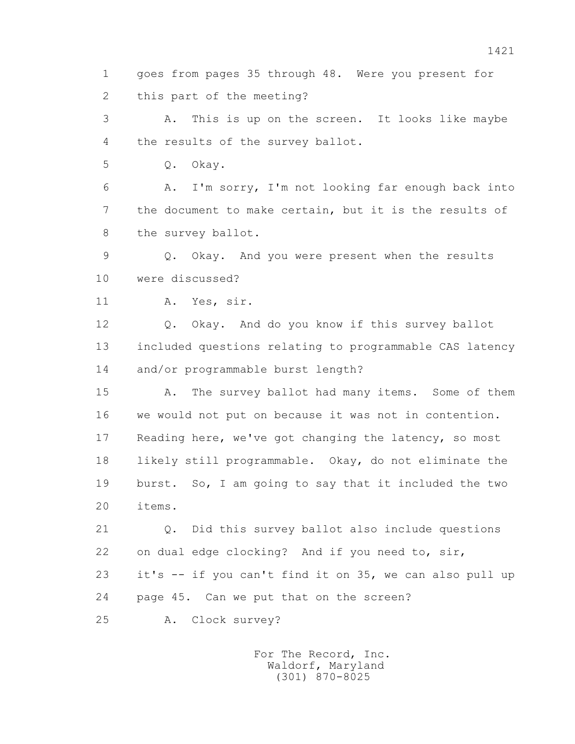1 goes from pages 35 through 48. Were you present for 2 this part of the meeting?

 3 A. This is up on the screen. It looks like maybe 4 the results of the survey ballot.

5 Q. Okay.

 6 A. I'm sorry, I'm not looking far enough back into 7 the document to make certain, but it is the results of 8 the survey ballot.

 9 Q. Okay. And you were present when the results 10 were discussed?

11 A. Yes, sir.

 12 Q. Okay. And do you know if this survey ballot 13 included questions relating to programmable CAS latency 14 and/or programmable burst length?

 15 A. The survey ballot had many items. Some of them 16 we would not put on because it was not in contention. 17 Reading here, we've got changing the latency, so most 18 likely still programmable. Okay, do not eliminate the 19 burst. So, I am going to say that it included the two 20 items.

 21 Q. Did this survey ballot also include questions 22 on dual edge clocking? And if you need to, sir, 23 it's -- if you can't find it on 35, we can also pull up 24 page 45. Can we put that on the screen?

25 A. Clock survey?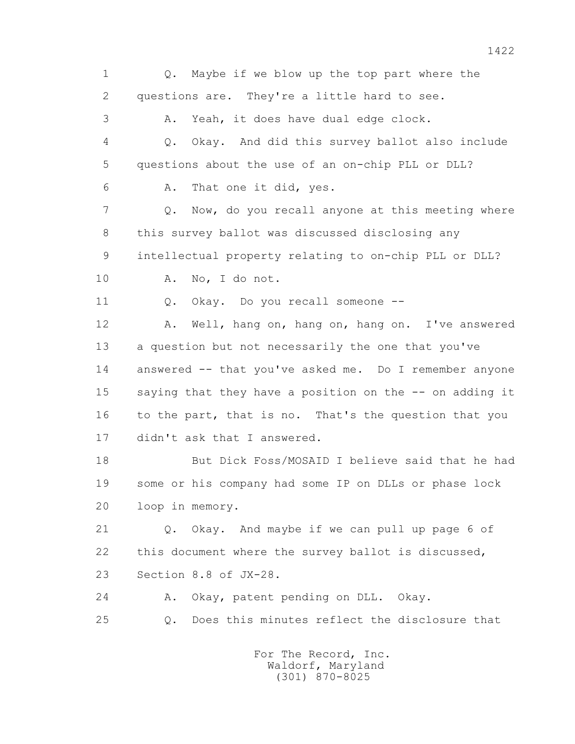1 Q. Maybe if we blow up the top part where the 2 questions are. They're a little hard to see. 3 A. Yeah, it does have dual edge clock. 4 Q. Okay. And did this survey ballot also include 5 questions about the use of an on-chip PLL or DLL? 6 A. That one it did, yes. 7 Q. Now, do you recall anyone at this meeting where 8 this survey ballot was discussed disclosing any 9 intellectual property relating to on-chip PLL or DLL? 10 A. No, I do not. 11 0. Okay. Do you recall someone -- 12 A. Well, hang on, hang on, hang on. I've answered 13 a question but not necessarily the one that you've 14 answered -- that you've asked me. Do I remember anyone 15 saying that they have a position on the -- on adding it 16 to the part, that is no. That's the question that you 17 didn't ask that I answered. 18 But Dick Foss/MOSAID I believe said that he had 19 some or his company had some IP on DLLs or phase lock 20 loop in memory. 21 Q. Okay. And maybe if we can pull up page 6 of 22 this document where the survey ballot is discussed, 23 Section 8.8 of JX-28. 24 A. Okay, patent pending on DLL. Okay. 25 Q. Does this minutes reflect the disclosure that For The Record, Inc.

 Waldorf, Maryland (301) 870-8025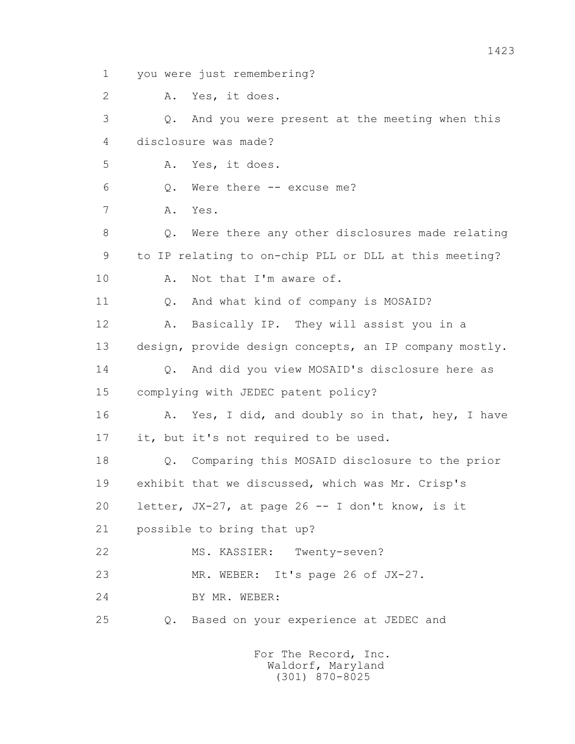1 you were just remembering?

2 A. Yes, it does.

 3 Q. And you were present at the meeting when this 4 disclosure was made? 5 A. Yes, it does. 6 Q. Were there -- excuse me? 7 A. Yes. 8 Q. Were there any other disclosures made relating 9 to IP relating to on-chip PLL or DLL at this meeting? 10 A. Not that I'm aware of. 11 Q. And what kind of company is MOSAID? 12 A. Basically IP. They will assist you in a 13 design, provide design concepts, an IP company mostly. 14 0. And did you view MOSAID's disclosure here as 15 complying with JEDEC patent policy? 16 A. Yes, I did, and doubly so in that, hey, I have 17 it, but it's not required to be used. 18 Q. Comparing this MOSAID disclosure to the prior 19 exhibit that we discussed, which was Mr. Crisp's 20 letter, JX-27, at page 26 -- I don't know, is it 21 possible to bring that up?

22 MS. KASSIER: Twenty-seven?

23 MR. WEBER: It's page 26 of JX-27.

24 BY MR. WEBER:

25 Q. Based on your experience at JEDEC and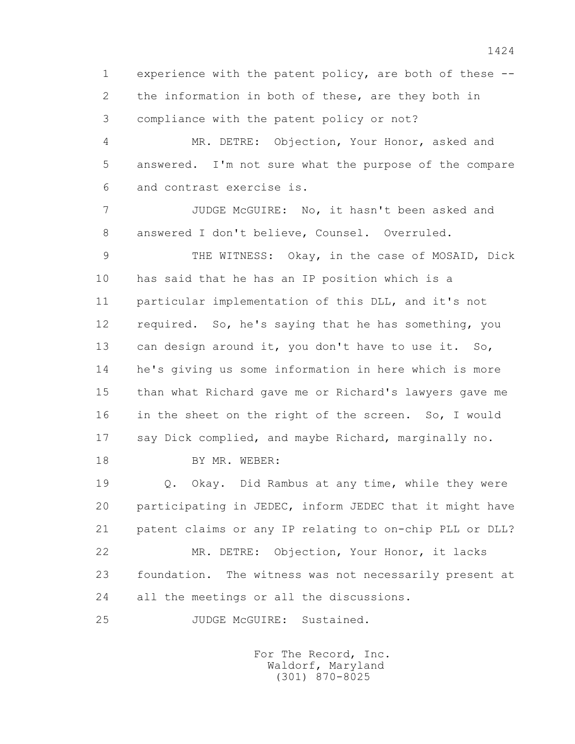1 experience with the patent policy, are both of these -- 2 the information in both of these, are they both in 3 compliance with the patent policy or not?

 4 MR. DETRE: Objection, Your Honor, asked and 5 answered. I'm not sure what the purpose of the compare 6 and contrast exercise is.

 7 JUDGE McGUIRE: No, it hasn't been asked and 8 answered I don't believe, Counsel. Overruled.

 9 THE WITNESS: Okay, in the case of MOSAID, Dick 10 has said that he has an IP position which is a 11 particular implementation of this DLL, and it's not 12 required. So, he's saying that he has something, you 13 can design around it, you don't have to use it. So, 14 he's giving us some information in here which is more 15 than what Richard gave me or Richard's lawyers gave me 16 in the sheet on the right of the screen. So, I would 17 say Dick complied, and maybe Richard, marginally no.

18 BY MR. WEBER:

 19 Q. Okay. Did Rambus at any time, while they were 20 participating in JEDEC, inform JEDEC that it might have 21 patent claims or any IP relating to on-chip PLL or DLL? 22 MR. DETRE: Objection, Your Honor, it lacks 23 foundation. The witness was not necessarily present at 24 all the meetings or all the discussions.

25 JUDGE McGUIRE: Sustained.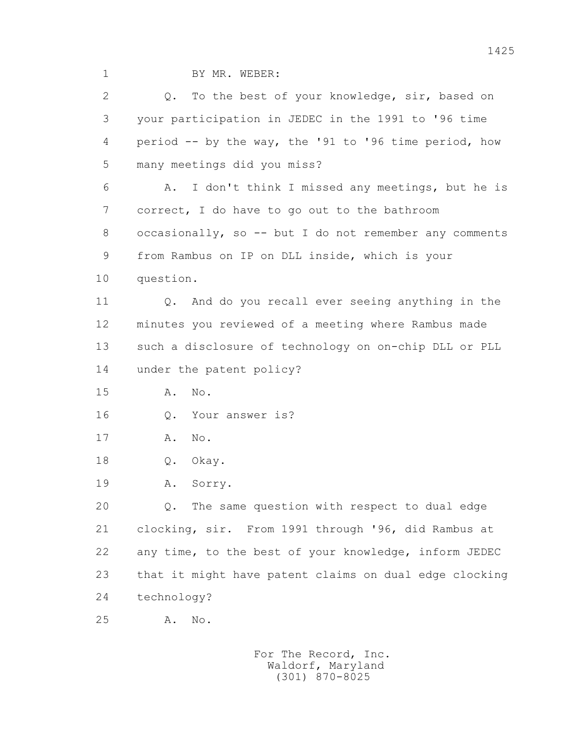1 BY MR. WEBER:

 2 Q. To the best of your knowledge, sir, based on 3 your participation in JEDEC in the 1991 to '96 time 4 period -- by the way, the '91 to '96 time period, how 5 many meetings did you miss? 6 A. I don't think I missed any meetings, but he is 7 correct, I do have to go out to the bathroom 8 occasionally, so -- but I do not remember any comments 9 from Rambus on IP on DLL inside, which is your 10 question. 11 Q. And do you recall ever seeing anything in the 12 minutes you reviewed of a meeting where Rambus made 13 such a disclosure of technology on on-chip DLL or PLL 14 under the patent policy? 15 A. No. 16 0. Your answer is? 17 A. No. 18 Q. Okay. 19 A. Sorry. 20 Q. The same question with respect to dual edge 21 clocking, sir. From 1991 through '96, did Rambus at 22 any time, to the best of your knowledge, inform JEDEC 23 that it might have patent claims on dual edge clocking 24 technology? 25 A. No.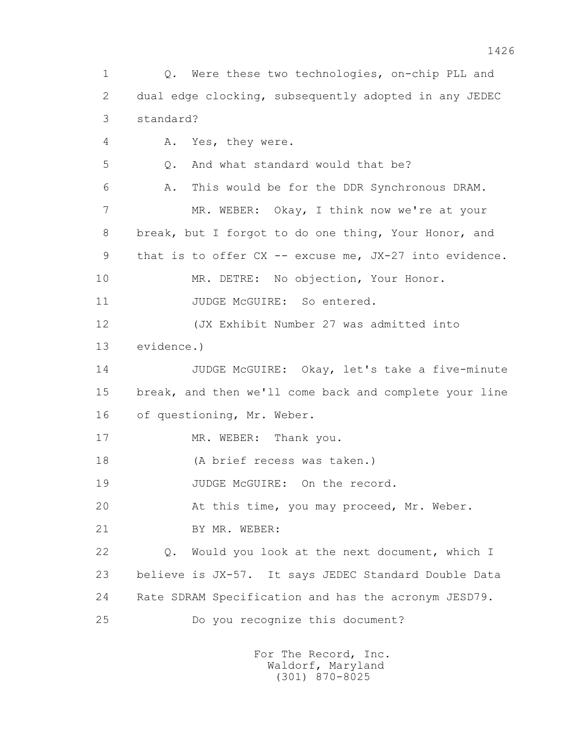1 Q. Were these two technologies, on-chip PLL and 2 dual edge clocking, subsequently adopted in any JEDEC 3 standard? 4 A. Yes, they were. 5 Q. And what standard would that be? 6 A. This would be for the DDR Synchronous DRAM. 7 MR. WEBER: Okay, I think now we're at your 8 break, but I forgot to do one thing, Your Honor, and 9 that is to offer CX -- excuse me, JX-27 into evidence. 10 MR. DETRE: No objection, Your Honor. 11 JUDGE McGUIRE: So entered. 12 (JX Exhibit Number 27 was admitted into 13 evidence.) 14 JUDGE McGUIRE: Okay, let's take a five-minute 15 break, and then we'll come back and complete your line 16 of questioning, Mr. Weber. 17 MR. WEBER: Thank you. 18 (A brief recess was taken.) 19 JUDGE McGUIRE: On the record. 20 At this time, you may proceed, Mr. Weber. 21 BY MR. WEBER: 22 Q. Would you look at the next document, which I 23 believe is JX-57. It says JEDEC Standard Double Data 24 Rate SDRAM Specification and has the acronym JESD79. 25 Do you recognize this document?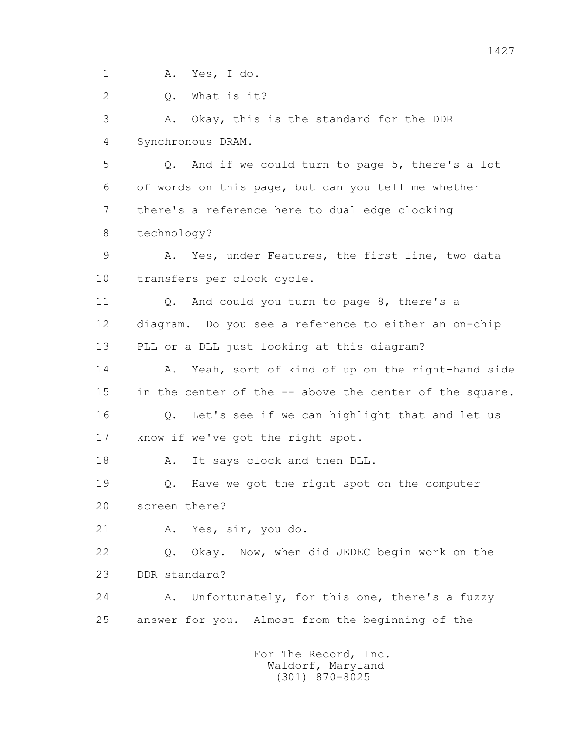1 A. Yes, I do.

2 Q. What is it?

 3 A. Okay, this is the standard for the DDR 4 Synchronous DRAM.

 5 Q. And if we could turn to page 5, there's a lot 6 of words on this page, but can you tell me whether 7 there's a reference here to dual edge clocking 8 technology?

 9 A. Yes, under Features, the first line, two data 10 transfers per clock cycle.

11 0. And could you turn to page 8, there's a 12 diagram. Do you see a reference to either an on-chip 13 PLL or a DLL just looking at this diagram?

14 A. Yeah, sort of kind of up on the right-hand side 15 in the center of the -- above the center of the square. 16 Q. Let's see if we can highlight that and let us 17 know if we've got the right spot.

18 A. It says clock and then DLL.

 19 Q. Have we got the right spot on the computer 20 screen there?

21 A. Yes, sir, you do.

 22 Q. Okay. Now, when did JEDEC begin work on the 23 DDR standard?

24 A. Unfortunately, for this one, there's a fuzzy 25 answer for you. Almost from the beginning of the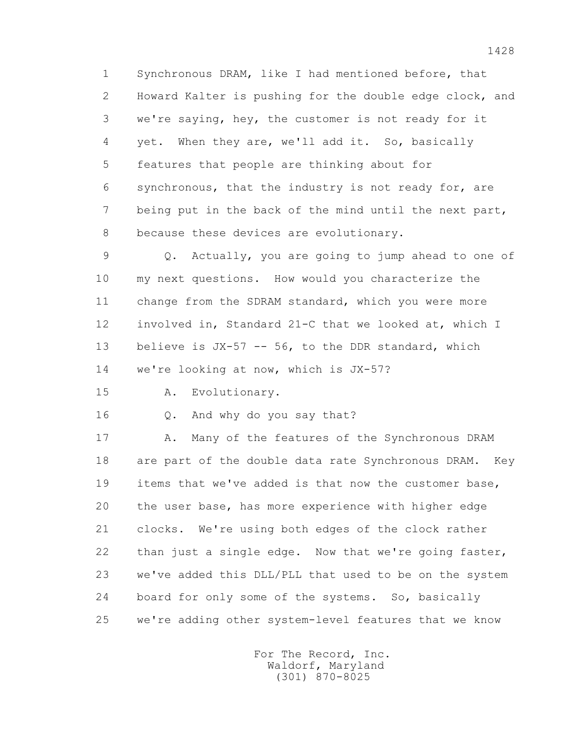1 Synchronous DRAM, like I had mentioned before, that 2 Howard Kalter is pushing for the double edge clock, and 3 we're saying, hey, the customer is not ready for it 4 yet. When they are, we'll add it. So, basically 5 features that people are thinking about for 6 synchronous, that the industry is not ready for, are 7 being put in the back of the mind until the next part, 8 because these devices are evolutionary.

 9 Q. Actually, you are going to jump ahead to one of 10 my next questions. How would you characterize the 11 change from the SDRAM standard, which you were more 12 involved in, Standard 21-C that we looked at, which I 13 believe is JX-57 -- 56, to the DDR standard, which 14 we're looking at now, which is JX-57?

15 A. Evolutionary.

16 Q. And why do you say that?

17 A. Many of the features of the Synchronous DRAM 18 are part of the double data rate Synchronous DRAM. Key 19 items that we've added is that now the customer base, 20 the user base, has more experience with higher edge 21 clocks. We're using both edges of the clock rather 22 than just a single edge. Now that we're going faster, 23 we've added this DLL/PLL that used to be on the system 24 board for only some of the systems. So, basically 25 we're adding other system-level features that we know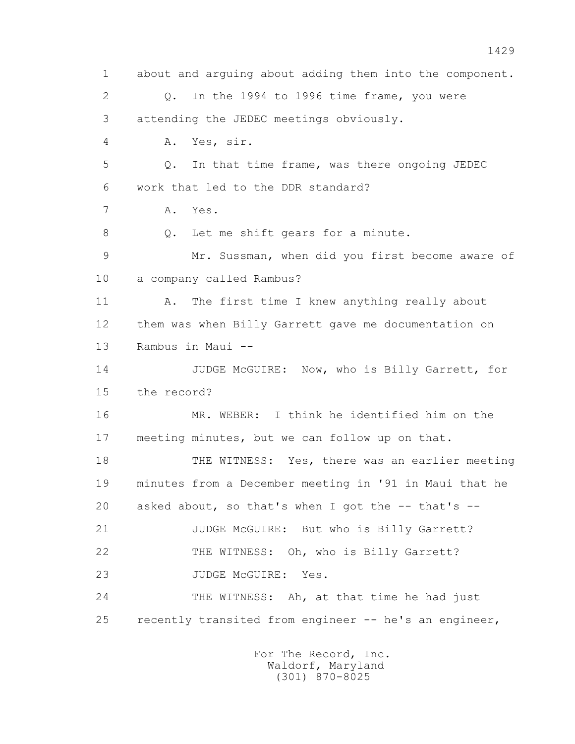1 about and arguing about adding them into the component. 2 Q. In the 1994 to 1996 time frame, you were 3 attending the JEDEC meetings obviously. 4 A. Yes, sir. 5 Q. In that time frame, was there ongoing JEDEC 6 work that led to the DDR standard? 7 A. Yes. 8 Q. Let me shift gears for a minute. 9 Mr. Sussman, when did you first become aware of 10 a company called Rambus? 11 A. The first time I knew anything really about 12 them was when Billy Garrett gave me documentation on 13 Rambus in Maui -- 14 JUDGE McGUIRE: Now, who is Billy Garrett, for 15 the record? 16 MR. WEBER: I think he identified him on the 17 meeting minutes, but we can follow up on that. 18 THE WITNESS: Yes, there was an earlier meeting 19 minutes from a December meeting in '91 in Maui that he 20 asked about, so that's when I got the -- that's -- 21 JUDGE McGUIRE: But who is Billy Garrett? 22 THE WITNESS: Oh, who is Billy Garrett? 23 JUDGE McGUIRE: Yes. 24 THE WITNESS: Ah, at that time he had just 25 recently transited from engineer -- he's an engineer,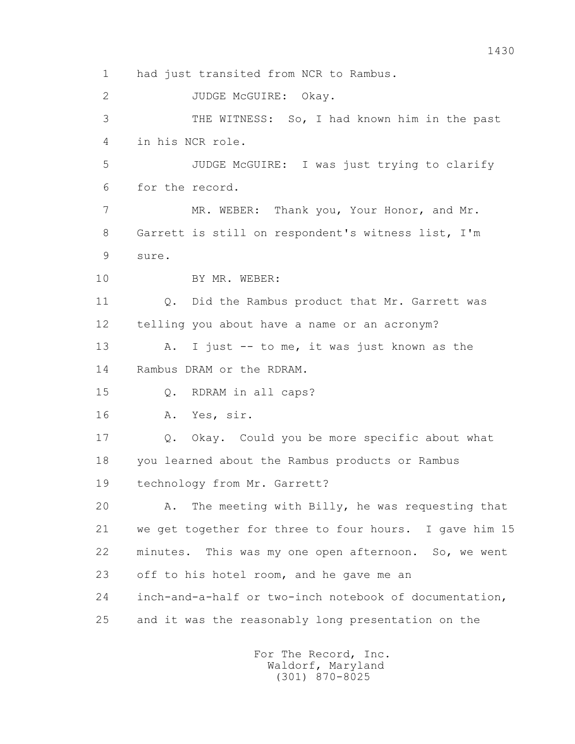1 had just transited from NCR to Rambus. 2 JUDGE McGUIRE: Okay. 3 THE WITNESS: So, I had known him in the past 4 in his NCR role. 5 JUDGE McGUIRE: I was just trying to clarify 6 for the record. 7 MR. WEBER: Thank you, Your Honor, and Mr. 8 Garrett is still on respondent's witness list, I'm 9 sure. 10 BY MR. WEBER: 11 0. Did the Rambus product that Mr. Garrett was 12 telling you about have a name or an acronym? 13 A. I just -- to me, it was just known as the 14 Rambus DRAM or the RDRAM. 15 Q. RDRAM in all caps? 16 A. Yes, sir. 17 Q. Okay. Could you be more specific about what 18 you learned about the Rambus products or Rambus 19 technology from Mr. Garrett? 20 A. The meeting with Billy, he was requesting that 21 we get together for three to four hours. I gave him 15 22 minutes. This was my one open afternoon. So, we went 23 off to his hotel room, and he gave me an 24 inch-and-a-half or two-inch notebook of documentation, 25 and it was the reasonably long presentation on the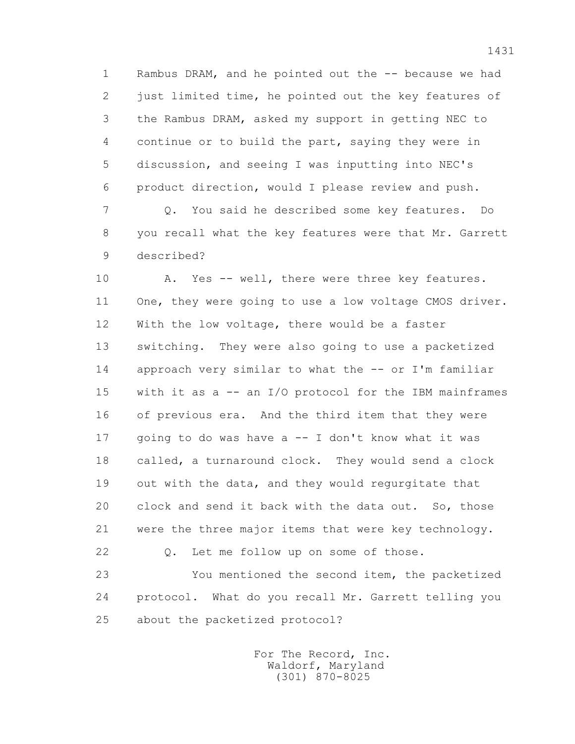1 Rambus DRAM, and he pointed out the -- because we had 2 just limited time, he pointed out the key features of 3 the Rambus DRAM, asked my support in getting NEC to 4 continue or to build the part, saying they were in 5 discussion, and seeing I was inputting into NEC's 6 product direction, would I please review and push.

 7 Q. You said he described some key features. Do 8 you recall what the key features were that Mr. Garrett 9 described?

10 A. Yes -- well, there were three key features. 11 One, they were going to use a low voltage CMOS driver. 12 With the low voltage, there would be a faster 13 switching. They were also going to use a packetized 14 approach very similar to what the -- or I'm familiar 15 with it as a -- an I/O protocol for the IBM mainframes 16 of previous era. And the third item that they were 17 going to do was have a -- I don't know what it was 18 called, a turnaround clock. They would send a clock 19 out with the data, and they would regurgitate that 20 clock and send it back with the data out. So, those 21 were the three major items that were key technology.

22 Q. Let me follow up on some of those.

 23 You mentioned the second item, the packetized 24 protocol. What do you recall Mr. Garrett telling you 25 about the packetized protocol?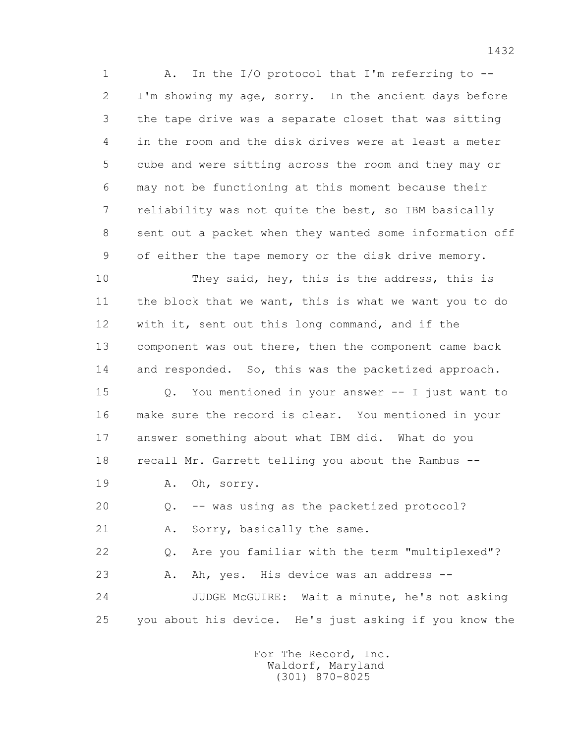1 A. In the I/O protocol that I'm referring to -- 2 I'm showing my age, sorry. In the ancient days before 3 the tape drive was a separate closet that was sitting 4 in the room and the disk drives were at least a meter 5 cube and were sitting across the room and they may or 6 may not be functioning at this moment because their 7 reliability was not quite the best, so IBM basically 8 sent out a packet when they wanted some information off 9 of either the tape memory or the disk drive memory.

 10 They said, hey, this is the address, this is 11 the block that we want, this is what we want you to do 12 with it, sent out this long command, and if the 13 component was out there, then the component came back 14 and responded. So, this was the packetized approach.

 15 Q. You mentioned in your answer -- I just want to 16 make sure the record is clear. You mentioned in your 17 answer something about what IBM did. What do you 18 recall Mr. Garrett telling you about the Rambus --

19 A. Oh, sorry.

20 Q. -- was using as the packetized protocol?

21 A. Sorry, basically the same.

22 Q. Are you familiar with the term "multiplexed"?

23 A. Ah, yes. His device was an address --

 24 JUDGE McGUIRE: Wait a minute, he's not asking 25 you about his device. He's just asking if you know the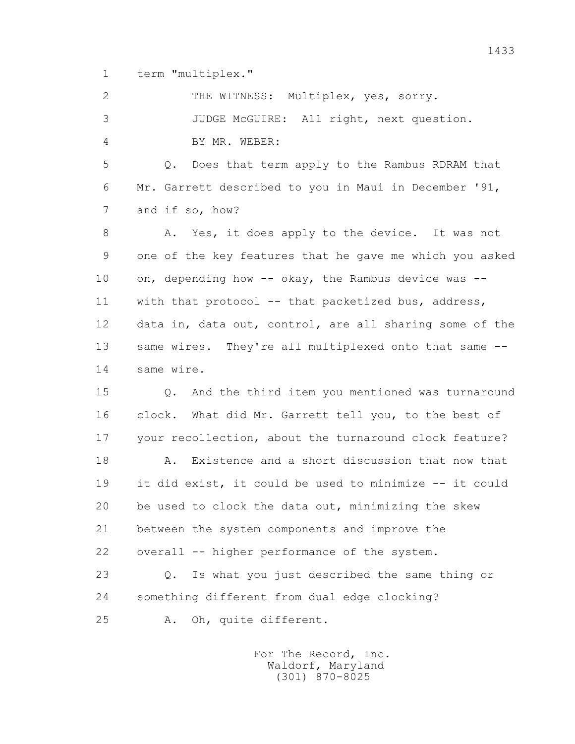1 term "multiplex."

 2 THE WITNESS: Multiplex, yes, sorry. 3 JUDGE McGUIRE: All right, next question. 4 BY MR. WEBER: 5 Q. Does that term apply to the Rambus RDRAM that 6 Mr. Garrett described to you in Maui in December '91, 7 and if so, how? 8 A. Yes, it does apply to the device. It was not 9 one of the key features that he gave me which you asked 10 on, depending how -- okay, the Rambus device was -- 11 with that protocol -- that packetized bus, address, 12 data in, data out, control, are all sharing some of the 13 same wires. They're all multiplexed onto that same -- 14 same wire. 15 Q. And the third item you mentioned was turnaround 16 clock. What did Mr. Garrett tell you, to the best of 17 your recollection, about the turnaround clock feature? 18 A. Existence and a short discussion that now that 19 it did exist, it could be used to minimize -- it could 20 be used to clock the data out, minimizing the skew 21 between the system components and improve the 22 overall -- higher performance of the system. 23 Q. Is what you just described the same thing or 24 something different from dual edge clocking?

25 A. Oh, quite different.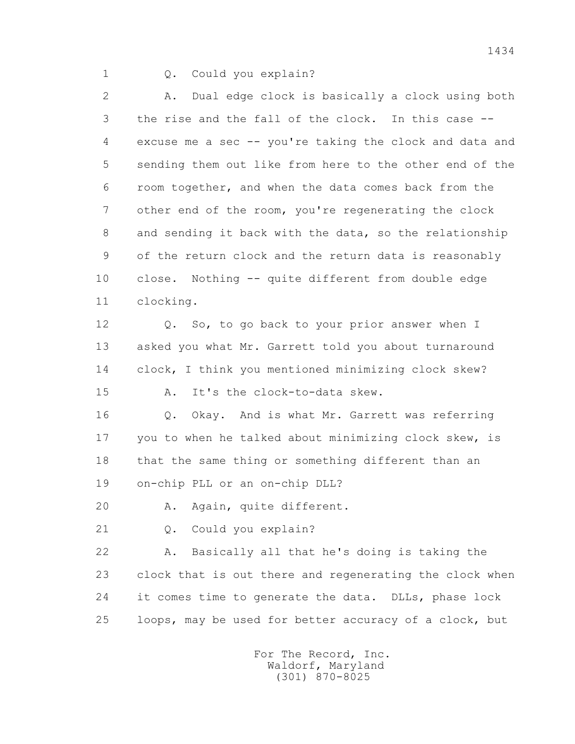1 Q. Could you explain?

 2 A. Dual edge clock is basically a clock using both 3 the rise and the fall of the clock. In this case -- 4 excuse me a sec -- you're taking the clock and data and 5 sending them out like from here to the other end of the 6 room together, and when the data comes back from the 7 other end of the room, you're regenerating the clock 8 and sending it back with the data, so the relationship 9 of the return clock and the return data is reasonably 10 close. Nothing -- quite different from double edge 11 clocking.

 12 Q. So, to go back to your prior answer when I 13 asked you what Mr. Garrett told you about turnaround 14 clock, I think you mentioned minimizing clock skew?

15 A. It's the clock-to-data skew.

 16 Q. Okay. And is what Mr. Garrett was referring 17 you to when he talked about minimizing clock skew, is 18 that the same thing or something different than an 19 on-chip PLL or an on-chip DLL?

20 A. Again, quite different.

21 Q. Could you explain?

 22 A. Basically all that he's doing is taking the 23 clock that is out there and regenerating the clock when 24 it comes time to generate the data. DLLs, phase lock 25 loops, may be used for better accuracy of a clock, but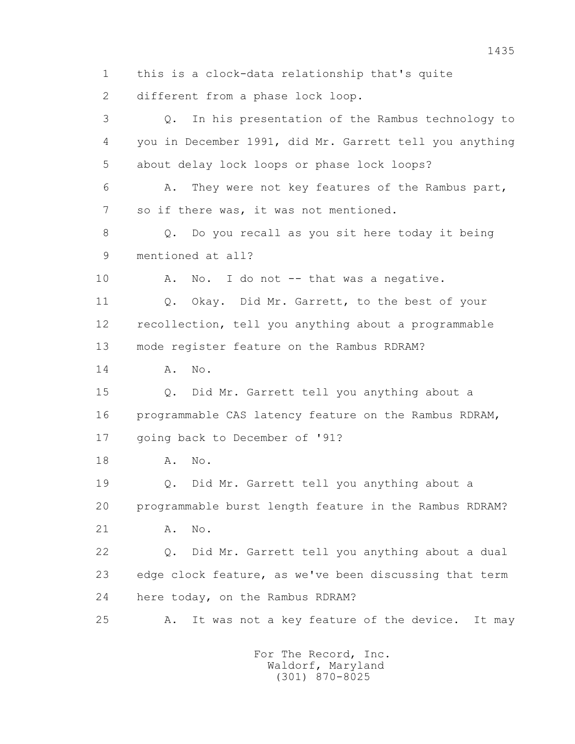1 this is a clock-data relationship that's quite 2 different from a phase lock loop. 3 Q. In his presentation of the Rambus technology to 4 you in December 1991, did Mr. Garrett tell you anything 5 about delay lock loops or phase lock loops? 6 A. They were not key features of the Rambus part, 7 so if there was, it was not mentioned. 8 Q. Do you recall as you sit here today it being 9 mentioned at all? 10 A. No. I do not -- that was a negative. 11 Q. Okay. Did Mr. Garrett, to the best of your 12 recollection, tell you anything about a programmable 13 mode register feature on the Rambus RDRAM? 14 **A.** No. 15 Q. Did Mr. Garrett tell you anything about a 16 programmable CAS latency feature on the Rambus RDRAM, 17 going back to December of '91? 18 **A.** No. 19 Q. Did Mr. Garrett tell you anything about a 20 programmable burst length feature in the Rambus RDRAM? 21 A. No. 22 Q. Did Mr. Garrett tell you anything about a dual 23 edge clock feature, as we've been discussing that term 24 here today, on the Rambus RDRAM? 25 A. It was not a key feature of the device. It may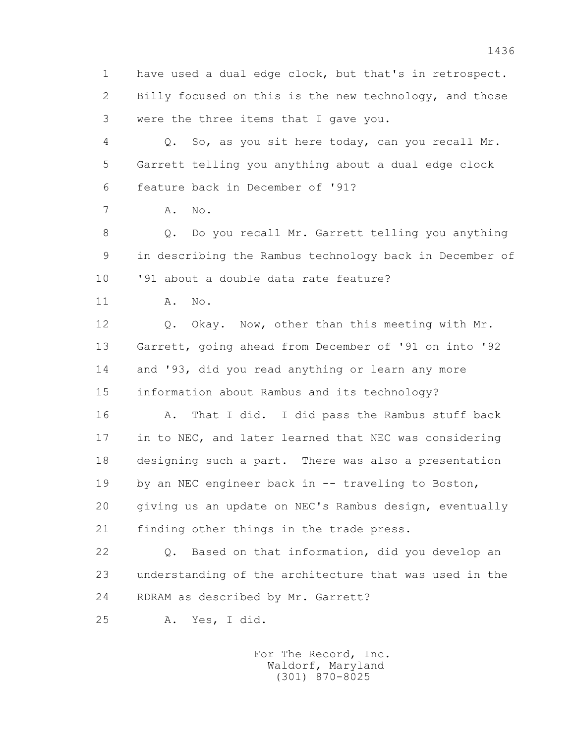1 have used a dual edge clock, but that's in retrospect. 2 Billy focused on this is the new technology, and those 3 were the three items that I gave you.

 4 Q. So, as you sit here today, can you recall Mr. 5 Garrett telling you anything about a dual edge clock 6 feature back in December of '91?

7 A. No.

 8 Q. Do you recall Mr. Garrett telling you anything 9 in describing the Rambus technology back in December of 10 '91 about a double data rate feature?

11 A. No.

 12 Q. Okay. Now, other than this meeting with Mr. 13 Garrett, going ahead from December of '91 on into '92 14 and '93, did you read anything or learn any more 15 information about Rambus and its technology?

16 A. That I did. I did pass the Rambus stuff back 17 in to NEC, and later learned that NEC was considering 18 designing such a part. There was also a presentation 19 by an NEC engineer back in -- traveling to Boston, 20 giving us an update on NEC's Rambus design, eventually 21 finding other things in the trade press.

 22 Q. Based on that information, did you develop an 23 understanding of the architecture that was used in the 24 RDRAM as described by Mr. Garrett?

25 A. Yes, I did.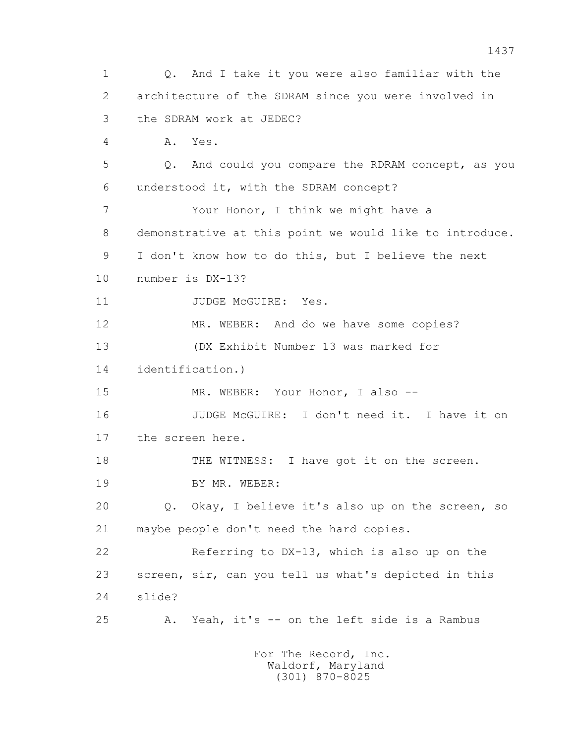1 Q. And I take it you were also familiar with the 2 architecture of the SDRAM since you were involved in 3 the SDRAM work at JEDEC? 4 A. Yes. 5 Q. And could you compare the RDRAM concept, as you 6 understood it, with the SDRAM concept? 7 Your Honor, I think we might have a 8 demonstrative at this point we would like to introduce. 9 I don't know how to do this, but I believe the next 10 number is DX-13? 11 JUDGE McGUIRE: Yes. 12 MR. WEBER: And do we have some copies? 13 (DX Exhibit Number 13 was marked for 14 identification.) 15 MR. WEBER: Your Honor, I also -- 16 JUDGE McGUIRE: I don't need it. I have it on 17 the screen here. 18 THE WITNESS: I have got it on the screen. 19 BY MR. WEBER: 20 Q. Okay, I believe it's also up on the screen, so 21 maybe people don't need the hard copies. 22 Referring to DX-13, which is also up on the 23 screen, sir, can you tell us what's depicted in this 24 slide? 25 A. Yeah, it's -- on the left side is a Rambus For The Record, Inc.

> Waldorf, Maryland (301) 870-8025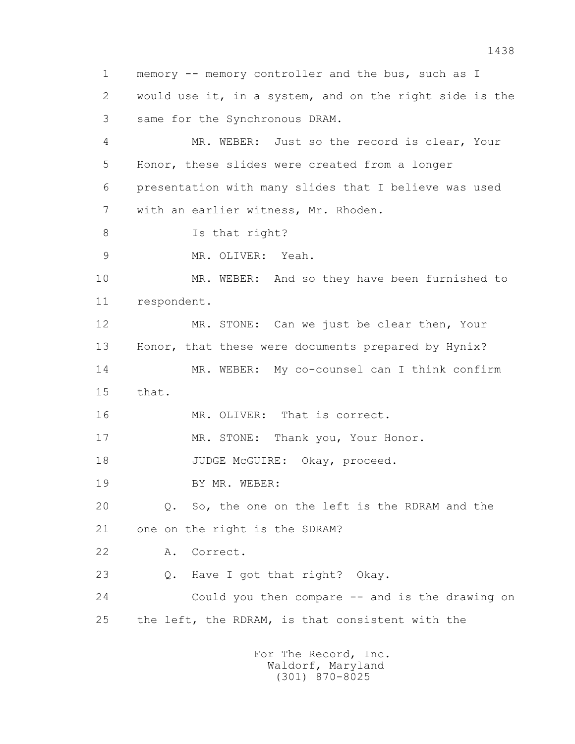1 memory -- memory controller and the bus, such as I 2 would use it, in a system, and on the right side is the 3 same for the Synchronous DRAM. 4 MR. WEBER: Just so the record is clear, Your 5 Honor, these slides were created from a longer 6 presentation with many slides that I believe was used 7 with an earlier witness, Mr. Rhoden. 8 Is that right? 9 MR. OLIVER: Yeah. 10 MR. WEBER: And so they have been furnished to 11 respondent. 12 MR. STONE: Can we just be clear then, Your 13 Honor, that these were documents prepared by Hynix? 14 MR. WEBER: My co-counsel can I think confirm 15 that. 16 MR. OLIVER: That is correct. 17 MR. STONE: Thank you, Your Honor. 18 JUDGE McGUIRE: Okay, proceed. 19 BY MR. WEBER: 20 Q. So, the one on the left is the RDRAM and the 21 one on the right is the SDRAM? 22 A. Correct. 23 Q. Have I got that right? Okay. 24 Could you then compare -- and is the drawing on 25 the left, the RDRAM, is that consistent with the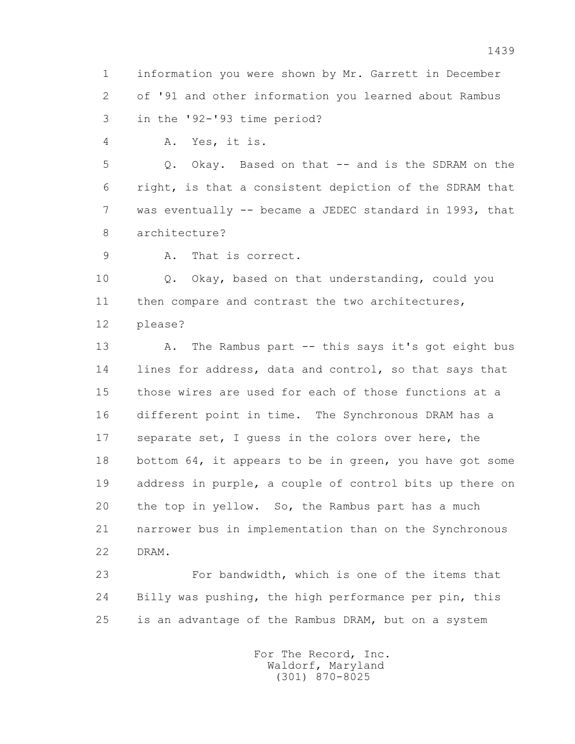1 information you were shown by Mr. Garrett in December 2 of '91 and other information you learned about Rambus 3 in the '92-'93 time period?

4 A. Yes, it is.

 5 Q. Okay. Based on that -- and is the SDRAM on the 6 right, is that a consistent depiction of the SDRAM that 7 was eventually -- became a JEDEC standard in 1993, that 8 architecture?

9 A. That is correct.

 10 Q. Okay, based on that understanding, could you 11 then compare and contrast the two architectures, 12 please?

 13 A. The Rambus part -- this says it's got eight bus 14 lines for address, data and control, so that says that 15 those wires are used for each of those functions at a 16 different point in time. The Synchronous DRAM has a 17 separate set, I guess in the colors over here, the 18 bottom 64, it appears to be in green, you have got some 19 address in purple, a couple of control bits up there on 20 the top in yellow. So, the Rambus part has a much 21 narrower bus in implementation than on the Synchronous 22 DRAM.

 23 For bandwidth, which is one of the items that 24 Billy was pushing, the high performance per pin, this 25 is an advantage of the Rambus DRAM, but on a system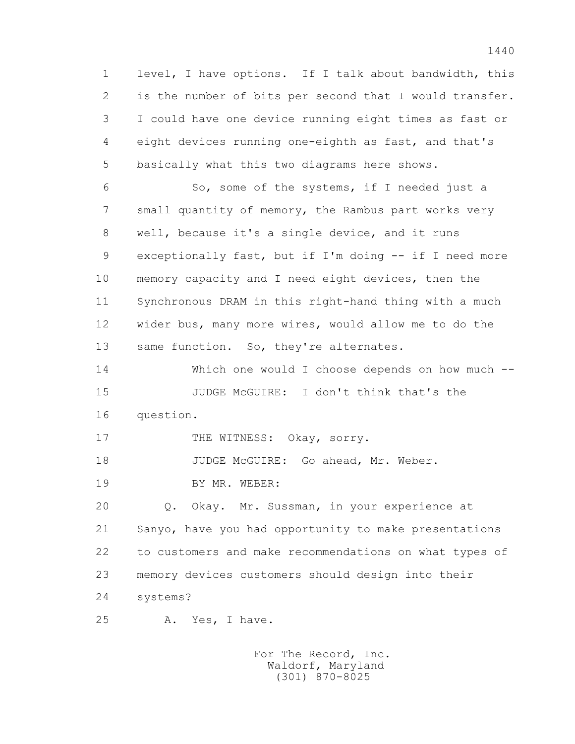1 level, I have options. If I talk about bandwidth, this 2 is the number of bits per second that I would transfer. 3 I could have one device running eight times as fast or 4 eight devices running one-eighth as fast, and that's 5 basically what this two diagrams here shows.

 6 So, some of the systems, if I needed just a 7 small quantity of memory, the Rambus part works very 8 well, because it's a single device, and it runs 9 exceptionally fast, but if I'm doing -- if I need more 10 memory capacity and I need eight devices, then the 11 Synchronous DRAM in this right-hand thing with a much 12 wider bus, many more wires, would allow me to do the 13 same function. So, they're alternates.

 14 Which one would I choose depends on how much -- 15 JUDGE McGUIRE: I don't think that's the 16 question.

17 THE WITNESS: Okay, sorry.

18 JUDGE McGUIRE: Go ahead, Mr. Weber.

19 BY MR. WEBER:

 20 Q. Okay. Mr. Sussman, in your experience at 21 Sanyo, have you had opportunity to make presentations 22 to customers and make recommendations on what types of 23 memory devices customers should design into their 24 systems?

25 A. Yes, I have.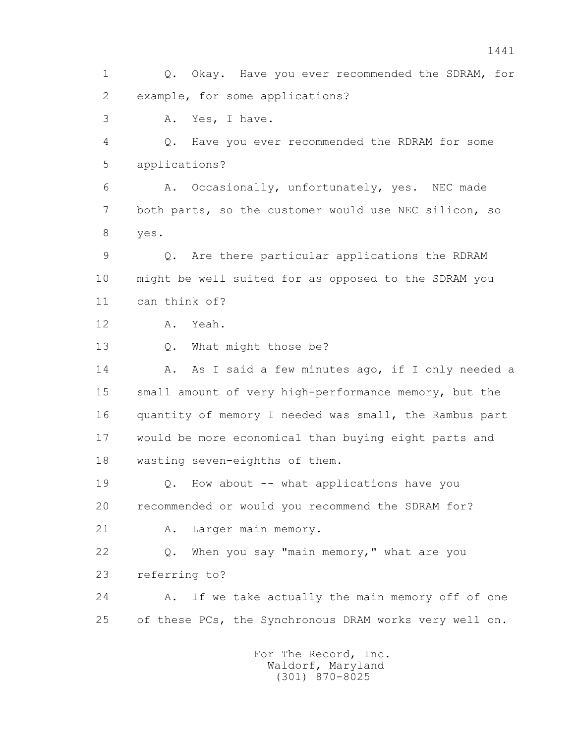1 Q. Okay. Have you ever recommended the SDRAM, for 2 example, for some applications? 3 A. Yes, I have. 4 Q. Have you ever recommended the RDRAM for some 5 applications? 6 A. Occasionally, unfortunately, yes. NEC made 7 both parts, so the customer would use NEC silicon, so 8 yes. 9 Q. Are there particular applications the RDRAM 10 might be well suited for as opposed to the SDRAM you 11 can think of? 12 A. Yeah. 13 Q. What might those be? 14 A. As I said a few minutes ago, if I only needed a 15 small amount of very high-performance memory, but the 16 quantity of memory I needed was small, the Rambus part 17 would be more economical than buying eight parts and 18 wasting seven-eighths of them. 19 Q. How about -- what applications have you 20 recommended or would you recommend the SDRAM for? 21 A. Larger main memory. 22 Q. When you say "main memory," what are you 23 referring to? 24 A. If we take actually the main memory off of one 25 of these PCs, the Synchronous DRAM works very well on. For The Record, Inc.

 Waldorf, Maryland (301) 870-8025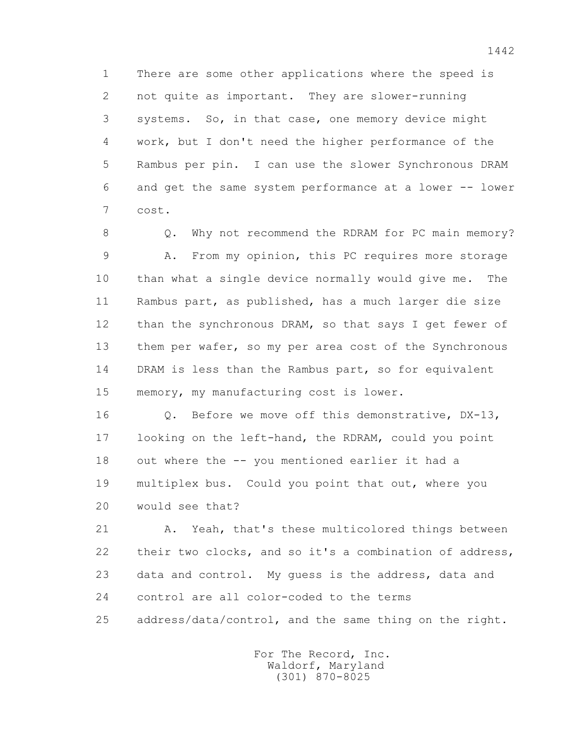1 There are some other applications where the speed is 2 not quite as important. They are slower-running 3 systems. So, in that case, one memory device might 4 work, but I don't need the higher performance of the 5 Rambus per pin. I can use the slower Synchronous DRAM 6 and get the same system performance at a lower -- lower 7 cost.

8 Q. Why not recommend the RDRAM for PC main memory? 9 A. From my opinion, this PC requires more storage 10 than what a single device normally would give me. The 11 Rambus part, as published, has a much larger die size 12 than the synchronous DRAM, so that says I get fewer of 13 them per wafer, so my per area cost of the Synchronous 14 DRAM is less than the Rambus part, so for equivalent 15 memory, my manufacturing cost is lower.

 16 Q. Before we move off this demonstrative, DX-13, 17 looking on the left-hand, the RDRAM, could you point 18 out where the -- you mentioned earlier it had a 19 multiplex bus. Could you point that out, where you 20 would see that?

 21 A. Yeah, that's these multicolored things between 22 their two clocks, and so it's a combination of address, 23 data and control. My guess is the address, data and 24 control are all color-coded to the terms 25 address/data/control, and the same thing on the right.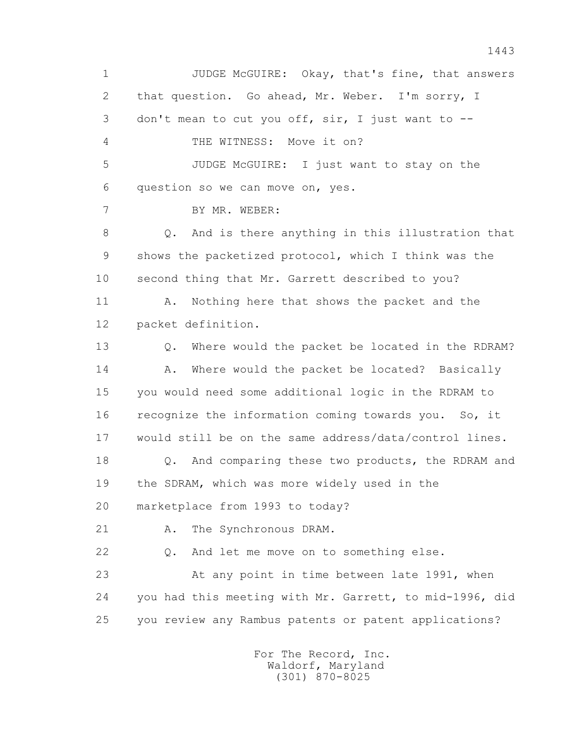1 JUDGE McGUIRE: Okay, that's fine, that answers 2 that question. Go ahead, Mr. Weber. I'm sorry, I 3 don't mean to cut you off, sir, I just want to -- 4 THE WITNESS: Move it on? 5 JUDGE McGUIRE: I just want to stay on the 6 question so we can move on, yes. 7 BY MR. WEBER: 8 Q. And is there anything in this illustration that 9 shows the packetized protocol, which I think was the 10 second thing that Mr. Garrett described to you? 11 A. Nothing here that shows the packet and the 12 packet definition. 13 Q. Where would the packet be located in the RDRAM? 14 A. Where would the packet be located? Basically 15 you would need some additional logic in the RDRAM to 16 recognize the information coming towards you. So, it 17 would still be on the same address/data/control lines. 18 Q. And comparing these two products, the RDRAM and 19 the SDRAM, which was more widely used in the 20 marketplace from 1993 to today? 21 A. The Synchronous DRAM. 22 Q. And let me move on to something else. 23 At any point in time between late 1991, when 24 you had this meeting with Mr. Garrett, to mid-1996, did 25 you review any Rambus patents or patent applications?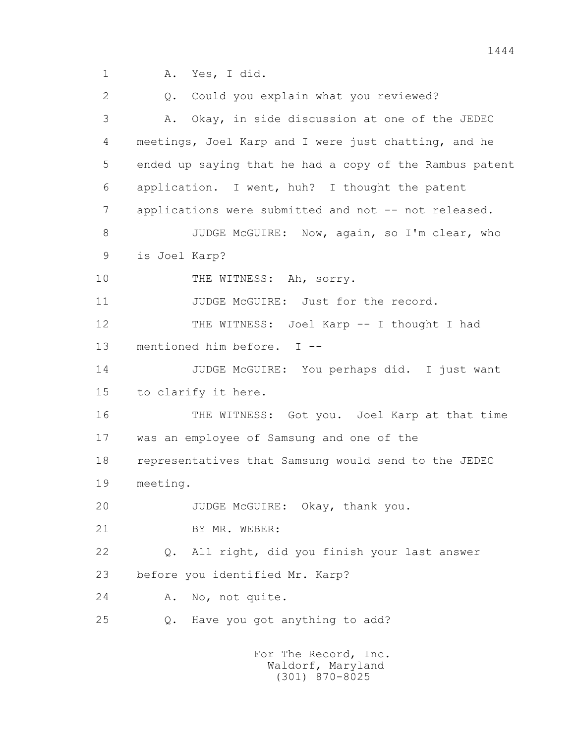2 Q. Could you explain what you reviewed? 3 A. Okay, in side discussion at one of the JEDEC 4 meetings, Joel Karp and I were just chatting, and he 5 ended up saying that he had a copy of the Rambus patent 6 application. I went, huh? I thought the patent 7 applications were submitted and not -- not released. 8 JUDGE McGUIRE: Now, again, so I'm clear, who 9 is Joel Karp? 10 THE WITNESS: Ah, sorry. 11 JUDGE McGUIRE: Just for the record. 12 THE WITNESS: Joel Karp -- I thought I had 13 mentioned him before. I -- 14 JUDGE McGUIRE: You perhaps did. I just want 15 to clarify it here. 16 THE WITNESS: Got you. Joel Karp at that time 17 was an employee of Samsung and one of the 18 representatives that Samsung would send to the JEDEC 19 meeting. 20 JUDGE McGUIRE: Okay, thank you. 21 BY MR. WEBER: 22 Q. All right, did you finish your last answer 23 before you identified Mr. Karp? 24 A. No, not quite. 25 Q. Have you got anything to add? For The Record, Inc.

 Waldorf, Maryland (301) 870-8025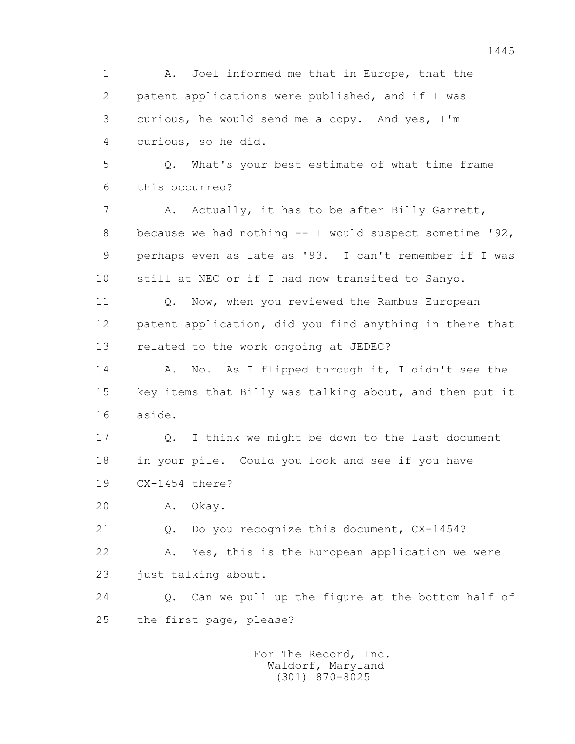1445 1 A. Joel informed me that in Europe, that the 2 patent applications were published, and if I was 3 curious, he would send me a copy. And yes, I'm 4 curious, so he did. 5 Q. What's your best estimate of what time frame 6 this occurred? 7 A. Actually, it has to be after Billy Garrett, 8 because we had nothing -- I would suspect sometime '92, 9 perhaps even as late as '93. I can't remember if I was 10 still at NEC or if I had now transited to Sanyo. 11 0. Now, when you reviewed the Rambus European 12 patent application, did you find anything in there that 13 related to the work ongoing at JEDEC? 14 A. No. As I flipped through it, I didn't see the 15 key items that Billy was talking about, and then put it 16 aside. 17 Q. I think we might be down to the last document 18 in your pile. Could you look and see if you have 19 CX-1454 there? 20 A. Okay. 21 Q. Do you recognize this document, CX-1454? 22 A. Yes, this is the European application we were 23 just talking about. 24 Q. Can we pull up the figure at the bottom half of 25 the first page, please? For The Record, Inc.

 Waldorf, Maryland (301) 870-8025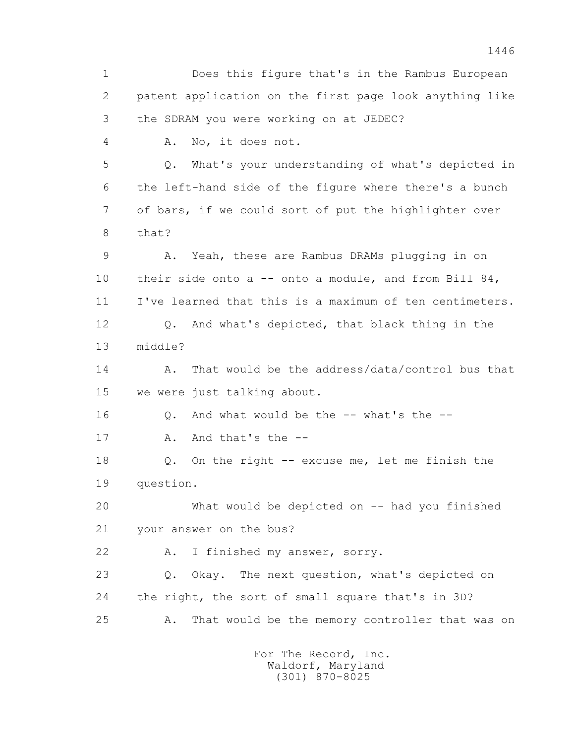1 Does this figure that's in the Rambus European 2 patent application on the first page look anything like 3 the SDRAM you were working on at JEDEC? 4 A. No, it does not. 5 Q. What's your understanding of what's depicted in 6 the left-hand side of the figure where there's a bunch 7 of bars, if we could sort of put the highlighter over 8 that? 9 A. Yeah, these are Rambus DRAMs plugging in on 10 their side onto a -- onto a module, and from Bill 84, 11 I've learned that this is a maximum of ten centimeters. 12 Q. And what's depicted, that black thing in the 13 middle? 14 A. That would be the address/data/control bus that 15 we were just talking about. 16 0. And what would be the -- what's the --17 A. And that's the -- 18 Q. On the right -- excuse me, let me finish the 19 question. 20 What would be depicted on -- had you finished 21 your answer on the bus? 22 A. I finished my answer, sorry. 23 Q. Okay. The next question, what's depicted on 24 the right, the sort of small square that's in 3D? 25 A. That would be the memory controller that was on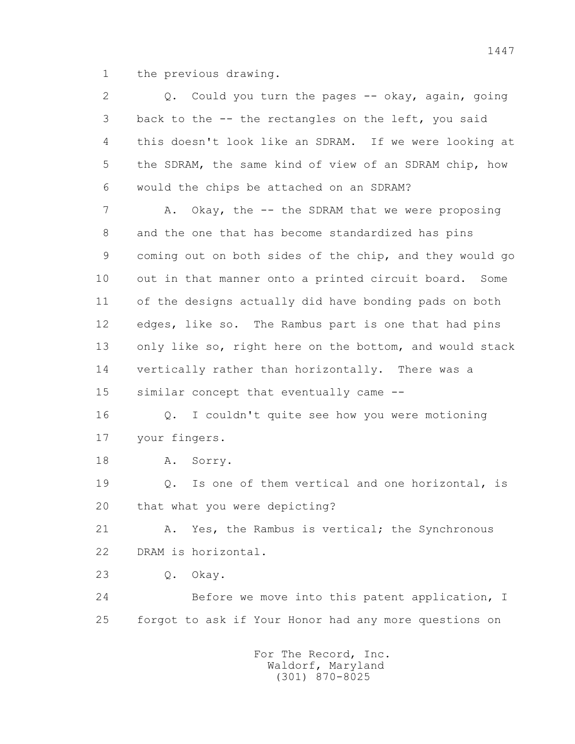1 the previous drawing.

| 2  | Q. Could you turn the pages -- okay, again, going       |
|----|---------------------------------------------------------|
| 3  | back to the -- the rectangles on the left, you said     |
| 4  | this doesn't look like an SDRAM. If we were looking at  |
| 5  | the SDRAM, the same kind of view of an SDRAM chip, how  |
| 6  | would the chips be attached on an SDRAM?                |
| 7  | Okay, the -- the SDRAM that we were proposing<br>Α.     |
| 8  | and the one that has become standardized has pins       |
| 9  | coming out on both sides of the chip, and they would go |
| 10 | out in that manner onto a printed circuit board. Some   |
| 11 | of the designs actually did have bonding pads on both   |
| 12 | edges, like so. The Rambus part is one that had pins    |
| 13 | only like so, right here on the bottom, and would stack |
| 14 | vertically rather than horizontally. There was a        |
| 15 | similar concept that eventually came --                 |
| 16 | Q. I couldn't quite see how you were motioning          |
| 17 | your fingers.                                           |
| 18 | Α.<br>Sorry.                                            |
| 19 | Is one of them vertical and one horizontal, is<br>Q.    |
| 20 | that what you were depicting?                           |
| 21 | Yes, the Rambus is vertical; the Synchronous<br>Α.      |
| 22 | DRAM is horizontal.                                     |
| 23 | $\mathbb Q$ .<br>Okay.                                  |
| 24 | Before we move into this patent application, I          |
| 25 | forgot to ask if Your Honor had any more questions on   |
|    | For The Record, Inc.                                    |
|    |                                                         |

Waldorf, Maryland (301) 870-8025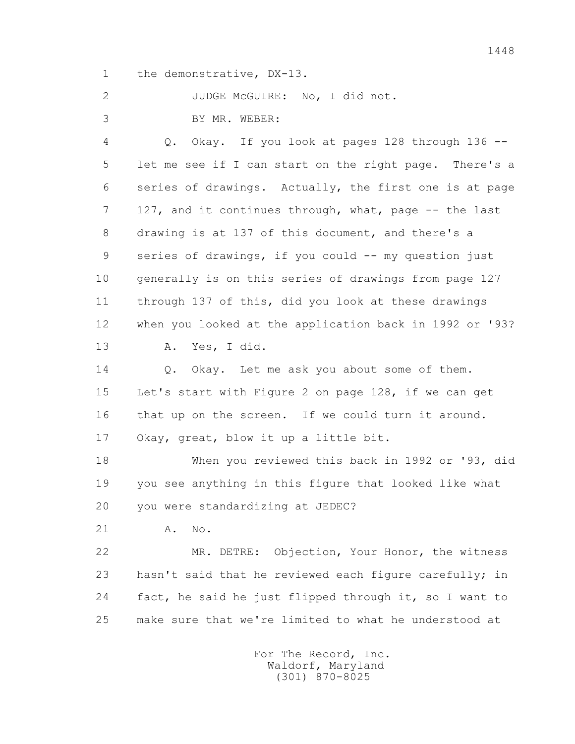1 the demonstrative, DX-13.

2 JUDGE McGUIRE: No, I did not.

3 BY MR. WEBER:

 4 Q. Okay. If you look at pages 128 through 136 -- 5 let me see if I can start on the right page. There's a 6 series of drawings. Actually, the first one is at page 7 127, and it continues through, what, page -- the last 8 drawing is at 137 of this document, and there's a 9 series of drawings, if you could -- my question just 10 generally is on this series of drawings from page 127 11 through 137 of this, did you look at these drawings 12 when you looked at the application back in 1992 or '93? 13 A. Yes, I did. 14 0. Okay. Let me ask you about some of them.

 15 Let's start with Figure 2 on page 128, if we can get 16 that up on the screen. If we could turn it around. 17 Okay, great, blow it up a little bit.

 18 When you reviewed this back in 1992 or '93, did 19 you see anything in this figure that looked like what 20 you were standardizing at JEDEC?

21 A. No.

 22 MR. DETRE: Objection, Your Honor, the witness 23 hasn't said that he reviewed each figure carefully; in 24 fact, he said he just flipped through it, so I want to 25 make sure that we're limited to what he understood at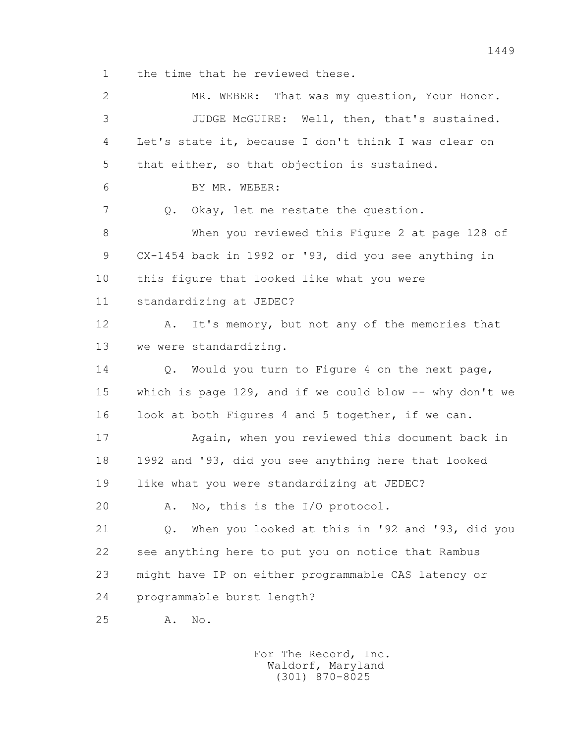1 the time that he reviewed these.

 2 MR. WEBER: That was my question, Your Honor. 3 JUDGE McGUIRE: Well, then, that's sustained. 4 Let's state it, because I don't think I was clear on 5 that either, so that objection is sustained. 6 BY MR. WEBER: 7 Q. Okay, let me restate the question. 8 When you reviewed this Figure 2 at page 128 of 9 CX-1454 back in 1992 or '93, did you see anything in 10 this figure that looked like what you were 11 standardizing at JEDEC? 12 A. It's memory, but not any of the memories that 13 we were standardizing. 14 0. Would you turn to Figure 4 on the next page, 15 which is page 129, and if we could blow -- why don't we 16 look at both Figures 4 and 5 together, if we can. 17 Again, when you reviewed this document back in 18 1992 and '93, did you see anything here that looked 19 like what you were standardizing at JEDEC? 20 A. No, this is the I/O protocol. 21 Q. When you looked at this in '92 and '93, did you 22 see anything here to put you on notice that Rambus 23 might have IP on either programmable CAS latency or 24 programmable burst length? 25 A. No.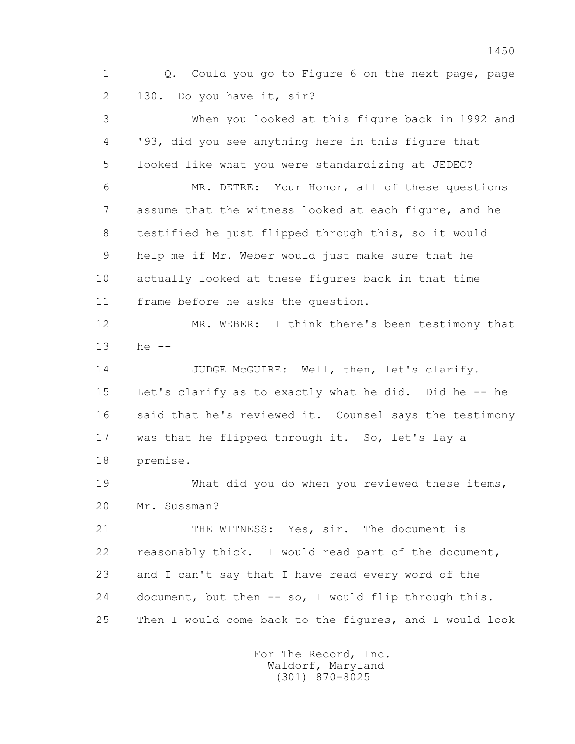1 Q. Could you go to Figure 6 on the next page, page 2 130. Do you have it, sir? 3 When you looked at this figure back in 1992 and 4 '93, did you see anything here in this figure that 5 looked like what you were standardizing at JEDEC? 6 MR. DETRE: Your Honor, all of these questions 7 assume that the witness looked at each figure, and he 8 testified he just flipped through this, so it would 9 help me if Mr. Weber would just make sure that he 10 actually looked at these figures back in that time 11 frame before he asks the question. 12 MR. WEBER: I think there's been testimony that 13 he -- 14 JUDGE McGUIRE: Well, then, let's clarify. 15 Let's clarify as to exactly what he did. Did he -- he 16 said that he's reviewed it. Counsel says the testimony 17 was that he flipped through it. So, let's lay a 18 premise. 19 What did you do when you reviewed these items, 20 Mr. Sussman? 21 THE WITNESS: Yes, sir. The document is 22 reasonably thick. I would read part of the document, 23 and I can't say that I have read every word of the 24 document, but then -- so, I would flip through this. 25 Then I would come back to the figures, and I would look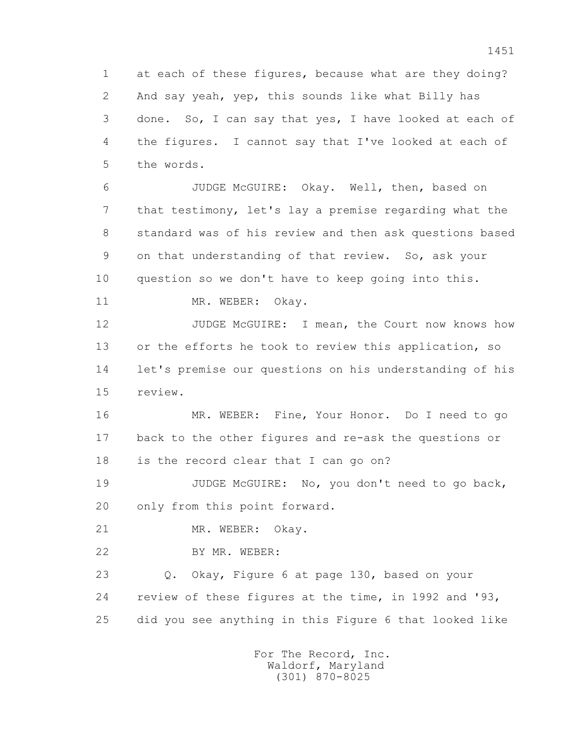1 at each of these figures, because what are they doing? 2 And say yeah, yep, this sounds like what Billy has 3 done. So, I can say that yes, I have looked at each of 4 the figures. I cannot say that I've looked at each of 5 the words.

 6 JUDGE McGUIRE: Okay. Well, then, based on 7 that testimony, let's lay a premise regarding what the 8 standard was of his review and then ask questions based 9 on that understanding of that review. So, ask your 10 question so we don't have to keep going into this.

11 MR. WEBER: Okay.

12 JUDGE McGUIRE: I mean, the Court now knows how 13 or the efforts he took to review this application, so 14 let's premise our questions on his understanding of his 15 review.

 16 MR. WEBER: Fine, Your Honor. Do I need to go 17 back to the other figures and re-ask the questions or 18 is the record clear that I can go on?

19 JUDGE McGUIRE: No, you don't need to go back, 20 only from this point forward.

21 MR. WEBER: Okay.

22 BY MR. WEBER:

 23 Q. Okay, Figure 6 at page 130, based on your 24 review of these figures at the time, in 1992 and '93, 25 did you see anything in this Figure 6 that looked like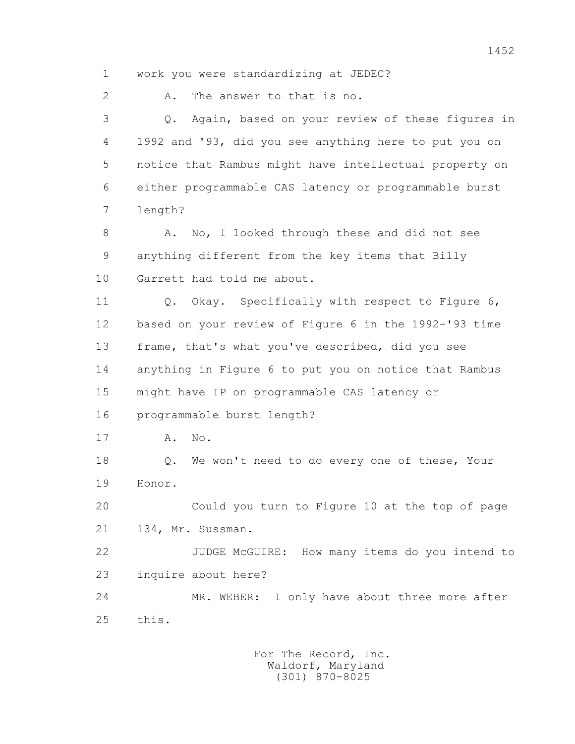1 work you were standardizing at JEDEC? 2 A. The answer to that is no. 3 Q. Again, based on your review of these figures in 4 1992 and '93, did you see anything here to put you on 5 notice that Rambus might have intellectual property on 6 either programmable CAS latency or programmable burst 7 length? 8 A. No, I looked through these and did not see 9 anything different from the key items that Billy 10 Garrett had told me about. 11 Q. Okay. Specifically with respect to Figure 6, 12 based on your review of Figure 6 in the 1992-'93 time 13 frame, that's what you've described, did you see 14 anything in Figure 6 to put you on notice that Rambus 15 might have IP on programmable CAS latency or 16 programmable burst length? 17 A. No. 18 Q. We won't need to do every one of these, Your 19 Honor. 20 Could you turn to Figure 10 at the top of page 21 134, Mr. Sussman. 22 JUDGE McGUIRE: How many items do you intend to 23 inquire about here? 24 MR. WEBER: I only have about three more after 25 this.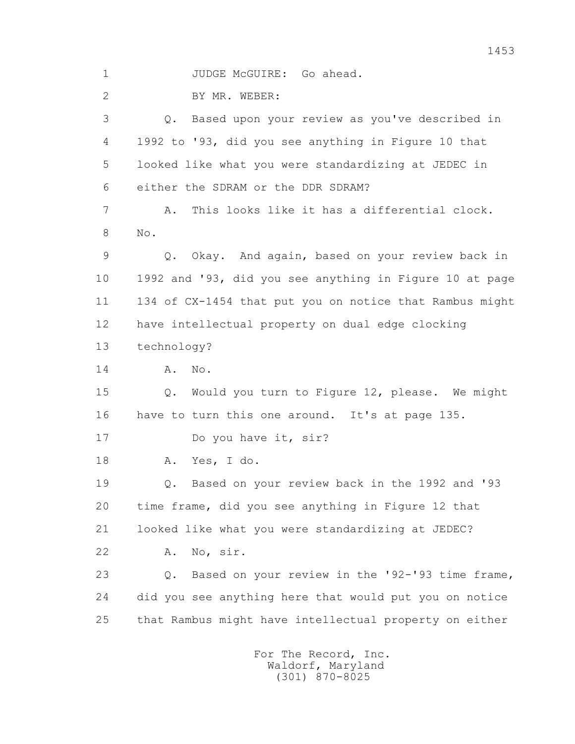1 JUDGE McGUIRE: Go ahead.

2 BY MR. WEBER:

 3 Q. Based upon your review as you've described in 4 1992 to '93, did you see anything in Figure 10 that 5 looked like what you were standardizing at JEDEC in 6 either the SDRAM or the DDR SDRAM?

 7 A. This looks like it has a differential clock. 8 No.

 9 Q. Okay. And again, based on your review back in 10 1992 and '93, did you see anything in Figure 10 at page 11 134 of CX-1454 that put you on notice that Rambus might 12 have intellectual property on dual edge clocking 13 technology?

14 **A.** No.

 15 Q. Would you turn to Figure 12, please. We might 16 have to turn this one around. It's at page 135.

17 Do you have it, sir?

18 A. Yes, I do.

 19 Q. Based on your review back in the 1992 and '93 20 time frame, did you see anything in Figure 12 that 21 looked like what you were standardizing at JEDEC?

22 A. No, sir.

 23 Q. Based on your review in the '92-'93 time frame, 24 did you see anything here that would put you on notice 25 that Rambus might have intellectual property on either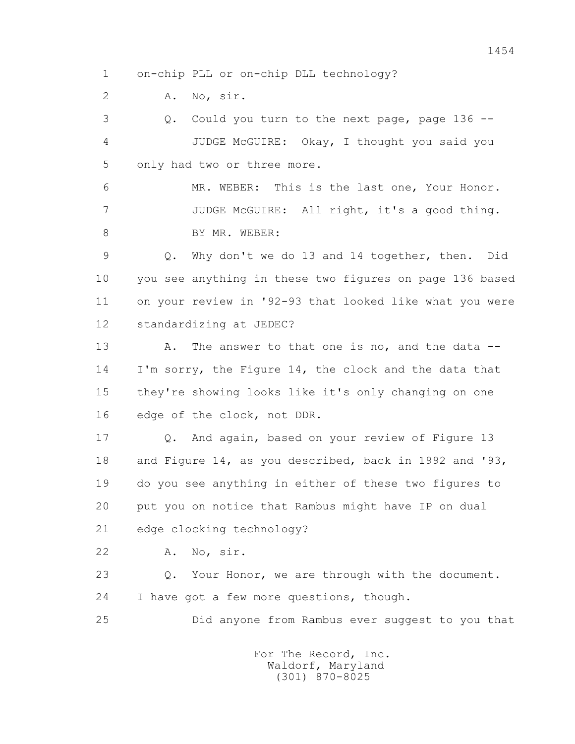1 on-chip PLL or on-chip DLL technology?

2 A. No, sir.

 3 Q. Could you turn to the next page, page 136 -- 4 JUDGE McGUIRE: Okay, I thought you said you 5 only had two or three more.

 6 MR. WEBER: This is the last one, Your Honor. 7 JUDGE McGUIRE: All right, it's a good thing. 8 BY MR. WEBER:

 9 Q. Why don't we do 13 and 14 together, then. Did 10 you see anything in these two figures on page 136 based 11 on your review in '92-93 that looked like what you were 12 standardizing at JEDEC?

13 A. The answer to that one is no, and the data -- 14 I'm sorry, the Figure 14, the clock and the data that 15 they're showing looks like it's only changing on one 16 edge of the clock, not DDR.

 17 Q. And again, based on your review of Figure 13 18 and Figure 14, as you described, back in 1992 and '93, 19 do you see anything in either of these two figures to 20 put you on notice that Rambus might have IP on dual 21 edge clocking technology?

22 A. No, sir.

 23 Q. Your Honor, we are through with the document. 24 I have got a few more questions, though.

25 Did anyone from Rambus ever suggest to you that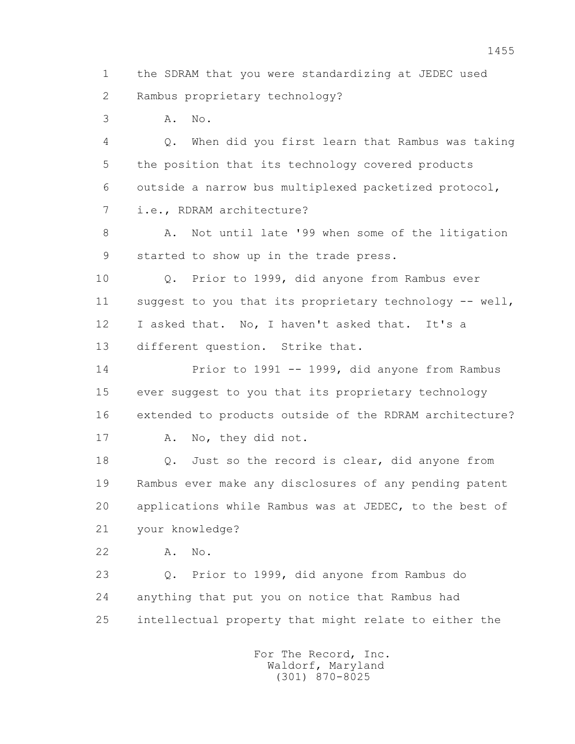1 the SDRAM that you were standardizing at JEDEC used 2 Rambus proprietary technology?

3 A. No.

 4 Q. When did you first learn that Rambus was taking 5 the position that its technology covered products 6 outside a narrow bus multiplexed packetized protocol, 7 i.e., RDRAM architecture?

8 A. Not until late '99 when some of the litigation 9 started to show up in the trade press.

 10 Q. Prior to 1999, did anyone from Rambus ever 11 suggest to you that its proprietary technology -- well, 12 I asked that. No, I haven't asked that. It's a 13 different question. Strike that.

 14 Prior to 1991 -- 1999, did anyone from Rambus 15 ever suggest to you that its proprietary technology 16 extended to products outside of the RDRAM architecture? 17 A. No, they did not.

18 Q. Just so the record is clear, did anyone from 19 Rambus ever make any disclosures of any pending patent 20 applications while Rambus was at JEDEC, to the best of 21 your knowledge?

22 A. No.

 23 Q. Prior to 1999, did anyone from Rambus do 24 anything that put you on notice that Rambus had 25 intellectual property that might relate to either the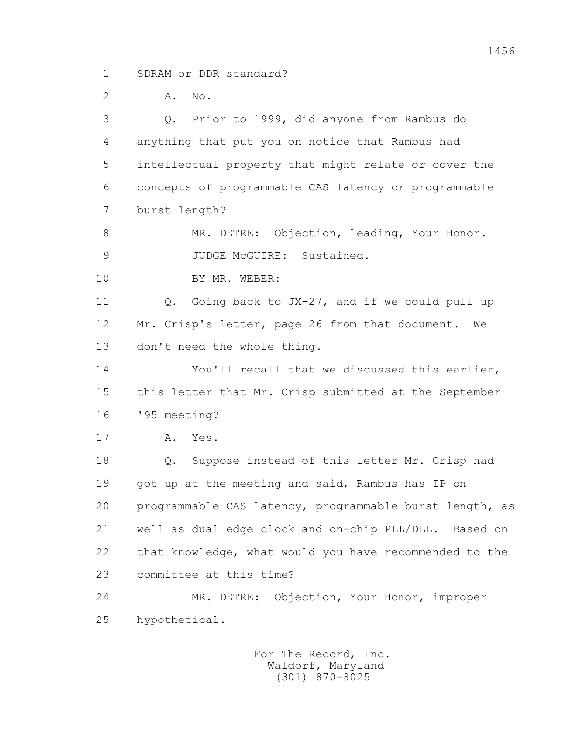1 SDRAM or DDR standard?

2 **A.** No.

 3 Q. Prior to 1999, did anyone from Rambus do 4 anything that put you on notice that Rambus had 5 intellectual property that might relate or cover the 6 concepts of programmable CAS latency or programmable 7 burst length? 8 MR. DETRE: Objection, leading, Your Honor. 9 JUDGE McGUIRE: Sustained. 10 BY MR. WEBER: 11 0. Going back to JX-27, and if we could pull up 12 Mr. Crisp's letter, page 26 from that document. We 13 don't need the whole thing. 14 You'll recall that we discussed this earlier, 15 this letter that Mr. Crisp submitted at the September 16 '95 meeting? 17 A. Yes. 18 Q. Suppose instead of this letter Mr. Crisp had 19 got up at the meeting and said, Rambus has IP on 20 programmable CAS latency, programmable burst length, as 21 well as dual edge clock and on-chip PLL/DLL. Based on 22 that knowledge, what would you have recommended to the 23 committee at this time? 24 MR. DETRE: Objection, Your Honor, improper 25 hypothetical.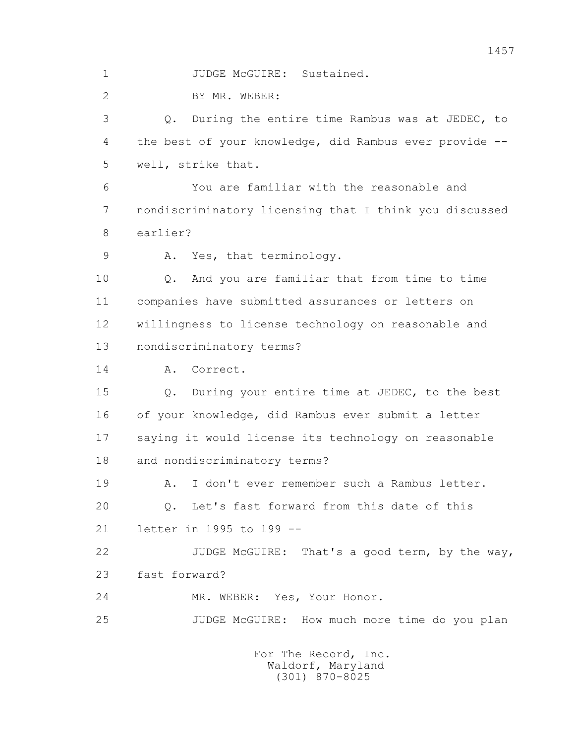1 JUDGE McGUIRE: Sustained.

2 BY MR. WEBER:

 3 Q. During the entire time Rambus was at JEDEC, to 4 the best of your knowledge, did Rambus ever provide -- 5 well, strike that.

 6 You are familiar with the reasonable and 7 nondiscriminatory licensing that I think you discussed 8 earlier?

9 A. Yes, that terminology.

 10 Q. And you are familiar that from time to time 11 companies have submitted assurances or letters on 12 willingness to license technology on reasonable and 13 nondiscriminatory terms?

14 A. Correct.

 15 Q. During your entire time at JEDEC, to the best 16 of your knowledge, did Rambus ever submit a letter 17 saying it would license its technology on reasonable 18 and nondiscriminatory terms?

 19 A. I don't ever remember such a Rambus letter. 20 Q. Let's fast forward from this date of this 21 letter in 1995 to 199 --

 22 JUDGE McGUIRE: That's a good term, by the way, 23 fast forward?

24 MR. WEBER: Yes, Your Honor.

25 JUDGE McGUIRE: How much more time do you plan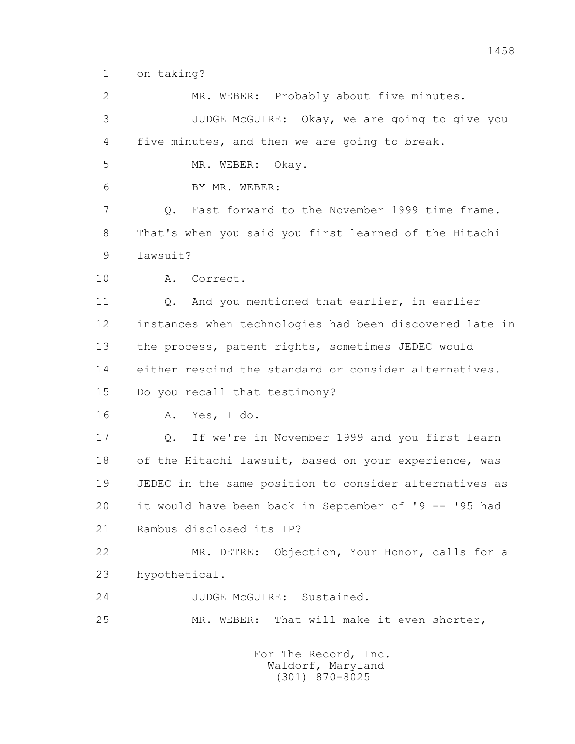1 on taking?

 2 MR. WEBER: Probably about five minutes. 3 JUDGE McGUIRE: Okay, we are going to give you 4 five minutes, and then we are going to break. 5 MR. WEBER: Okay. 6 BY MR. WEBER: 7 Q. Fast forward to the November 1999 time frame. 8 That's when you said you first learned of the Hitachi 9 lawsuit? 10 A. Correct. 11 Q. And you mentioned that earlier, in earlier 12 instances when technologies had been discovered late in 13 the process, patent rights, sometimes JEDEC would 14 either rescind the standard or consider alternatives. 15 Do you recall that testimony? 16 A. Yes, I do. 17 Q. If we're in November 1999 and you first learn 18 of the Hitachi lawsuit, based on your experience, was 19 JEDEC in the same position to consider alternatives as 20 it would have been back in September of '9 -- '95 had 21 Rambus disclosed its IP? 22 MR. DETRE: Objection, Your Honor, calls for a 23 hypothetical. 24 JUDGE McGUIRE: Sustained. 25 MR. WEBER: That will make it even shorter, For The Record, Inc.

 Waldorf, Maryland (301) 870-8025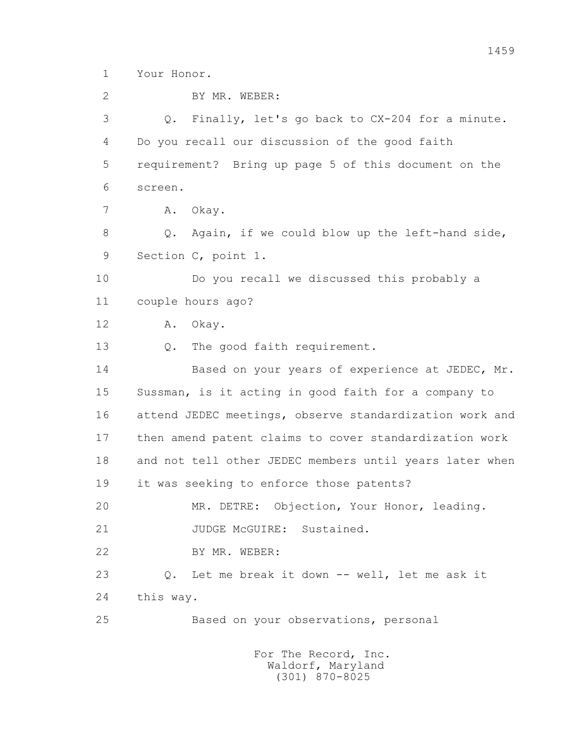1 Your Honor.

 2 BY MR. WEBER: 3 Q. Finally, let's go back to CX-204 for a minute. 4 Do you recall our discussion of the good faith 5 requirement? Bring up page 5 of this document on the 6 screen. 7 A. Okay. 8 Q. Again, if we could blow up the left-hand side, 9 Section C, point 1. 10 Do you recall we discussed this probably a 11 couple hours ago? 12 A. Okay. 13 O. The good faith requirement. 14 Based on your years of experience at JEDEC, Mr. 15 Sussman, is it acting in good faith for a company to 16 attend JEDEC meetings, observe standardization work and 17 then amend patent claims to cover standardization work 18 and not tell other JEDEC members until years later when 19 it was seeking to enforce those patents? 20 MR. DETRE: Objection, Your Honor, leading. 21 JUDGE McGUIRE: Sustained. 22 BY MR. WEBER: 23 Q. Let me break it down -- well, let me ask it 24 this way. 25 Based on your observations, personal For The Record, Inc.

 Waldorf, Maryland (301) 870-8025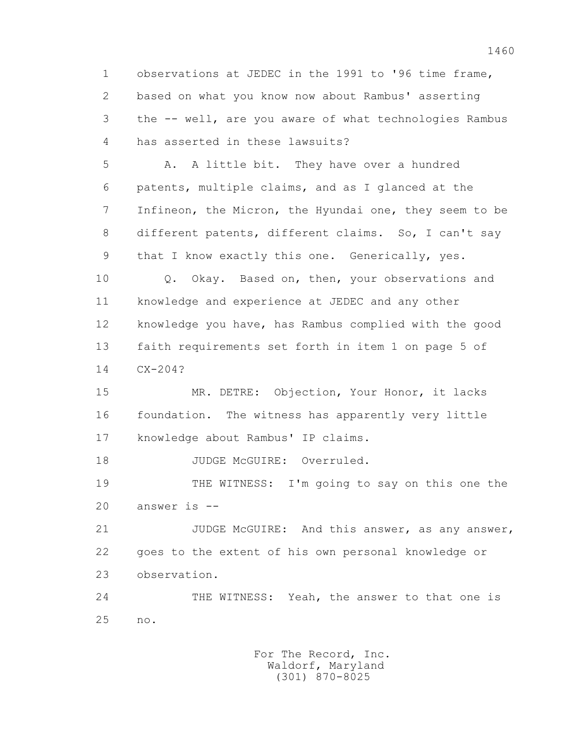1 observations at JEDEC in the 1991 to '96 time frame, 2 based on what you know now about Rambus' asserting 3 the -- well, are you aware of what technologies Rambus 4 has asserted in these lawsuits?

 5 A. A little bit. They have over a hundred 6 patents, multiple claims, and as I glanced at the 7 Infineon, the Micron, the Hyundai one, they seem to be 8 different patents, different claims. So, I can't say 9 that I know exactly this one. Generically, yes.

 10 Q. Okay. Based on, then, your observations and 11 knowledge and experience at JEDEC and any other 12 knowledge you have, has Rambus complied with the good 13 faith requirements set forth in item 1 on page 5 of 14 CX-204?

 15 MR. DETRE: Objection, Your Honor, it lacks 16 foundation. The witness has apparently very little 17 knowledge about Rambus' IP claims.

18 JUDGE McGUIRE: Overruled.

 19 THE WITNESS: I'm going to say on this one the 20 answer is --

 21 JUDGE McGUIRE: And this answer, as any answer, 22 goes to the extent of his own personal knowledge or 23 observation.

 24 THE WITNESS: Yeah, the answer to that one is 25 no.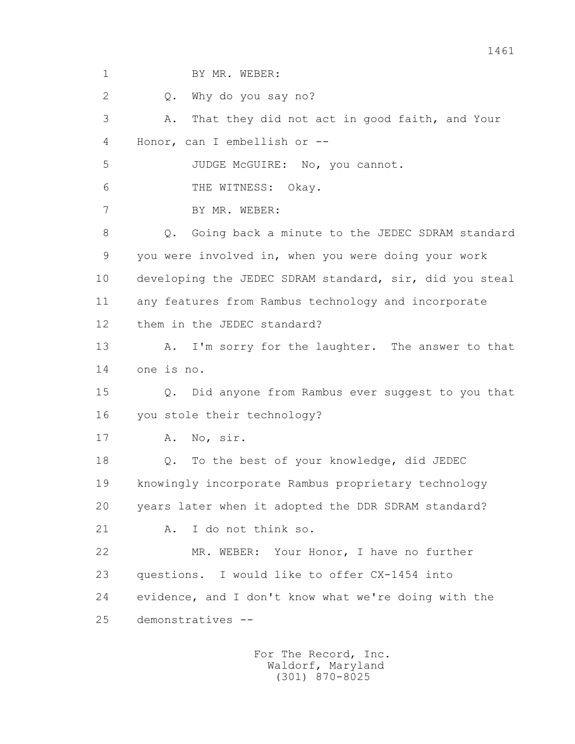1 BY MR. WEBER:

2 0. Why do you say no?

 3 A. That they did not act in good faith, and Your 4 Honor, can I embellish or -- 5 JUDGE McGUIRE: No, you cannot. 6 THE WITNESS: Okay. 7 BY MR. WEBER: 8 0. Going back a minute to the JEDEC SDRAM standard 9 you were involved in, when you were doing your work 10 developing the JEDEC SDRAM standard, sir, did you steal 11 any features from Rambus technology and incorporate 12 them in the JEDEC standard? 13 A. I'm sorry for the laughter. The answer to that 14 one is no. 15 Q. Did anyone from Rambus ever suggest to you that 16 you stole their technology? 17 A. No, sir. 18 Q. To the best of your knowledge, did JEDEC 19 knowingly incorporate Rambus proprietary technology 20 years later when it adopted the DDR SDRAM standard? 21 A. I do not think so. 22 MR. WEBER: Your Honor, I have no further 23 questions. I would like to offer CX-1454 into 24 evidence, and I don't know what we're doing with the 25 demonstratives --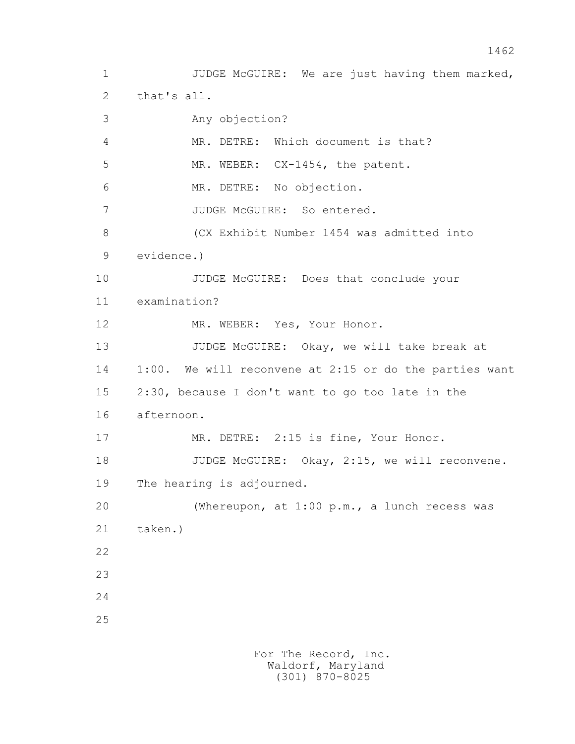1 JUDGE McGUIRE: We are just having them marked, 2 that's all. 3 Any objection? 4 MR. DETRE: Which document is that? 5 MR. WEBER: CX-1454, the patent. 6 MR. DETRE: No objection. 7 JUDGE McGUIRE: So entered. 8 (CX Exhibit Number 1454 was admitted into 9 evidence.) 10 JUDGE McGUIRE: Does that conclude your 11 examination? 12 MR. WEBER: Yes, Your Honor. 13 JUDGE McGUIRE: Okay, we will take break at 14 1:00. We will reconvene at 2:15 or do the parties want 15 2:30, because I don't want to go too late in the 16 afternoon. 17 MR. DETRE: 2:15 is fine, Your Honor. 18 JUDGE McGUIRE: Okay, 2:15, we will reconvene. 19 The hearing is adjourned. 20 (Whereupon, at 1:00 p.m., a lunch recess was 21 taken.) 22 23 24 25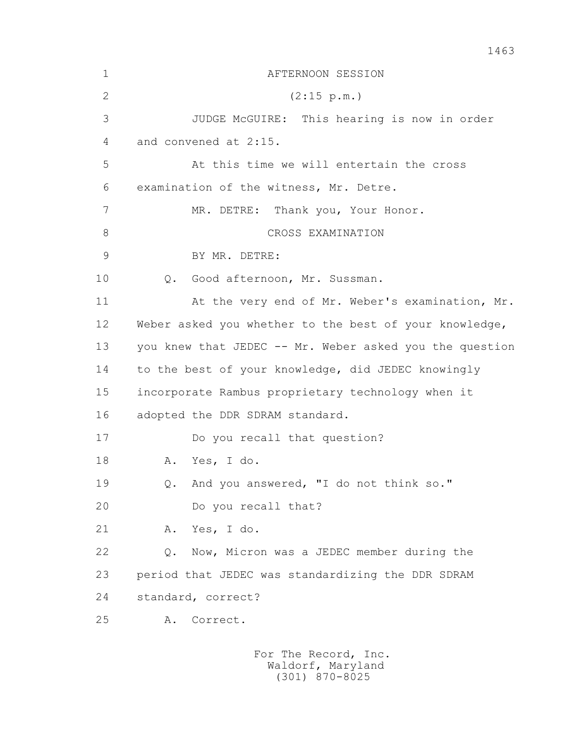| $\mathbf 1$ | AFTERNOON SESSION                                       |  |
|-------------|---------------------------------------------------------|--|
| 2           | (2:15 p.m.)                                             |  |
| 3           | JUDGE McGUIRE: This hearing is now in order             |  |
| 4           | and convened at 2:15.                                   |  |
| 5           | At this time we will entertain the cross                |  |
| 6           | examination of the witness, Mr. Detre.                  |  |
| 7           | MR. DETRE: Thank you, Your Honor.                       |  |
| 8           | CROSS EXAMINATION                                       |  |
| 9           | BY MR. DETRE:                                           |  |
| 10          | Good afternoon, Mr. Sussman.<br>$Q$ .                   |  |
| 11          | At the very end of Mr. Weber's examination, Mr.         |  |
| 12          | Weber asked you whether to the best of your knowledge,  |  |
| 13          | you knew that JEDEC -- Mr. Weber asked you the question |  |
| 14          | to the best of your knowledge, did JEDEC knowingly      |  |
| 15          | incorporate Rambus proprietary technology when it       |  |
| 16          | adopted the DDR SDRAM standard.                         |  |
| 17          | Do you recall that question?                            |  |
| 18          | Yes, I do.<br>Α.                                        |  |
| 19          | Q. And you answered, "I do not think so."               |  |
| 20          | Do you recall that?                                     |  |
| 21          | Α.<br>Yes, I do.                                        |  |
| 22          | Now, Micron was a JEDEC member during the<br>$Q$ .      |  |
| 23          | period that JEDEC was standardizing the DDR SDRAM       |  |
| 24          | standard, correct?                                      |  |
| 25          | Correct.<br>Α.                                          |  |
|             |                                                         |  |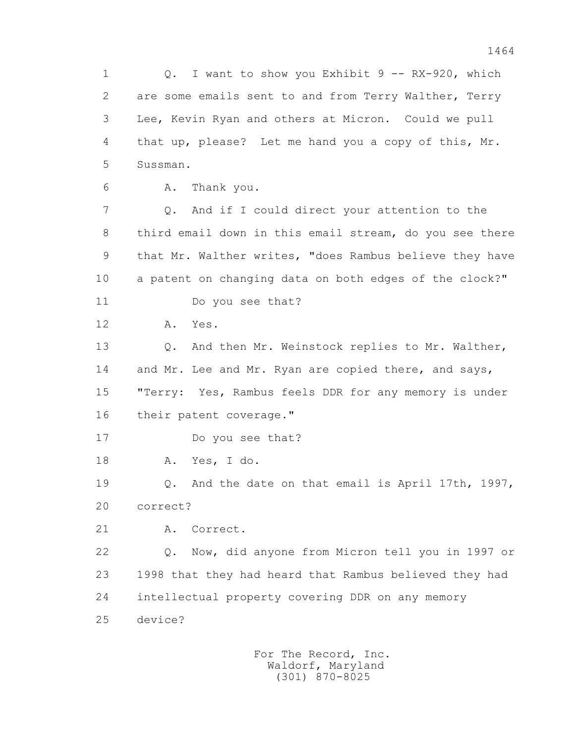1 0. I want to show you Exhibit 9 -- RX-920, which 2 are some emails sent to and from Terry Walther, Terry 3 Lee, Kevin Ryan and others at Micron. Could we pull 4 that up, please? Let me hand you a copy of this, Mr. 5 Sussman.

6 A. Thank you.

 7 Q. And if I could direct your attention to the 8 third email down in this email stream, do you see there 9 that Mr. Walther writes, "does Rambus believe they have 10 a patent on changing data on both edges of the clock?"

11 Do you see that?

12 A. Yes.

 13 Q. And then Mr. Weinstock replies to Mr. Walther, 14 and Mr. Lee and Mr. Ryan are copied there, and says, 15 "Terry: Yes, Rambus feels DDR for any memory is under 16 their patent coverage."

17 Do you see that?

18 A. Yes, I do.

 19 Q. And the date on that email is April 17th, 1997, 20 correct?

21 A. Correct.

 22 Q. Now, did anyone from Micron tell you in 1997 or 23 1998 that they had heard that Rambus believed they had 24 intellectual property covering DDR on any memory 25 device?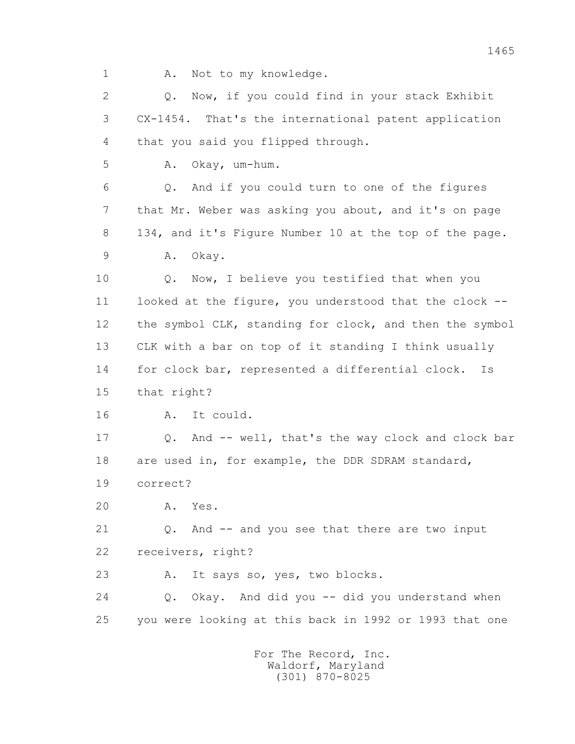1 A. Not to my knowledge.

 2 Q. Now, if you could find in your stack Exhibit 3 CX-1454. That's the international patent application 4 that you said you flipped through.

5 A. Okay, um-hum.

 6 Q. And if you could turn to one of the figures 7 that Mr. Weber was asking you about, and it's on page 8 134, and it's Figure Number 10 at the top of the page. 9 A. Okay.

 10 Q. Now, I believe you testified that when you 11 looked at the figure, you understood that the clock -- 12 the symbol CLK, standing for clock, and then the symbol 13 CLK with a bar on top of it standing I think usually 14 for clock bar, represented a differential clock. Is 15 that right?

16 A. It could.

 17 Q. And -- well, that's the way clock and clock bar 18 are used in, for example, the DDR SDRAM standard, 19 correct?

20 A. Yes.

 21 Q. And -- and you see that there are two input 22 receivers, right?

23 A. It says so, yes, two blocks.

 24 Q. Okay. And did you -- did you understand when 25 you were looking at this back in 1992 or 1993 that one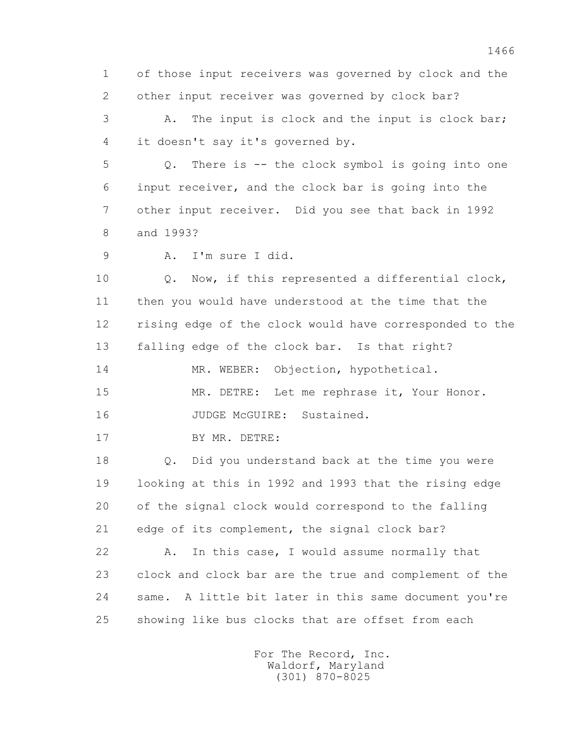1 of those input receivers was governed by clock and the 2 other input receiver was governed by clock bar?

 3 A. The input is clock and the input is clock bar; 4 it doesn't say it's governed by.

 5 Q. There is -- the clock symbol is going into one 6 input receiver, and the clock bar is going into the 7 other input receiver. Did you see that back in 1992 8 and 1993?

9 A. I'm sure I did.

 10 Q. Now, if this represented a differential clock, 11 then you would have understood at the time that the 12 rising edge of the clock would have corresponded to the 13 falling edge of the clock bar. Is that right?

14 MR. WEBER: Objection, hypothetical.

 15 MR. DETRE: Let me rephrase it, Your Honor. 16 JUDGE McGUIRE: Sustained.

17 BY MR. DETRE:

 18 Q. Did you understand back at the time you were 19 looking at this in 1992 and 1993 that the rising edge 20 of the signal clock would correspond to the falling 21 edge of its complement, the signal clock bar?

 22 A. In this case, I would assume normally that 23 clock and clock bar are the true and complement of the 24 same. A little bit later in this same document you're 25 showing like bus clocks that are offset from each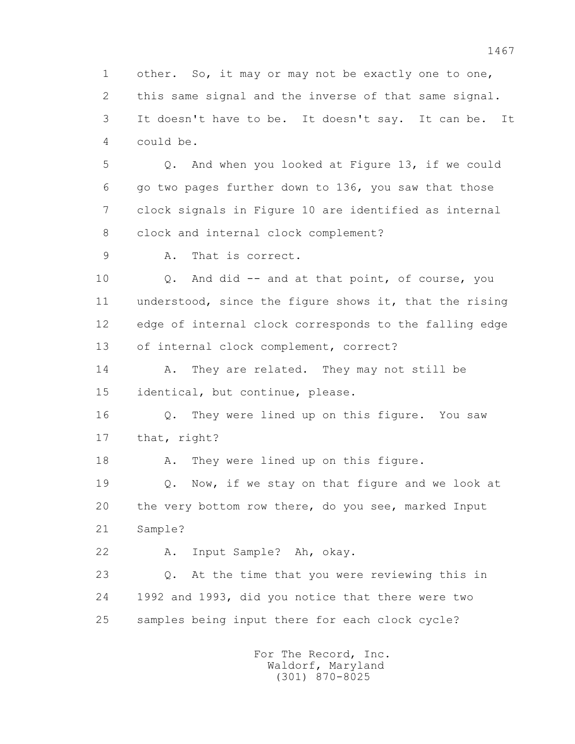1 other. So, it may or may not be exactly one to one, 2 this same signal and the inverse of that same signal. 3 It doesn't have to be. It doesn't say. It can be. It 4 could be.

 5 Q. And when you looked at Figure 13, if we could 6 go two pages further down to 136, you saw that those 7 clock signals in Figure 10 are identified as internal 8 clock and internal clock complement?

9 A. That is correct.

 10 Q. And did -- and at that point, of course, you 11 understood, since the figure shows it, that the rising 12 edge of internal clock corresponds to the falling edge 13 of internal clock complement, correct?

14 A. They are related. They may not still be 15 identical, but continue, please.

 16 Q. They were lined up on this figure. You saw 17 that, right?

18 A. They were lined up on this figure.

 19 Q. Now, if we stay on that figure and we look at 20 the very bottom row there, do you see, marked Input 21 Sample?

22 A. Input Sample? Ah, okay.

 23 Q. At the time that you were reviewing this in 24 1992 and 1993, did you notice that there were two 25 samples being input there for each clock cycle?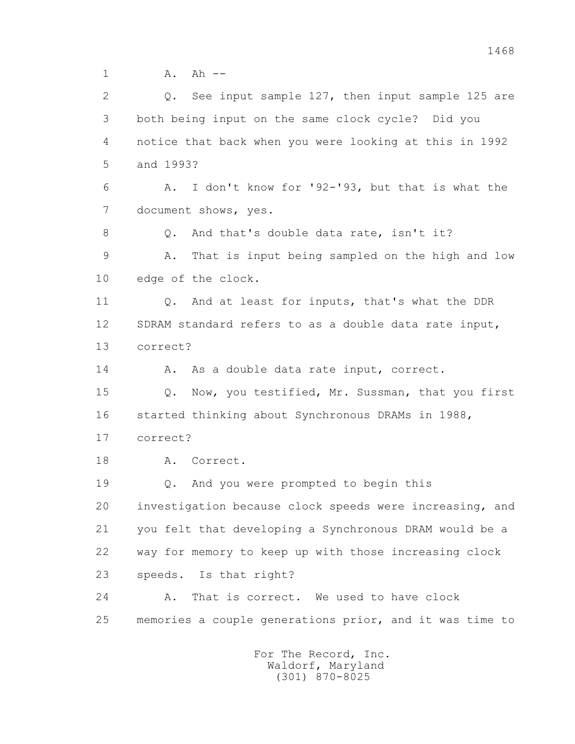1 A. Ah --

 2 Q. See input sample 127, then input sample 125 are 3 both being input on the same clock cycle? Did you 4 notice that back when you were looking at this in 1992 5 and 1993? 6 A. I don't know for '92-'93, but that is what the 7 document shows, yes. 8 0. And that's double data rate, isn't it? 9 A. That is input being sampled on the high and low 10 edge of the clock. 11 Q. And at least for inputs, that's what the DDR 12 SDRAM standard refers to as a double data rate input, 13 correct? 14 A. As a double data rate input, correct. 15 Q. Now, you testified, Mr. Sussman, that you first 16 started thinking about Synchronous DRAMs in 1988, 17 correct? 18 A. Correct. 19 Q. And you were prompted to begin this 20 investigation because clock speeds were increasing, and 21 you felt that developing a Synchronous DRAM would be a 22 way for memory to keep up with those increasing clock 23 speeds. Is that right? 24 A. That is correct. We used to have clock 25 memories a couple generations prior, and it was time to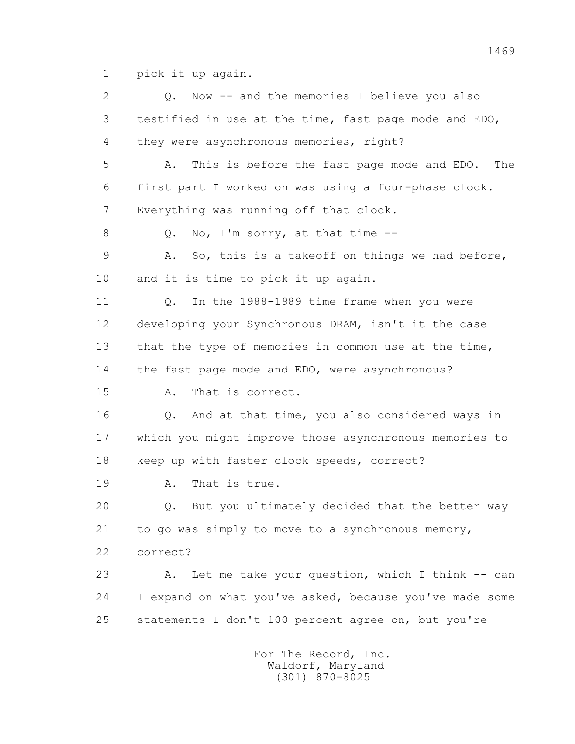1 pick it up again.

 2 Q. Now -- and the memories I believe you also 3 testified in use at the time, fast page mode and EDO, 4 they were asynchronous memories, right? 5 A. This is before the fast page mode and EDO. The 6 first part I worked on was using a four-phase clock. 7 Everything was running off that clock. 8 Q. No, I'm sorry, at that time -- 9 A. So, this is a takeoff on things we had before, 10 and it is time to pick it up again. 11 Q. In the 1988-1989 time frame when you were 12 developing your Synchronous DRAM, isn't it the case 13 that the type of memories in common use at the time, 14 the fast page mode and EDO, were asynchronous? 15 A. That is correct. 16 Q. And at that time, you also considered ways in 17 which you might improve those asynchronous memories to 18 keep up with faster clock speeds, correct? 19 A. That is true. 20 Q. But you ultimately decided that the better way 21 to go was simply to move to a synchronous memory, 22 correct? 23 A. Let me take your question, which I think -- can 24 I expand on what you've asked, because you've made some 25 statements I don't 100 percent agree on, but you're For The Record, Inc.

 Waldorf, Maryland (301) 870-8025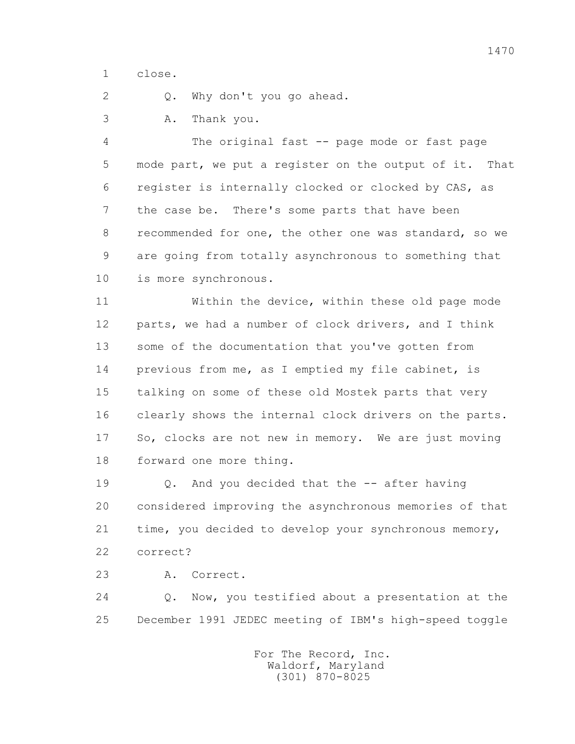1 close.

2 Q. Why don't you go ahead.

3 A. Thank you.

 4 The original fast -- page mode or fast page 5 mode part, we put a register on the output of it. That 6 register is internally clocked or clocked by CAS, as 7 the case be. There's some parts that have been 8 recommended for one, the other one was standard, so we 9 are going from totally asynchronous to something that 10 is more synchronous.

 11 Within the device, within these old page mode 12 parts, we had a number of clock drivers, and I think 13 some of the documentation that you've gotten from 14 previous from me, as I emptied my file cabinet, is 15 talking on some of these old Mostek parts that very 16 clearly shows the internal clock drivers on the parts. 17 So, clocks are not new in memory. We are just moving 18 forward one more thing.

 19 Q. And you decided that the -- after having 20 considered improving the asynchronous memories of that 21 time, you decided to develop your synchronous memory, 22 correct?

23 A. Correct.

 24 Q. Now, you testified about a presentation at the 25 December 1991 JEDEC meeting of IBM's high-speed toggle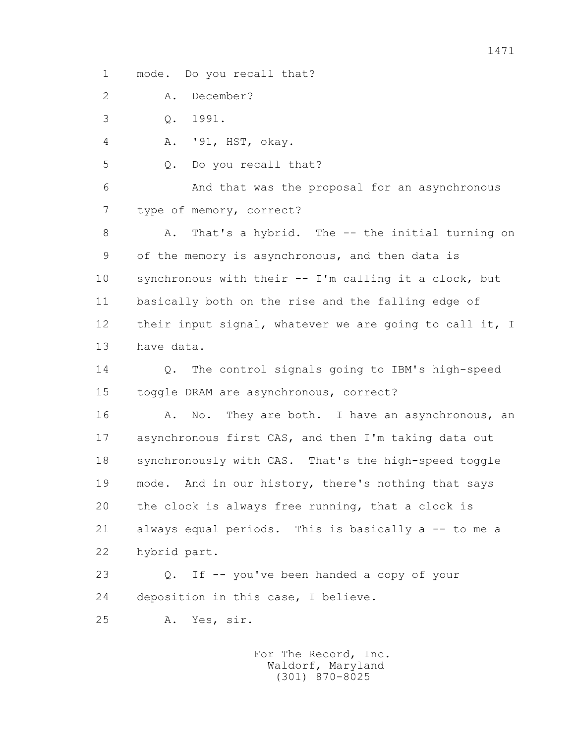1 mode. Do you recall that?

2 A. December?

3 Q. 1991.

4 A. '91, HST, okay.

5 Q. Do you recall that?

 6 And that was the proposal for an asynchronous 7 type of memory, correct?

8 A. That's a hybrid. The -- the initial turning on 9 of the memory is asynchronous, and then data is 10 synchronous with their -- I'm calling it a clock, but 11 basically both on the rise and the falling edge of 12 their input signal, whatever we are going to call it, I 13 have data.

 14 Q. The control signals going to IBM's high-speed 15 toggle DRAM are asynchronous, correct?

16 A. No. They are both. I have an asynchronous, an 17 asynchronous first CAS, and then I'm taking data out 18 synchronously with CAS. That's the high-speed toggle 19 mode. And in our history, there's nothing that says 20 the clock is always free running, that a clock is 21 always equal periods. This is basically a -- to me a 22 hybrid part.

 23 Q. If -- you've been handed a copy of your 24 deposition in this case, I believe.

25 A. Yes, sir.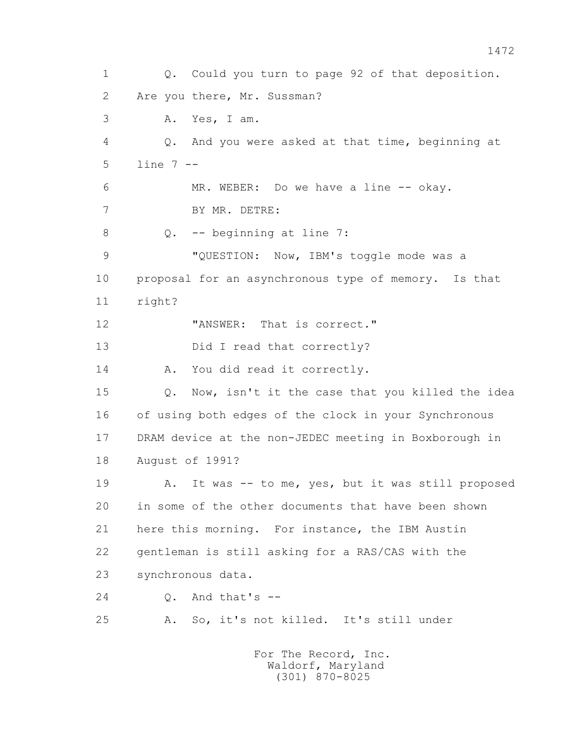1 Q. Could you turn to page 92 of that deposition. 2 Are you there, Mr. Sussman? 3 A. Yes, I am. 4 Q. And you were asked at that time, beginning at 5 line 7 -- 6 MR. WEBER: Do we have a line -- okay. 7 BY MR. DETRE: 8 0. -- beginning at line 7: 9 "QUESTION: Now, IBM's toggle mode was a 10 proposal for an asynchronous type of memory. Is that 11 right? 12 **"ANSWER:** That is correct." 13 Did I read that correctly? 14 A. You did read it correctly. 15 Q. Now, isn't it the case that you killed the idea 16 of using both edges of the clock in your Synchronous 17 DRAM device at the non-JEDEC meeting in Boxborough in 18 August of 1991? 19 A. It was -- to me, yes, but it was still proposed 20 in some of the other documents that have been shown 21 here this morning. For instance, the IBM Austin 22 gentleman is still asking for a RAS/CAS with the 23 synchronous data.  $24 \qquad \qquad$  0. And that's  $-$  25 A. So, it's not killed. It's still under For The Record, Inc. Waldorf, Maryland

(301) 870-8025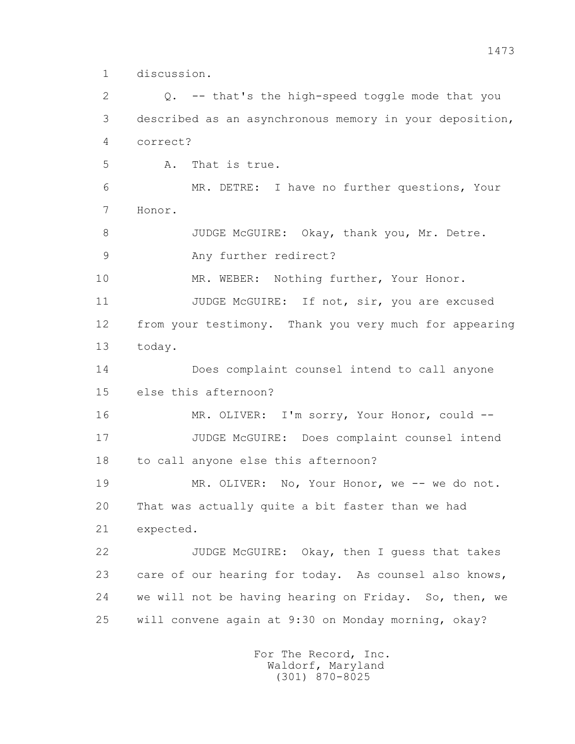1 discussion.

 2 Q. -- that's the high-speed toggle mode that you 3 described as an asynchronous memory in your deposition, 4 correct? 5 A. That is true. 6 MR. DETRE: I have no further questions, Your 7 Honor. 8 JUDGE McGUIRE: Okay, thank you, Mr. Detre. 9 Any further redirect? 10 MR. WEBER: Nothing further, Your Honor. 11 JUDGE McGUIRE: If not, sir, you are excused 12 from your testimony. Thank you very much for appearing 13 today. 14 Does complaint counsel intend to call anyone 15 else this afternoon? 16 MR. OLIVER: I'm sorry, Your Honor, could -- 17 JUDGE McGUIRE: Does complaint counsel intend 18 to call anyone else this afternoon? 19 MR. OLIVER: No, Your Honor, we -- we do not. 20 That was actually quite a bit faster than we had 21 expected. 22 JUDGE McGUIRE: Okay, then I guess that takes 23 care of our hearing for today. As counsel also knows, 24 we will not be having hearing on Friday. So, then, we 25 will convene again at 9:30 on Monday morning, okay?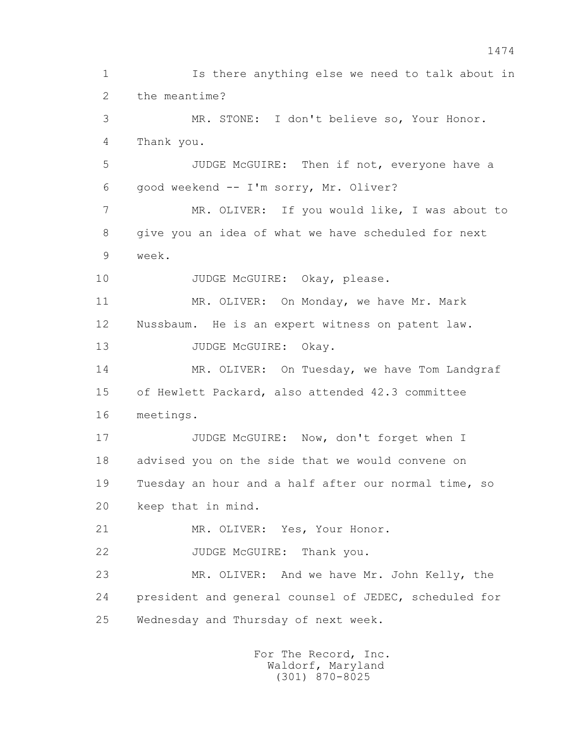1 Is there anything else we need to talk about in 2 the meantime? 3 MR. STONE: I don't believe so, Your Honor. 4 Thank you. 5 JUDGE McGUIRE: Then if not, everyone have a 6 good weekend -- I'm sorry, Mr. Oliver? 7 MR. OLIVER: If you would like, I was about to 8 give you an idea of what we have scheduled for next 9 week. 10 JUDGE McGUIRE: Okay, please. 11 MR. OLIVER: On Monday, we have Mr. Mark 12 Nussbaum. He is an expert witness on patent law. 13 JUDGE McGUIRE: Okay. 14 MR. OLIVER: On Tuesday, we have Tom Landgraf 15 of Hewlett Packard, also attended 42.3 committee 16 meetings. 17 JUDGE McGUIRE: Now, don't forget when I 18 advised you on the side that we would convene on 19 Tuesday an hour and a half after our normal time, so 20 keep that in mind. 21 MR. OLIVER: Yes, Your Honor. 22 JUDGE McGUIRE: Thank you. 23 MR. OLIVER: And we have Mr. John Kelly, the 24 president and general counsel of JEDEC, scheduled for 25 Wednesday and Thursday of next week.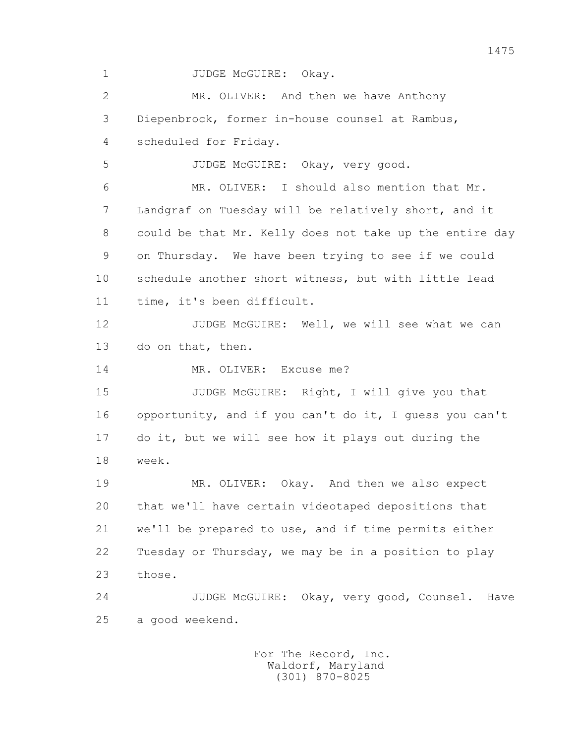1 JUDGE McGUIRE: Okay.

 2 MR. OLIVER: And then we have Anthony 3 Diepenbrock, former in-house counsel at Rambus, 4 scheduled for Friday. 5 JUDGE McGUIRE: Okay, very good. 6 MR. OLIVER: I should also mention that Mr.

 7 Landgraf on Tuesday will be relatively short, and it 8 could be that Mr. Kelly does not take up the entire day 9 on Thursday. We have been trying to see if we could 10 schedule another short witness, but with little lead 11 time, it's been difficult.

12 JUDGE McGUIRE: Well, we will see what we can 13 do on that, then.

14 MR. OLIVER: Excuse me?

15 JUDGE McGUIRE: Right, I will give you that 16 opportunity, and if you can't do it, I guess you can't 17 do it, but we will see how it plays out during the 18 week.

 19 MR. OLIVER: Okay. And then we also expect 20 that we'll have certain videotaped depositions that 21 we'll be prepared to use, and if time permits either 22 Tuesday or Thursday, we may be in a position to play 23 those.

 24 JUDGE McGUIRE: Okay, very good, Counsel. Have 25 a good weekend.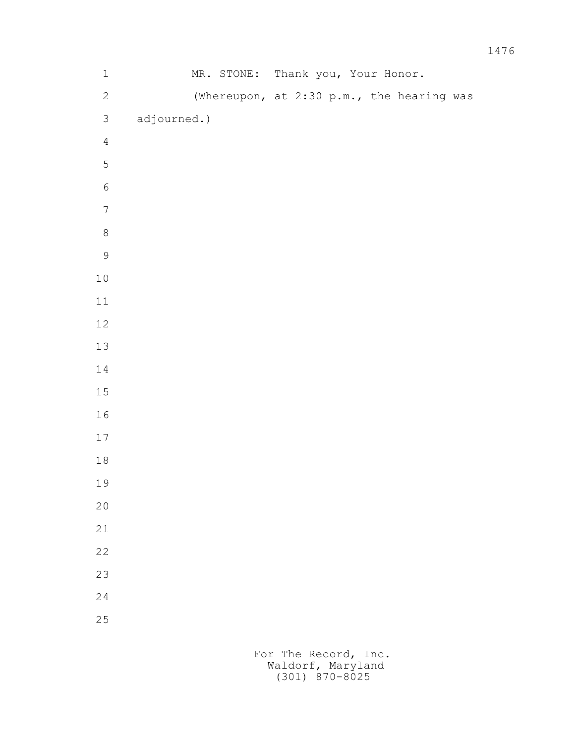| $\mathbf 1$      | MR. STONE:  | Thank you, Your Honor.                    |
|------------------|-------------|-------------------------------------------|
| $\mathbf{2}$     |             | (Whereupon, at 2:30 p.m., the hearing was |
| $\mathfrak{S}$   | adjourned.) |                                           |
| $\overline{4}$   |             |                                           |
| 5                |             |                                           |
| $\sqrt{6}$       |             |                                           |
| $\boldsymbol{7}$ |             |                                           |
| $\,8\,$          |             |                                           |
| $\mathsf 9$      |             |                                           |
| $1\,0$           |             |                                           |
| $11\,$           |             |                                           |
| $12\,$           |             |                                           |
| $13\,$           |             |                                           |
| $1\,4$           |             |                                           |
| $15\,$           |             |                                           |
| $1\,6$           |             |                                           |
| $17$             |             |                                           |
| $1\,8$           |             |                                           |
| 19               |             |                                           |
| $20$             |             |                                           |
| $2\sqrt{1}$      |             |                                           |
| 22               |             |                                           |
| 23               |             |                                           |
| 24               |             |                                           |
| 25               |             |                                           |
|                  |             |                                           |